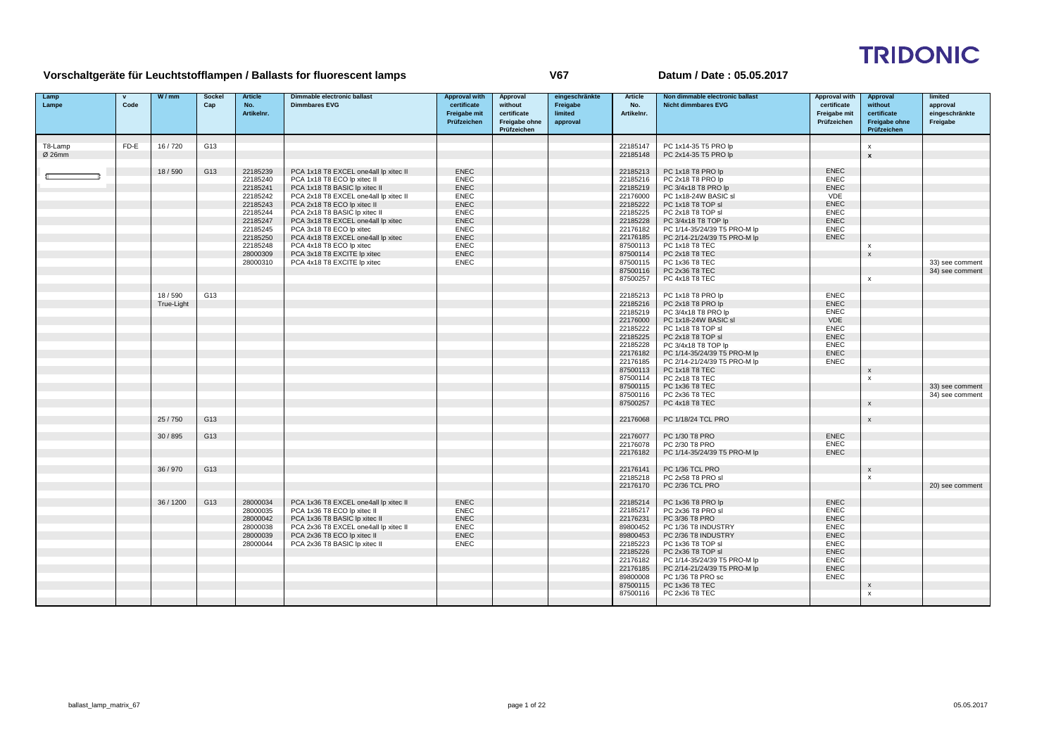# **TRIDONIC**

## **Vorschaltgeräte für Leuchtstofflampen / Ballasts for fluorescent lamps**

| Lamp<br>Lampe | Code | W/mm       | <b>Sockel</b><br>Cap | <b>Article</b><br>No. | Dimmable electronic ballast<br><b>Dimmbares EVG</b>                 | <b>Approval with</b><br>certificate | Approval<br>without                         | eingeschränkte<br>Freigabe | Article<br>No.       | Non dimmable electronic ballast<br><b>Nicht dimmbares EVG</b> | <b>Approval with</b><br>certificate | Approval<br>without                                | limited<br>approval        |
|---------------|------|------------|----------------------|-----------------------|---------------------------------------------------------------------|-------------------------------------|---------------------------------------------|----------------------------|----------------------|---------------------------------------------------------------|-------------------------------------|----------------------------------------------------|----------------------------|
|               |      |            |                      | Artikelnr.            |                                                                     | <b>Freigabe mit</b><br>Prüfzeichen  | certificate<br>Freigabe ohne<br>Prüfzeichen | limited<br>approval        | Artikelnr.           |                                                               | Freigabe mit<br>Prüfzeichen         | certificate<br><b>Freigabe ohne</b><br>Prüfzeichen | eingeschränkte<br>Freigabe |
| T8-Lamp       | FD-E | 16/720     | G13                  |                       |                                                                     |                                     |                                             |                            | 22185147             | PC 1x14-35 T5 PRO lp                                          |                                     | $\mathbf{x}$                                       |                            |
| Ø 26mm        |      |            |                      |                       |                                                                     |                                     |                                             |                            | 22185148             | PC 2x14-35 T5 PRO lp                                          |                                     | $\mathbf{x}$                                       |                            |
|               |      |            |                      |                       |                                                                     |                                     |                                             |                            |                      |                                                               |                                     |                                                    |                            |
|               |      | 18/590     | G13                  | 22185239              | PCA 1x18 T8 EXCEL one4all lp xitec II                               | <b>ENEC</b>                         |                                             |                            | 22185213             | PC 1x18 T8 PRO lp                                             | <b>ENEC</b>                         |                                                    |                            |
|               |      |            |                      | 22185240              | PCA 1x18 T8 ECO lp xitec II                                         | <b>ENEC</b>                         |                                             |                            | 22185216             | PC 2x18 T8 PRO lp                                             | <b>ENEC</b>                         |                                                    |                            |
|               |      |            |                      | 22185241              | PCA 1x18 T8 BASIC Ip xitec II                                       | <b>ENEC</b>                         |                                             |                            | 22185219             | PC 3/4x18 T8 PRO lp                                           | <b>ENEC</b>                         |                                                    |                            |
|               |      |            |                      | 22185242              | PCA 2x18 T8 EXCEL one4all lp xitec II                               | <b>ENEC</b>                         |                                             |                            | 22176000             | PC 1x18-24W BASIC sl                                          | VDE                                 |                                                    |                            |
|               |      |            |                      | 22185243              | PCA 2x18 T8 ECO lp xitec II                                         | <b>ENEC</b><br><b>ENEC</b>          |                                             |                            | 22185222             | PC 1x18 T8 TOP sl                                             | <b>ENEC</b>                         |                                                    |                            |
|               |      |            |                      | 22185244<br>22185247  | PCA 2x18 T8 BASIC Ip xitec II<br>PCA 3x18 T8 EXCEL one4all lp xitec | <b>ENEC</b>                         |                                             |                            | 22185225<br>22185228 | PC 2x18 T8 TOP sl                                             | <b>ENEC</b><br><b>ENEC</b>          |                                                    |                            |
|               |      |            |                      | 22185245              | PCA 3x18 T8 ECO lp xitec                                            | <b>ENEC</b>                         |                                             |                            | 22176182             | PC 3/4x18 T8 TOP lp<br>PC 1/14-35/24/39 T5 PRO-M lp           | <b>ENEC</b>                         |                                                    |                            |
|               |      |            |                      | 22185250              | PCA 4x18 T8 EXCEL one4all lp xitec                                  | <b>ENEC</b>                         |                                             |                            | 22176185             | PC 2/14-21/24/39 T5 PRO-M lp                                  | <b>ENEC</b>                         |                                                    |                            |
|               |      |            |                      | 22185248              | PCA 4x18 T8 ECO lp xitec                                            | <b>ENEC</b>                         |                                             |                            | 87500113             | PC 1x18 T8 TEC                                                |                                     | $\mathbf{x}$                                       |                            |
|               |      |            |                      | 28000309              | PCA 3x18 T8 EXCITE Ip xitec                                         | <b>ENEC</b>                         |                                             |                            | 87500114             | PC 2x18 T8 TEC                                                |                                     | $\mathsf{x}$                                       |                            |
|               |      |            |                      | 28000310              | PCA 4x18 T8 EXCITE Ip xitec                                         | <b>ENEC</b>                         |                                             |                            | 87500115             | PC 1x36 T8 TEC                                                |                                     |                                                    | 33) see comment            |
|               |      |            |                      |                       |                                                                     |                                     |                                             |                            | 87500116             | PC 2x36 T8 TEC                                                |                                     |                                                    | 34) see comment            |
|               |      |            |                      |                       |                                                                     |                                     |                                             |                            | 87500257             | PC 4x18 T8 TEC                                                |                                     | x                                                  |                            |
|               |      |            |                      |                       |                                                                     |                                     |                                             |                            |                      |                                                               |                                     |                                                    |                            |
|               |      | 18/590     | G13                  |                       |                                                                     |                                     |                                             |                            | 22185213             | PC 1x18 T8 PRO lp                                             | <b>ENEC</b>                         |                                                    |                            |
|               |      | True-Light |                      |                       |                                                                     |                                     |                                             |                            | 22185216             | PC 2x18 T8 PRO lp                                             | <b>ENEC</b>                         |                                                    |                            |
|               |      |            |                      |                       |                                                                     |                                     |                                             |                            | 22185219             | PC 3/4x18 T8 PRO lp                                           | <b>ENEC</b>                         |                                                    |                            |
|               |      |            |                      |                       |                                                                     |                                     |                                             |                            | 22176000             | PC 1x18-24W BASIC sl                                          | VDE                                 |                                                    |                            |
|               |      |            |                      |                       |                                                                     |                                     |                                             |                            | 22185222             | PC 1x18 T8 TOP sl                                             | <b>ENEC</b>                         |                                                    |                            |
|               |      |            |                      |                       |                                                                     |                                     |                                             |                            | 22185225             | PC 2x18 T8 TOP sl                                             | <b>ENEC</b><br><b>ENEC</b>          |                                                    |                            |
|               |      |            |                      |                       |                                                                     |                                     |                                             |                            | 22185228<br>22176182 | PC 3/4x18 T8 TOP lp<br>PC 1/14-35/24/39 T5 PRO-M lp           | <b>ENEC</b>                         |                                                    |                            |
|               |      |            |                      |                       |                                                                     |                                     |                                             |                            | 22176185             | PC 2/14-21/24/39 T5 PRO-M lp                                  | <b>ENEC</b>                         |                                                    |                            |
|               |      |            |                      |                       |                                                                     |                                     |                                             |                            | 87500113             | PC 1x18 T8 TEC                                                |                                     | $\mathsf{x}$                                       |                            |
|               |      |            |                      |                       |                                                                     |                                     |                                             |                            | 87500114             | PC 2x18 T8 TEC                                                |                                     | $\boldsymbol{\mathsf{x}}$                          |                            |
|               |      |            |                      |                       |                                                                     |                                     |                                             |                            | 87500115             | PC 1x36 T8 TEC                                                |                                     |                                                    | 33) see comment            |
|               |      |            |                      |                       |                                                                     |                                     |                                             |                            | 87500116             | PC 2x36 T8 TEC                                                |                                     |                                                    | 34) see comment            |
|               |      |            |                      |                       |                                                                     |                                     |                                             |                            | 87500257             | PC 4x18 T8 TEC                                                |                                     | $\mathsf{x}$                                       |                            |
|               |      |            |                      |                       |                                                                     |                                     |                                             |                            |                      |                                                               |                                     |                                                    |                            |
|               |      | 25/750     | G13                  |                       |                                                                     |                                     |                                             |                            | 22176068             | PC 1/18/24 TCL PRO                                            |                                     | $\mathbf{x}$                                       |                            |
|               |      |            |                      |                       |                                                                     |                                     |                                             |                            |                      |                                                               |                                     |                                                    |                            |
|               |      | 30/895     | G13                  |                       |                                                                     |                                     |                                             |                            | 22176077             | PC 1/30 T8 PRO                                                | <b>ENEC</b>                         |                                                    |                            |
|               |      |            |                      |                       |                                                                     |                                     |                                             |                            | 22176078             | PC 2/30 T8 PRO                                                | <b>ENEC</b>                         |                                                    |                            |
|               |      |            |                      |                       |                                                                     |                                     |                                             |                            | 22176182             | PC 1/14-35/24/39 T5 PRO-M lp                                  | <b>ENEC</b>                         |                                                    |                            |
|               |      | 36 / 970   | G13                  |                       |                                                                     |                                     |                                             |                            | 22176141             | PC 1/36 TCL PRO                                               |                                     | $\mathsf{x}$                                       |                            |
|               |      |            |                      |                       |                                                                     |                                     |                                             |                            | 22185218             | PC 2x58 T8 PRO sl                                             |                                     | x                                                  |                            |
|               |      |            |                      |                       |                                                                     |                                     |                                             |                            | 22176170             | PC 2/36 TCL PRO                                               |                                     |                                                    | 20) see comment            |
|               |      |            |                      |                       |                                                                     |                                     |                                             |                            |                      |                                                               |                                     |                                                    |                            |
|               |      | 36 / 1200  | G13                  | 28000034              | PCA 1x36 T8 EXCEL one4all lp xitec II                               | <b>ENEC</b>                         |                                             |                            | 22185214             | PC 1x36 T8 PRO lp                                             | <b>ENEC</b>                         |                                                    |                            |
|               |      |            |                      | 28000035              | PCA 1x36 T8 ECO lp xitec II                                         | <b>ENEC</b>                         |                                             |                            | 22185217             | PC 2x36 T8 PRO sl                                             | <b>ENEC</b>                         |                                                    |                            |
|               |      |            |                      | 28000042              | PCA 1x36 T8 BASIC lp xitec II                                       | <b>ENEC</b>                         |                                             |                            | 22176231             | PC 3/36 T8 PRO                                                | <b>ENEC</b>                         |                                                    |                            |
|               |      |            |                      | 28000038              | PCA 2x36 T8 EXCEL one4all lp xitec II                               | <b>ENEC</b>                         |                                             |                            | 89800452             | PC 1/36 T8 INDUSTRY                                           | <b>ENEC</b>                         |                                                    |                            |
|               |      |            |                      | 28000039              | PCA 2x36 T8 ECO lp xitec II                                         | <b>ENEC</b>                         |                                             |                            | 89800453             | PC 2/36 T8 INDUSTRY                                           | <b>ENEC</b>                         |                                                    |                            |
|               |      |            |                      | 28000044              | PCA 2x36 T8 BASIC Ip xitec II                                       | <b>ENEC</b>                         |                                             |                            | 22185223             | PC 1x36 T8 TOP sl                                             | <b>ENEC</b>                         |                                                    |                            |
|               |      |            |                      |                       |                                                                     |                                     |                                             |                            | 22185226             | PC 2x36 T8 TOP sl                                             | <b>ENEC</b>                         |                                                    |                            |
|               |      |            |                      |                       |                                                                     |                                     |                                             |                            | 22176182             | PC 1/14-35/24/39 T5 PRO-M lp                                  | <b>ENEC</b>                         |                                                    |                            |
|               |      |            |                      |                       |                                                                     |                                     |                                             |                            | 22176185             | PC 2/14-21/24/39 T5 PRO-M lp                                  | <b>ENEC</b><br><b>ENEC</b>          |                                                    |                            |
|               |      |            |                      |                       |                                                                     |                                     |                                             |                            | 89800008<br>87500115 | PC 1/36 T8 PRO sc<br>PC 1x36 T8 TEC                           |                                     |                                                    |                            |
|               |      |            |                      |                       |                                                                     |                                     |                                             |                            | 87500116             | PC 2x36 T8 TEC                                                |                                     | $\mathbf{x}$                                       |                            |
|               |      |            |                      |                       |                                                                     |                                     |                                             |                            |                      |                                                               |                                     |                                                    |                            |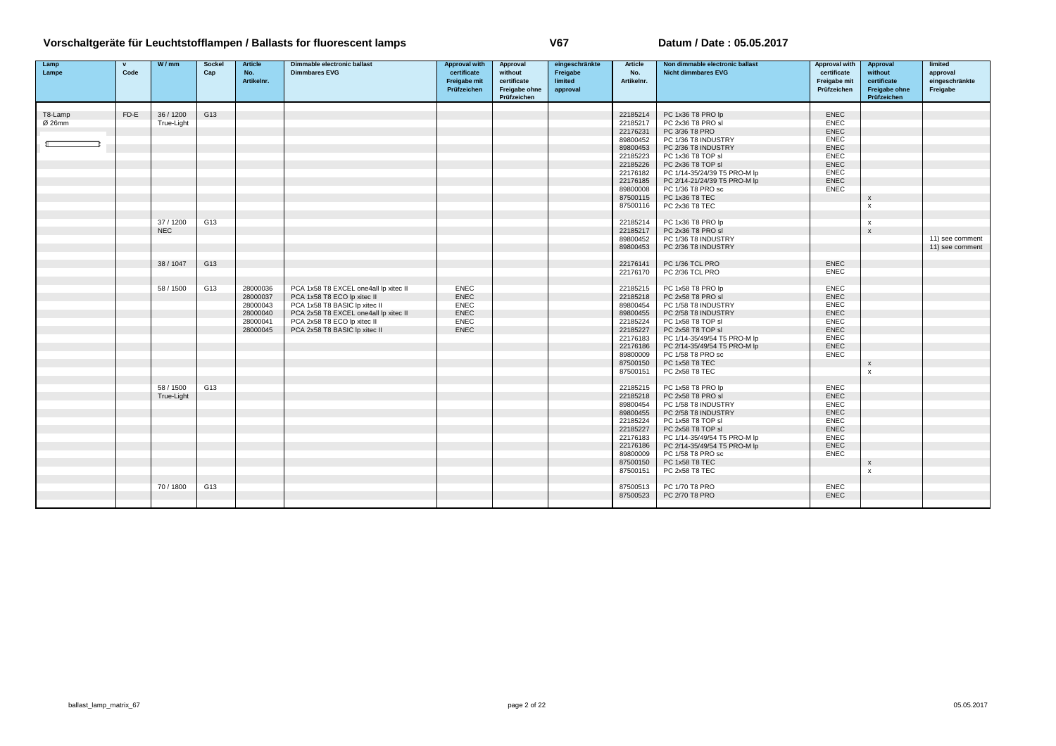| Lamp    | $\mathbf{v}$ | W/mm       | <b>Sockel</b> | <b>Article</b>    | Dimmable electronic ballast           | <b>Approval with</b>        | Approval               | eingeschränkte      | Article           | Non dimmable electronic ballast | <b>Approval with</b>        | Approval                  | limited                    |
|---------|--------------|------------|---------------|-------------------|---------------------------------------|-----------------------------|------------------------|---------------------|-------------------|---------------------------------|-----------------------------|---------------------------|----------------------------|
| Lampe   | Code         |            | Cap           | No.<br>Artikelnr. | <b>Dimmbares EVG</b>                  | certificate<br>Freigabe mit | without<br>certificate | Freigabe<br>limited | No.<br>Artikelnr. | <b>Nicht dimmbares EVG</b>      | certificate<br>Freigabe mit | without<br>certificate    | approval                   |
|         |              |            |               |                   |                                       | Prüfzeichen                 | Freigabe ohne          | approval            |                   |                                 | Prüfzeichen                 | Freigabe ohne             | eingeschränkte<br>Freigabe |
|         |              |            |               |                   |                                       |                             | Prüfzeichen            |                     |                   |                                 |                             | Prüfzeichen               |                            |
|         |              |            |               |                   |                                       |                             |                        |                     |                   |                                 |                             |                           |                            |
| T8-Lamp | FD-E         | 36 / 1200  | G13           |                   |                                       |                             |                        |                     | 22185214          | PC 1x36 T8 PRO lp               | ENEC                        |                           |                            |
| Ø 26mm  |              | True-Light |               |                   |                                       |                             |                        |                     | 22185217          | PC 2x36 T8 PRO sl               | <b>ENEC</b>                 |                           |                            |
|         |              |            |               |                   |                                       |                             |                        |                     | 22176231          | PC 3/36 T8 PRO                  | <b>ENEC</b>                 |                           |                            |
|         |              |            |               |                   |                                       |                             |                        |                     | 89800452          | PC 1/36 T8 INDUSTRY             | <b>ENEC</b>                 |                           |                            |
|         |              |            |               |                   |                                       |                             |                        |                     | 89800453          | PC 2/36 T8 INDUSTRY             | <b>ENEC</b>                 |                           |                            |
|         |              |            |               |                   |                                       |                             |                        |                     | 22185223          | PC 1x36 T8 TOP sl               | <b>ENEC</b>                 |                           |                            |
|         |              |            |               |                   |                                       |                             |                        |                     | 22185226          | PC 2x36 T8 TOP sl               | <b>ENEC</b>                 |                           |                            |
|         |              |            |               |                   |                                       |                             |                        |                     | 22176182          | PC 1/14-35/24/39 T5 PRO-M lp    | ENEC                        |                           |                            |
|         |              |            |               |                   |                                       |                             |                        |                     | 22176185          | PC 2/14-21/24/39 T5 PRO-M lp    | ENEC                        |                           |                            |
|         |              |            |               |                   |                                       |                             |                        |                     | 89800008          | PC 1/36 T8 PRO sc               | <b>ENEC</b>                 |                           |                            |
|         |              |            |               |                   |                                       |                             |                        |                     | 87500115          | PC 1x36 T8 TEC                  |                             | X                         |                            |
|         |              |            |               |                   |                                       |                             |                        |                     | 87500116          | PC 2x36 T8 TEC                  |                             | $\boldsymbol{\mathsf{x}}$ |                            |
|         |              |            |               |                   |                                       |                             |                        |                     |                   |                                 |                             |                           |                            |
|         |              | 37/1200    | G13           |                   |                                       |                             |                        |                     | 22185214          | PC 1x36 T8 PRO lp               |                             | $\boldsymbol{\mathsf{x}}$ |                            |
|         |              | <b>NEC</b> |               |                   |                                       |                             |                        |                     | 22185217          | PC 2x36 T8 PRO sl               |                             | X                         |                            |
|         |              |            |               |                   |                                       |                             |                        |                     | 89800452          | PC 1/36 T8 INDUSTRY             |                             |                           | 11) see comment            |
|         |              |            |               |                   |                                       |                             |                        |                     | 89800453          | PC 2/36 T8 INDUSTRY             |                             |                           | 11) see comment            |
|         |              |            |               |                   |                                       |                             |                        |                     |                   |                                 |                             |                           |                            |
|         |              | 38/1047    | G13           |                   |                                       |                             |                        |                     | 22176141          | PC 1/36 TCL PRO                 | <b>ENEC</b>                 |                           |                            |
|         |              |            |               |                   |                                       |                             |                        |                     | 22176170          | PC 2/36 TCL PRO                 | <b>ENEC</b>                 |                           |                            |
|         |              |            |               |                   |                                       |                             |                        |                     |                   |                                 |                             |                           |                            |
|         |              | 58 / 1500  | G13           | 28000036          | PCA 1x58 T8 EXCEL one4all lp xitec II | <b>ENEC</b>                 |                        |                     | 22185215          | PC 1x58 T8 PRO lp               | <b>ENEC</b>                 |                           |                            |
|         |              |            |               | 28000037          | PCA 1x58 T8 ECO lp xitec II           | <b>ENEC</b>                 |                        |                     | 22185218          | PC 2x58 T8 PRO sl               | <b>ENEC</b>                 |                           |                            |
|         |              |            |               | 28000043          | PCA 1x58 T8 BASIC Ip xitec II         | <b>ENEC</b>                 |                        |                     | 89800454          | PC 1/58 T8 INDUSTRY             | <b>ENEC</b>                 |                           |                            |
|         |              |            |               | 28000040          | PCA 2x58 T8 EXCEL one4all lp xitec II | <b>ENEC</b>                 |                        |                     | 89800455          | PC 2/58 T8 INDUSTRY             | <b>ENEC</b>                 |                           |                            |
|         |              |            |               | 28000041          | PCA 2x58 T8 ECO lp xitec II           | <b>ENEC</b>                 |                        |                     | 22185224          | PC 1x58 T8 TOP sl               | <b>ENEC</b>                 |                           |                            |
|         |              |            |               | 28000045          | PCA 2x58 T8 BASIC Ip xitec II         | <b>ENEC</b>                 |                        |                     | 22185227          | PC 2x58 T8 TOP sl               | ENEC                        |                           |                            |
|         |              |            |               |                   |                                       |                             |                        |                     | 22176183          | PC 1/14-35/49/54 T5 PRO-M lp    | <b>ENEC</b>                 |                           |                            |
|         |              |            |               |                   |                                       |                             |                        |                     | 22176186          | PC 2/14-35/49/54 T5 PRO-M lp    | ENEC                        |                           |                            |
|         |              |            |               |                   |                                       |                             |                        |                     | 89800009          | PC 1/58 T8 PRO sc               | <b>ENEC</b>                 |                           |                            |
|         |              |            |               |                   |                                       |                             |                        |                     | 87500150          | PC 1x58 T8 TEC                  |                             | $\mathsf{x}$              |                            |
|         |              |            |               |                   |                                       |                             |                        |                     | 87500151          | PC 2x58 T8 TEC                  |                             | $\boldsymbol{\mathsf{x}}$ |                            |
|         |              |            |               |                   |                                       |                             |                        |                     |                   |                                 |                             |                           |                            |
|         |              | 58 / 1500  | G13           |                   |                                       |                             |                        |                     | 22185215          | PC 1x58 T8 PRO lp               | <b>ENEC</b>                 |                           |                            |
|         |              | True-Light |               |                   |                                       |                             |                        |                     | 22185218          | PC 2x58 T8 PRO sl               | <b>ENEC</b>                 |                           |                            |
|         |              |            |               |                   |                                       |                             |                        |                     | 89800454          | PC 1/58 T8 INDUSTRY             | <b>ENEC</b>                 |                           |                            |
|         |              |            |               |                   |                                       |                             |                        |                     | 89800455          | PC 2/58 T8 INDUSTRY             | ENEC                        |                           |                            |
|         |              |            |               |                   |                                       |                             |                        |                     | 22185224          | PC 1x58 T8 TOP sl               | <b>ENEC</b>                 |                           |                            |
|         |              |            |               |                   |                                       |                             |                        |                     | 22185227          | PC 2x58 T8 TOP sl               | ENEC                        |                           |                            |
|         |              |            |               |                   |                                       |                             |                        |                     | 22176183          | PC 1/14-35/49/54 T5 PRO-M lp    | <b>ENEC</b>                 |                           |                            |
|         |              |            |               |                   |                                       |                             |                        |                     | 22176186          | PC 2/14-35/49/54 T5 PRO-M lp    | <b>ENEC</b>                 |                           |                            |
|         |              |            |               |                   |                                       |                             |                        |                     | 89800009          | PC 1/58 T8 PRO sc               | <b>ENEC</b>                 |                           |                            |
|         |              |            |               |                   |                                       |                             |                        |                     | 87500150          | PC 1x58 T8 TEC                  |                             | X                         |                            |
|         |              |            |               |                   |                                       |                             |                        |                     | 87500151          | PC 2x58 T8 TEC                  |                             | $\boldsymbol{\mathsf{x}}$ |                            |
|         |              |            |               |                   |                                       |                             |                        |                     |                   |                                 |                             |                           |                            |
|         |              | 70/1800    | G13           |                   |                                       |                             |                        |                     | 87500513          | PC 1/70 T8 PRO                  | <b>ENEC</b>                 |                           |                            |
|         |              |            |               |                   |                                       |                             |                        |                     | 87500523          | PC 2/70 T8 PRO                  | <b>ENEC</b>                 |                           |                            |
|         |              |            |               |                   |                                       |                             |                        |                     |                   |                                 |                             |                           |                            |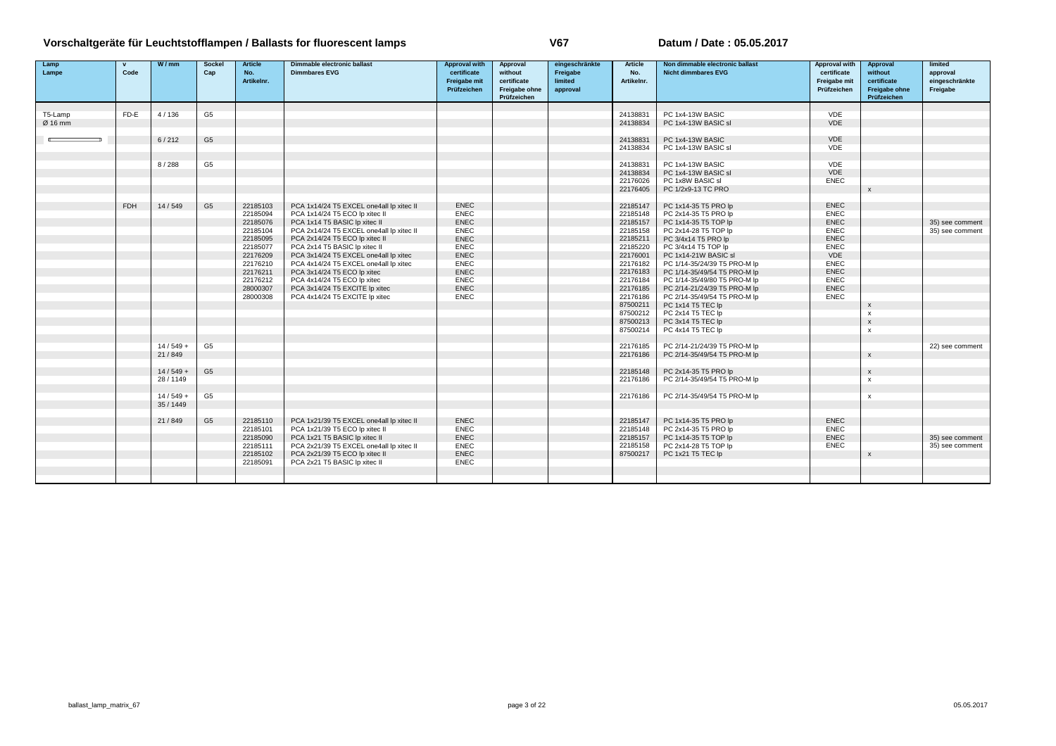| Lamp    | $\mathbf{v}$ | W/mm       | Socke          | <b>Article</b> | Dimmable electronic ballast              | <b>Approval with</b> | Approval      | eingeschränkte | <b>Article</b> | Non dimmable electronic ballast | <b>Approval with</b> | Approval                  | limited         |
|---------|--------------|------------|----------------|----------------|------------------------------------------|----------------------|---------------|----------------|----------------|---------------------------------|----------------------|---------------------------|-----------------|
| Lampe   | Code         |            | Cap            | No.            | <b>Dimmbares EVG</b>                     | certificate          | without       | Freigabe       | No.            | <b>Nicht dimmbares EVG</b>      | certificate          | without                   | approval        |
|         |              |            |                | Artikelnr.     |                                          | Freigabe mit         | certificate   | limited        | Artikelnr.     |                                 | Freigabe mit         | certificate               | eingeschränkte  |
|         |              |            |                |                |                                          | Prüfzeichen          | Freigabe ohne | approval       |                |                                 | Prüfzeichen          | Freigabe ohne             | Freigabe        |
|         |              |            |                |                |                                          |                      | Prüfzeichen   |                |                |                                 |                      | Prüfzeichen               |                 |
|         |              |            |                |                |                                          |                      |               |                |                |                                 |                      |                           |                 |
| T5-Lamp | FD-E         | 4/136      | G <sub>5</sub> |                |                                          |                      |               |                | 24138831       | PC 1x4-13W BASIC                | VDE                  |                           |                 |
| Ø 16 mm |              |            |                |                |                                          |                      |               |                | 24138834       | PC 1x4-13W BASIC sl             | VDE                  |                           |                 |
|         |              |            |                |                |                                          |                      |               |                |                |                                 |                      |                           |                 |
|         |              | 6/212      | G <sub>5</sub> |                |                                          |                      |               |                | 24138831       | PC 1x4-13W BASIC                | VDE                  |                           |                 |
|         |              |            |                |                |                                          |                      |               |                | 24138834       | PC 1x4-13W BASIC sl             | VDE                  |                           |                 |
|         |              |            |                |                |                                          |                      |               |                |                |                                 |                      |                           |                 |
|         |              | 8/288      | G <sub>5</sub> |                |                                          |                      |               |                | 24138831       | PC 1x4-13W BASIC                | VDE                  |                           |                 |
|         |              |            |                |                |                                          |                      |               |                | 24138834       | PC 1x4-13W BASIC sl             | VDE                  |                           |                 |
|         |              |            |                |                |                                          |                      |               |                | 22176026       | PC 1x8W BASIC sl                | ENEC                 |                           |                 |
|         |              |            |                |                |                                          |                      |               |                | 22176405       | PC 1/2x9-13 TC PRO              |                      | $\mathsf{x}$              |                 |
|         |              |            |                |                |                                          |                      |               |                |                |                                 |                      |                           |                 |
|         | <b>FDH</b>   | 14/549     | G <sub>5</sub> | 22185103       | PCA 1x14/24 T5 EXCEL one4all lp xitec II | <b>ENEC</b>          |               |                | 22185147       | PC 1x14-35 T5 PRO lp            | <b>ENEC</b>          |                           |                 |
|         |              |            |                | 22185094       | PCA 1x14/24 T5 ECO lp xitec II           | <b>ENEC</b>          |               |                | 22185148       | PC 2x14-35 T5 PRO lp            | <b>ENEC</b>          |                           |                 |
|         |              |            |                | 22185076       | PCA 1x14 T5 BASIC Ip xitec II            | ENEC                 |               |                | 22185157       | PC 1x14-35 T5 TOP lp            | <b>ENEC</b>          |                           | 35) see comment |
|         |              |            |                | 22185104       | PCA 2x14/24 T5 EXCEL one4all lp xitec II | <b>ENEC</b>          |               |                | 22185158       | PC 2x14-28 T5 TOP Ip            | <b>ENEC</b>          |                           | 35) see comment |
|         |              |            |                | 22185095       | PCA 2x14/24 T5 ECO lp xitec II           | <b>ENEC</b>          |               |                | 22185211       | PC 3/4x14 T5 PRO lp             | <b>ENEC</b>          |                           |                 |
|         |              |            |                | 22185077       | PCA 2x14 T5 BASIC lp xitec II            | <b>ENEC</b>          |               |                | 22185220       | PC 3/4x14 T5 TOP lp             | <b>ENEC</b>          |                           |                 |
|         |              |            |                | 22176209       | PCA 3x14/24 T5 EXCEL one4all lp xitec    | <b>ENEC</b>          |               |                | 22176001       | PC 1x14-21W BASIC sl            | VDE                  |                           |                 |
|         |              |            |                | 22176210       | PCA 4x14/24 T5 EXCEL one4all lp xitec    | <b>ENEC</b>          |               |                | 22176182       | PC 1/14-35/24/39 T5 PRO-M lp    | <b>ENEC</b>          |                           |                 |
|         |              |            |                | 22176211       | PCA 3x14/24 T5 ECO lp xitec              | <b>ENEC</b>          |               |                | 22176183       | PC 1/14-35/49/54 T5 PRO-M lp    | <b>ENEC</b>          |                           |                 |
|         |              |            |                | 22176212       | PCA 4x14/24 T5 ECO lp xitec              | <b>ENEC</b>          |               |                | 22176184       | PC 1/14-35/49/80 T5 PRO-M lp    | <b>ENEC</b>          |                           |                 |
|         |              |            |                | 28000307       | PCA 3x14/24 T5 EXCITE Ip xitec           | <b>ENEC</b>          |               |                | 22176185       | PC 2/14-21/24/39 T5 PRO-M lp    | ENEC                 |                           |                 |
|         |              |            |                | 28000308       | PCA 4x14/24 T5 EXCITE Ip xitec           | <b>ENEC</b>          |               |                | 22176186       | PC 2/14-35/49/54 T5 PRO-M lp    | <b>ENEC</b>          |                           |                 |
|         |              |            |                |                |                                          |                      |               |                | 87500211       | PC 1x14 T5 TEC lp               |                      | $\boldsymbol{\mathsf{x}}$ |                 |
|         |              |            |                |                |                                          |                      |               |                | 87500212       | PC 2x14 T5 TEC Ip               |                      | $\mathsf{x}$              |                 |
|         |              |            |                |                |                                          |                      |               |                | 87500213       | PC 3x14 T5 TEC lp               |                      | $\boldsymbol{\mathsf{x}}$ |                 |
|         |              |            |                |                |                                          |                      |               |                | 87500214       | PC 4x14 T5 TEC lp               |                      | $\mathsf{x}$              |                 |
|         |              |            |                |                |                                          |                      |               |                |                |                                 |                      |                           |                 |
|         |              | $14/549 +$ | G <sub>5</sub> |                |                                          |                      |               |                | 22176185       | PC 2/14-21/24/39 T5 PRO-M lp    |                      |                           | 22) see comment |
|         |              | 21/849     |                |                |                                          |                      |               |                | 22176186       | PC 2/14-35/49/54 T5 PRO-M lp    |                      | $\mathsf{x}$              |                 |
|         |              |            |                |                |                                          |                      |               |                |                |                                 |                      |                           |                 |
|         |              | $14/549 +$ | G <sub>5</sub> |                |                                          |                      |               |                | 22185148       | PC 2x14-35 T5 PRO lp            |                      | $\boldsymbol{\mathsf{x}}$ |                 |
|         |              | 28/1149    |                |                |                                          |                      |               |                | 22176186       | PC 2/14-35/49/54 T5 PRO-M lp    |                      | $\mathsf{x}$              |                 |
|         |              |            |                |                |                                          |                      |               |                |                |                                 |                      |                           |                 |
|         |              | $14/549 +$ | G <sub>5</sub> |                |                                          |                      |               |                | 22176186       | PC 2/14-35/49/54 T5 PRO-M lp    |                      | $\mathbf{x}$              |                 |
|         |              | 35 / 1449  |                |                |                                          |                      |               |                |                |                                 |                      |                           |                 |
|         |              |            |                |                |                                          |                      |               |                |                |                                 |                      |                           |                 |
|         |              | 21/849     | G <sub>5</sub> | 22185110       | PCA 1x21/39 T5 EXCEL one4all lp xitec II | <b>ENEC</b>          |               |                | 22185147       | PC 1x14-35 T5 PRO lp            | <b>ENEC</b>          |                           |                 |
|         |              |            |                | 22185101       | PCA 1x21/39 T5 ECO lp xitec II           | <b>ENEC</b>          |               |                | 22185148       | PC 2x14-35 T5 PRO lp            | <b>ENEC</b>          |                           |                 |
|         |              |            |                | 22185090       | PCA 1x21 T5 BASIC Ip xitec II            | <b>ENEC</b>          |               |                | 22185157       | PC 1x14-35 T5 TOP Ip            | <b>ENEC</b>          |                           | 35) see comment |
|         |              |            |                | 22185111       | PCA 2x21/39 T5 EXCEL one4all lp xitec II | <b>ENEC</b>          |               |                | 22185158       | PC 2x14-28 T5 TOP lp            | <b>ENEC</b>          |                           | 35) see comment |
|         |              |            |                | 22185102       | PCA 2x21/39 T5 ECO lp xitec II           | <b>ENEC</b>          |               |                | 87500217       | PC 1x21 T5 TEC lp               |                      | $\boldsymbol{\mathsf{x}}$ |                 |
|         |              |            |                | 22185091       | PCA 2x21 T5 BASIC Ip xitec II            | <b>ENEC</b>          |               |                |                |                                 |                      |                           |                 |
|         |              |            |                |                |                                          |                      |               |                |                |                                 |                      |                           |                 |
|         |              |            |                |                |                                          |                      |               |                |                |                                 |                      |                           |                 |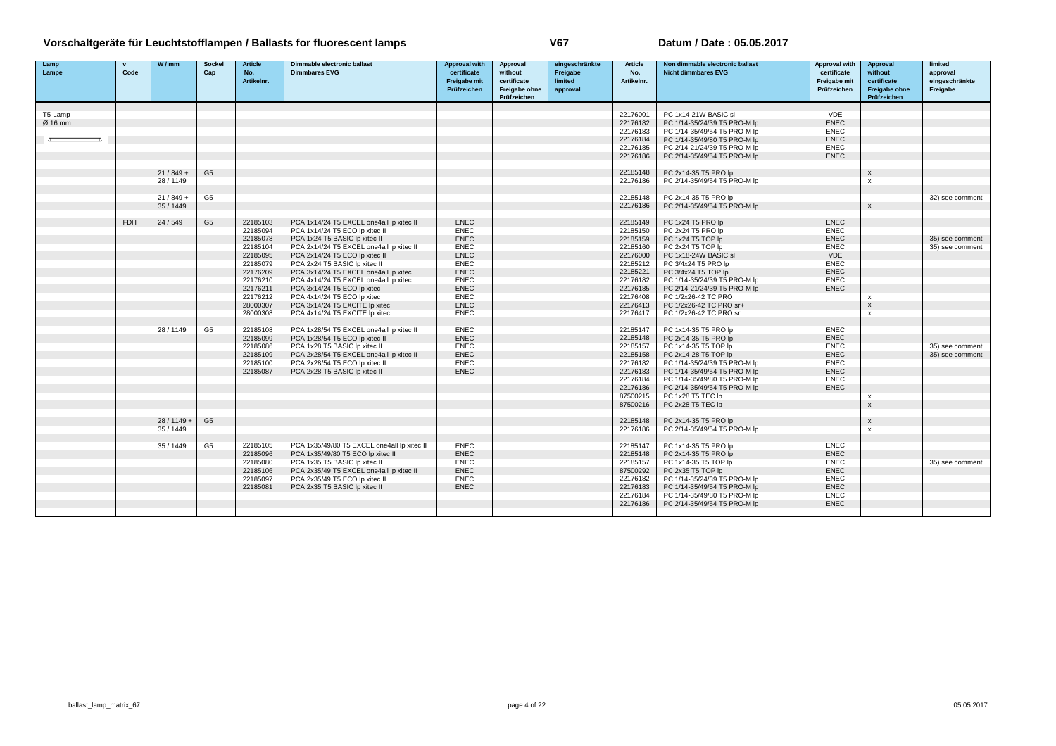| Lamp    | $\mathbf{v}$ | W/mm        | <b>Sockel</b>  | <b>Article</b> | <b>Dimmable electronic ballast</b>          | <b>Approval with</b> | Approval      | eingeschränkte | <b>Article</b> | Non dimmable electronic ballast | <b>Approval with</b> | Approval                  | limited         |
|---------|--------------|-------------|----------------|----------------|---------------------------------------------|----------------------|---------------|----------------|----------------|---------------------------------|----------------------|---------------------------|-----------------|
| Lampe   | Code         |             | Cap            | No.            | <b>Dimmbares EVG</b>                        | certificate          | without       | Freigabe       | No.            | <b>Nicht dimmbares EVG</b>      | certificate          | without                   | approval        |
|         |              |             |                | Artikelnr.     |                                             | <b>Freigabe mit</b>  | certificate   | limited        | Artikelnr.     |                                 | <b>Freigabe mit</b>  | certificate               | eingeschränkte  |
|         |              |             |                |                |                                             | Prüfzeichen          | Freigabe ohne | approval       |                |                                 | Prüfzeichen          | <b>Freigabe ohne</b>      | Freigabe        |
|         |              |             |                |                |                                             |                      | Prüfzeichen   |                |                |                                 |                      | Prüfzeichen               |                 |
|         |              |             |                |                |                                             |                      |               |                |                |                                 |                      |                           |                 |
| T5-Lamp |              |             |                |                |                                             |                      |               |                | 22176001       | PC 1x14-21W BASIC sl            | <b>VDE</b>           |                           |                 |
| Ø 16 mm |              |             |                |                |                                             |                      |               |                | 22176182       | PC 1/14-35/24/39 T5 PRO-M lp    | <b>ENEC</b>          |                           |                 |
|         |              |             |                |                |                                             |                      |               |                | 22176183       | PC 1/14-35/49/54 T5 PRO-M lp    | <b>ENEC</b>          |                           |                 |
|         |              |             |                |                |                                             |                      |               |                | 22176184       | PC 1/14-35/49/80 T5 PRO-M lp    | <b>ENEC</b>          |                           |                 |
|         |              |             |                |                |                                             |                      |               |                | 22176185       | PC 2/14-21/24/39 T5 PRO-M lp    | <b>ENEC</b>          |                           |                 |
|         |              |             |                |                |                                             |                      |               |                | 22176186       | PC 2/14-35/49/54 T5 PRO-M lp    | <b>ENEC</b>          |                           |                 |
|         |              |             |                |                |                                             |                      |               |                |                |                                 |                      |                           |                 |
|         |              | $21/849 +$  | G <sub>5</sub> |                |                                             |                      |               |                | 22185148       | PC 2x14-35 T5 PRO lp            |                      | $\boldsymbol{\mathsf{x}}$ |                 |
|         |              | 28 / 1149   |                |                |                                             |                      |               |                | 22176186       | PC 2/14-35/49/54 T5 PRO-M lp    |                      | $\boldsymbol{\mathsf{x}}$ |                 |
|         |              |             |                |                |                                             |                      |               |                |                |                                 |                      |                           |                 |
|         |              | $21/849 +$  | G <sub>5</sub> |                |                                             |                      |               |                | 22185148       | PC 2x14-35 T5 PRO lp            |                      |                           | 32) see comment |
|         |              | 35 / 1449   |                |                |                                             |                      |               |                | 22176186       | PC 2/14-35/49/54 T5 PRO-M lp    |                      | $\mathsf{x}$              |                 |
|         |              |             |                |                |                                             |                      |               |                |                |                                 |                      |                           |                 |
|         | <b>FDH</b>   | 24/549      | G <sub>5</sub> | 22185103       | PCA 1x14/24 T5 EXCEL one4all lp xitec II    | <b>ENEC</b>          |               |                | 22185149       | PC 1x24 T5 PRO lp               | <b>ENEC</b>          |                           |                 |
|         |              |             |                | 22185094       | PCA 1x14/24 T5 ECO lp xitec II              | <b>ENEC</b>          |               |                | 22185150       | PC 2x24 T5 PRO lp               | <b>ENEC</b>          |                           |                 |
|         |              |             |                | 22185078       | PCA 1x24 T5 BASIC Ip xitec II               | <b>ENEC</b>          |               |                | 22185159       | PC 1x24 T5 TOP Ip               | <b>ENEC</b>          |                           | 35) see comment |
|         |              |             |                | 22185104       | PCA 2x14/24 T5 EXCEL one4all lp xitec II    | <b>ENEC</b>          |               |                | 22185160       | PC 2x24 T5 TOP Ip               | <b>ENEC</b>          |                           | 35) see comment |
|         |              |             |                | 22185095       | PCA 2x14/24 T5 ECO lp xitec II              | <b>ENEC</b>          |               |                | 22176000       | PC 1x18-24W BASIC sl            | <b>VDE</b>           |                           |                 |
|         |              |             |                | 22185079       | PCA 2x24 T5 BASIC Ip xitec II               | <b>ENEC</b>          |               |                | 22185212       | PC 3/4x24 T5 PRO lp             | <b>ENEC</b>          |                           |                 |
|         |              |             |                | 22176209       | PCA 3x14/24 T5 EXCEL one4all lp xitec       | <b>ENEC</b>          |               |                | 22185221       | PC 3/4x24 T5 TOP lp             | <b>ENEC</b>          |                           |                 |
|         |              |             |                | 22176210       | PCA 4x14/24 T5 EXCEL one4all lp xitec       | <b>ENEC</b>          |               |                | 22176182       | PC 1/14-35/24/39 T5 PRO-M lp    | <b>ENEC</b>          |                           |                 |
|         |              |             |                | 22176211       | PCA 3x14/24 T5 ECO lp xitec                 | <b>ENEC</b>          |               |                | 22176185       | PC 2/14-21/24/39 T5 PRO-M lp    | <b>ENEC</b>          |                           |                 |
|         |              |             |                | 22176212       | PCA 4x14/24 T5 ECO lp xitec                 | <b>ENEC</b>          |               |                | 22176408       | PC 1/2x26-42 TC PRO             |                      | $\boldsymbol{\mathsf{x}}$ |                 |
|         |              |             |                | 28000307       | PCA 3x14/24 T5 EXCITE Ip xitec              | <b>ENEC</b>          |               |                | 22176413       | PC 1/2x26-42 TC PRO sr+         |                      | $\boldsymbol{\mathsf{x}}$ |                 |
|         |              |             |                | 28000308       | PCA 4x14/24 T5 EXCITE Ip xitec              | <b>ENEC</b>          |               |                | 22176417       | PC 1/2x26-42 TC PRO sr          |                      | $\boldsymbol{\mathsf{x}}$ |                 |
|         |              |             |                |                |                                             |                      |               |                |                |                                 |                      |                           |                 |
|         |              | 28 / 1149   | G <sub>5</sub> | 22185108       | PCA 1x28/54 T5 EXCEL one4all lp xitec II    | <b>ENEC</b>          |               |                | 22185147       | PC 1x14-35 T5 PRO lp            | <b>ENEC</b>          |                           |                 |
|         |              |             |                | 22185099       | PCA 1x28/54 T5 ECO lp xitec II              | <b>ENEC</b>          |               |                | 22185148       | PC 2x14-35 T5 PRO lp            | <b>ENEC</b>          |                           |                 |
|         |              |             |                | 22185086       | PCA 1x28 T5 BASIC Ip xitec II               | <b>ENEC</b>          |               |                | 22185157       | PC 1x14-35 T5 TOP lp            | <b>ENEC</b>          |                           | 35) see comment |
|         |              |             |                | 22185109       | PCA 2x28/54 T5 EXCEL one4all lp xitec II    | <b>ENEC</b>          |               |                | 22185158       | PC 2x14-28 T5 TOP lp            | <b>ENEC</b>          |                           | 35) see comment |
|         |              |             |                | 22185100       | PCA 2x28/54 T5 ECO lp xitec II              | <b>ENEC</b>          |               |                | 22176182       | PC 1/14-35/24/39 T5 PRO-M lp    | <b>ENEC</b>          |                           |                 |
|         |              |             |                | 22185087       | PCA 2x28 T5 BASIC Ip xitec II               | <b>ENEC</b>          |               |                | 22176183       | PC 1/14-35/49/54 T5 PRO-M lp    | <b>ENEC</b>          |                           |                 |
|         |              |             |                |                |                                             |                      |               |                | 22176184       | PC 1/14-35/49/80 T5 PRO-M lp    | <b>ENEC</b>          |                           |                 |
|         |              |             |                |                |                                             |                      |               |                | 22176186       | PC 2/14-35/49/54 T5 PRO-M lp    | <b>ENEC</b>          |                           |                 |
|         |              |             |                |                |                                             |                      |               |                | 87500215       | PC 1x28 T5 TEC lp               |                      | $\boldsymbol{\mathsf{x}}$ |                 |
|         |              |             |                |                |                                             |                      |               |                | 87500216       | PC 2x28 T5 TEC lp               |                      | $\mathbf{x}$              |                 |
|         |              |             |                |                |                                             |                      |               |                |                |                                 |                      |                           |                 |
|         |              | 28 / 1149 + | G <sub>5</sub> |                |                                             |                      |               |                | 22185148       | PC 2x14-35 T5 PRO lp            |                      | $\boldsymbol{\mathsf{x}}$ |                 |
|         |              | 35 / 1449   |                |                |                                             |                      |               |                | 22176186       | PC 2/14-35/49/54 T5 PRO-M lp    |                      | $\boldsymbol{x}$          |                 |
|         |              |             |                |                |                                             |                      |               |                |                |                                 |                      |                           |                 |
|         |              | 35 / 1449   | G <sub>5</sub> | 22185105       | PCA 1x35/49/80 T5 EXCEL one4all lp xitec II | <b>ENEC</b>          |               |                | 22185147       | PC 1x14-35 T5 PRO lp            | <b>ENEC</b>          |                           |                 |
|         |              |             |                | 22185096       | PCA 1x35/49/80 T5 ECO lp xitec II           | <b>ENEC</b>          |               |                | 22185148       | PC 2x14-35 T5 PRO lp            | ENEC                 |                           |                 |
|         |              |             |                | 22185080       | PCA 1x35 T5 BASIC Ip xitec II               | <b>ENEC</b>          |               |                | 22185157       | PC 1x14-35 T5 TOP lp            | <b>ENEC</b>          |                           | 35) see comment |
|         |              |             |                | 22185106       | PCA 2x35/49 T5 EXCEL one4all lp xitec II    | <b>ENEC</b>          |               |                | 87500292       | PC 2x35 T5 TOP lp               | <b>ENEC</b>          |                           |                 |
|         |              |             |                | 22185097       | PCA 2x35/49 T5 ECO lp xitec II              | <b>ENEC</b>          |               |                | 22176182       | PC 1/14-35/24/39 T5 PRO-M lp    | <b>ENEC</b>          |                           |                 |
|         |              |             |                | 22185081       | PCA 2x35 T5 BASIC Ip xitec II               | <b>ENEC</b>          |               |                | 22176183       | PC 1/14-35/49/54 T5 PRO-M lp    | <b>ENEC</b>          |                           |                 |
|         |              |             |                |                |                                             |                      |               |                | 22176184       | PC 1/14-35/49/80 T5 PRO-M lp    | <b>ENEC</b>          |                           |                 |
|         |              |             |                |                |                                             |                      |               |                | 22176186       | PC 2/14-35/49/54 T5 PRO-M lp    | <b>ENEC</b>          |                           |                 |
|         |              |             |                |                |                                             |                      |               |                |                |                                 |                      |                           |                 |
|         |              |             |                |                |                                             |                      |               |                |                |                                 |                      |                           |                 |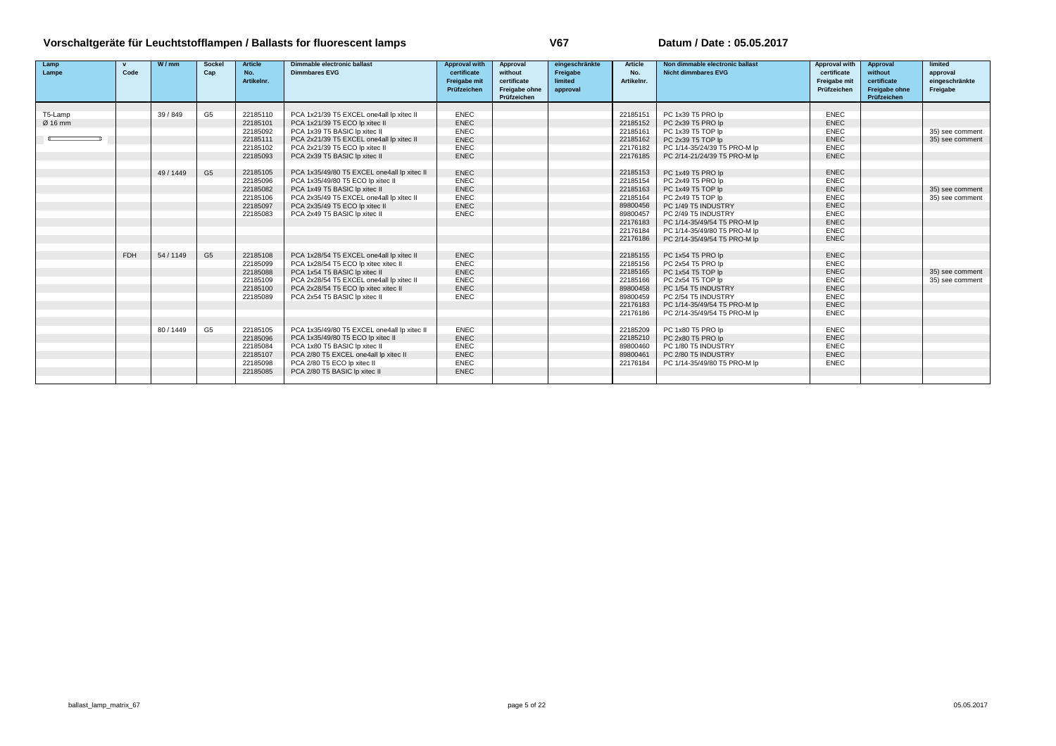| Lamp<br>Lampe | $\mathbf{v}$<br>Code | W/mm      | Sockel<br>Cap  | <b>Article</b><br>No. | Dimmable electronic ballast<br><b>Dimmbares EVG</b>             | <b>Approval with</b><br>certificate | Approval<br>without                         | eingeschränkte<br>Freigabe | Article<br>No.       | Non dimmable electronic ballast<br><b>Nicht dimmbares EVG</b> | Approval with<br>certificate | Approval<br>without                         | limited<br>approval        |
|---------------|----------------------|-----------|----------------|-----------------------|-----------------------------------------------------------------|-------------------------------------|---------------------------------------------|----------------------------|----------------------|---------------------------------------------------------------|------------------------------|---------------------------------------------|----------------------------|
|               |                      |           |                | Artikelnr.            |                                                                 | <b>Freigabe mit</b><br>Prüfzeichen  | certificate<br>Freigabe ohne<br>Prüfzeichen | limited<br>approval        | Artikelnr.           |                                                               | Freigabe mit<br>Prüfzeichen  | certificate<br>Freigabe ohne<br>Prüfzeichen | eingeschränkte<br>Freigabe |
|               |                      |           |                |                       |                                                                 |                                     |                                             |                            |                      |                                                               |                              |                                             |                            |
| T5-Lamp       |                      | 39/849    | G <sub>5</sub> | 22185110              | PCA 1x21/39 T5 EXCEL one4all lp xitec II                        | <b>ENEC</b>                         |                                             |                            | 22185151             | PC 1x39 T5 PRO lp                                             | ENEC                         |                                             |                            |
| Ø 16 mm       |                      |           |                | 22185101              | PCA 1x21/39 T5 ECO lp xitec II                                  | <b>ENEC</b>                         |                                             |                            | 22185152             | PC 2x39 T5 PRO lp                                             | <b>ENEC</b>                  |                                             |                            |
|               |                      |           |                | 22185092              | PCA 1x39 T5 BASIC Ip xitec II                                   | <b>ENEC</b><br><b>ENEC</b>          |                                             |                            | 22185161             | PC 1x39 T5 TOP Ip<br>PC 2x39 T5 TOP Ip                        | ENEC<br><b>ENEC</b>          |                                             | 35) see comment            |
|               |                      |           |                | 22185111              | PCA 2x21/39 T5 EXCEL one4all lp xitec II                        | <b>ENEC</b>                         |                                             |                            | 22185162             |                                                               | <b>ENEC</b>                  |                                             | 35) see comment            |
|               |                      |           |                | 22185102<br>22185093  | PCA 2x21/39 T5 ECO lp xitec II<br>PCA 2x39 T5 BASIC Ip xitec II | <b>ENEC</b>                         |                                             |                            | 22176182<br>22176185 | PC 1/14-35/24/39 T5 PRO-M lp                                  | <b>ENEC</b>                  |                                             |                            |
|               |                      |           |                |                       |                                                                 |                                     |                                             |                            |                      | PC 2/14-21/24/39 T5 PRO-M lp                                  |                              |                                             |                            |
|               |                      | 49 / 1449 | G <sub>5</sub> | 22185105              | PCA 1x35/49/80 T5 EXCEL one4all lp xitec II                     | <b>ENEC</b>                         |                                             |                            | 22185153             | PC 1x49 T5 PRO lp                                             | <b>ENEC</b>                  |                                             |                            |
|               |                      |           |                | 22185096              | PCA 1x35/49/80 T5 ECO lp xitec II                               | <b>ENEC</b>                         |                                             |                            | 22185154             | PC 2x49 T5 PRO lp                                             | <b>ENEC</b>                  |                                             |                            |
|               |                      |           |                | 22185082              | PCA 1x49 T5 BASIC Ip xitec II                                   | <b>ENEC</b>                         |                                             |                            | 22185163             | PC 1x49 T5 TOP Ip                                             | <b>ENEC</b>                  |                                             | 35) see comment            |
|               |                      |           |                | 22185106              | PCA 2x35/49 T5 EXCEL one4all lp xitec II                        | <b>ENEC</b>                         |                                             |                            | 22185164             | PC 2x49 T5 TOP Ip                                             | <b>ENEC</b>                  |                                             | 35) see comment            |
|               |                      |           |                | 22185097              | PCA 2x35/49 T5 ECO lp xitec II                                  | <b>ENEC</b>                         |                                             |                            | 89800456             | PC 1/49 T5 INDUSTRY                                           | <b>ENEC</b>                  |                                             |                            |
|               |                      |           |                | 22185083              | PCA 2x49 T5 BASIC Ip xitec II                                   | <b>ENEC</b>                         |                                             |                            | 89800457             | PC 2/49 T5 INDUSTRY                                           | <b>ENEC</b>                  |                                             |                            |
|               |                      |           |                |                       |                                                                 |                                     |                                             |                            | 22176183             | PC 1/14-35/49/54 T5 PRO-M lp                                  | <b>ENEC</b>                  |                                             |                            |
|               |                      |           |                |                       |                                                                 |                                     |                                             |                            | 22176184             | PC 1/14-35/49/80 T5 PRO-M lp                                  | <b>ENEC</b>                  |                                             |                            |
|               |                      |           |                |                       |                                                                 |                                     |                                             |                            | 22176186             | PC 2/14-35/49/54 T5 PRO-M lp                                  | <b>ENEC</b>                  |                                             |                            |
|               | <b>FDH</b>           | 54 / 1149 | G <sub>5</sub> | 22185108              | PCA 1x28/54 T5 EXCEL one4all lp xitec II                        | <b>ENEC</b>                         |                                             |                            | 22185155             | PC 1x54 T5 PRO lp                                             | <b>ENEC</b>                  |                                             |                            |
|               |                      |           |                | 22185099              | PCA 1x28/54 T5 ECO lp xitec xitec II                            | <b>ENEC</b>                         |                                             |                            | 22185156             | PC 2x54 T5 PRO lp                                             | <b>ENEC</b>                  |                                             |                            |
|               |                      |           |                | 22185088              | PCA 1x54 T5 BASIC Ip xitec II                                   | <b>ENEC</b>                         |                                             |                            | 22185165             | PC 1x54 T5 TOP Ip                                             | <b>ENEC</b>                  |                                             | 35) see comment            |
|               |                      |           |                | 22185109              | PCA 2x28/54 T5 EXCEL one4all lp xitec II                        | <b>ENEC</b>                         |                                             |                            | 22185166             | PC 2x54 T5 TOP Ip                                             | <b>ENEC</b>                  |                                             | 35) see comment            |
|               |                      |           |                | 22185100              | PCA 2x28/54 T5 ECO lp xitec xitec II                            | <b>ENEC</b>                         |                                             |                            | 89800458             | PC 1/54 T5 INDUSTRY                                           | <b>ENEC</b>                  |                                             |                            |
|               |                      |           |                | 22185089              | PCA 2x54 T5 BASIC Ip xitec II                                   | <b>ENEC</b>                         |                                             |                            | 89800459             | PC 2/54 T5 INDUSTRY                                           | <b>ENEC</b>                  |                                             |                            |
|               |                      |           |                |                       |                                                                 |                                     |                                             |                            | 22176183             | PC 1/14-35/49/54 T5 PRO-M lp                                  | <b>ENEC</b>                  |                                             |                            |
|               |                      |           |                |                       |                                                                 |                                     |                                             |                            | 22176186             | PC 2/14-35/49/54 T5 PRO-M lp                                  | <b>ENEC</b>                  |                                             |                            |
|               |                      | 80/1449   |                | 22185105              | PCA 1x35/49/80 T5 EXCEL one4all lp xitec II                     | <b>ENEC</b>                         |                                             |                            |                      | PC 1x80 T5 PRO lp                                             | <b>ENEC</b>                  |                                             |                            |
|               |                      |           | G <sub>5</sub> | 22185096              | PCA 1x35/49/80 T5 ECO lp xitec II                               | <b>ENEC</b>                         |                                             |                            | 22185209<br>22185210 | PC 2x80 T5 PRO lp                                             | <b>ENEC</b>                  |                                             |                            |
|               |                      |           |                | 22185084              | PCA 1x80 T5 BASIC Ip xitec II                                   | <b>ENEC</b>                         |                                             |                            | 89800460             | PC 1/80 T5 INDUSTRY                                           | <b>ENEC</b>                  |                                             |                            |
|               |                      |           |                | 22185107              | PCA 2/80 T5 EXCEL one4all lp xitec II                           | <b>ENEC</b>                         |                                             |                            | 89800461             | PC 2/80 T5 INDUSTRY                                           | <b>ENEC</b>                  |                                             |                            |
|               |                      |           |                | 22185098              | PCA 2/80 T5 ECO lp xitec II                                     | <b>ENEC</b>                         |                                             |                            | 22176184             | PC 1/14-35/49/80 T5 PRO-M lp                                  | <b>ENEC</b>                  |                                             |                            |
|               |                      |           |                | 22185085              | PCA 2/80 T5 BASIC Ip xitec II                                   | <b>ENEC</b>                         |                                             |                            |                      |                                                               |                              |                                             |                            |
|               |                      |           |                |                       |                                                                 |                                     |                                             |                            |                      |                                                               |                              |                                             |                            |
|               |                      |           |                |                       |                                                                 |                                     |                                             |                            |                      |                                                               |                              |                                             |                            |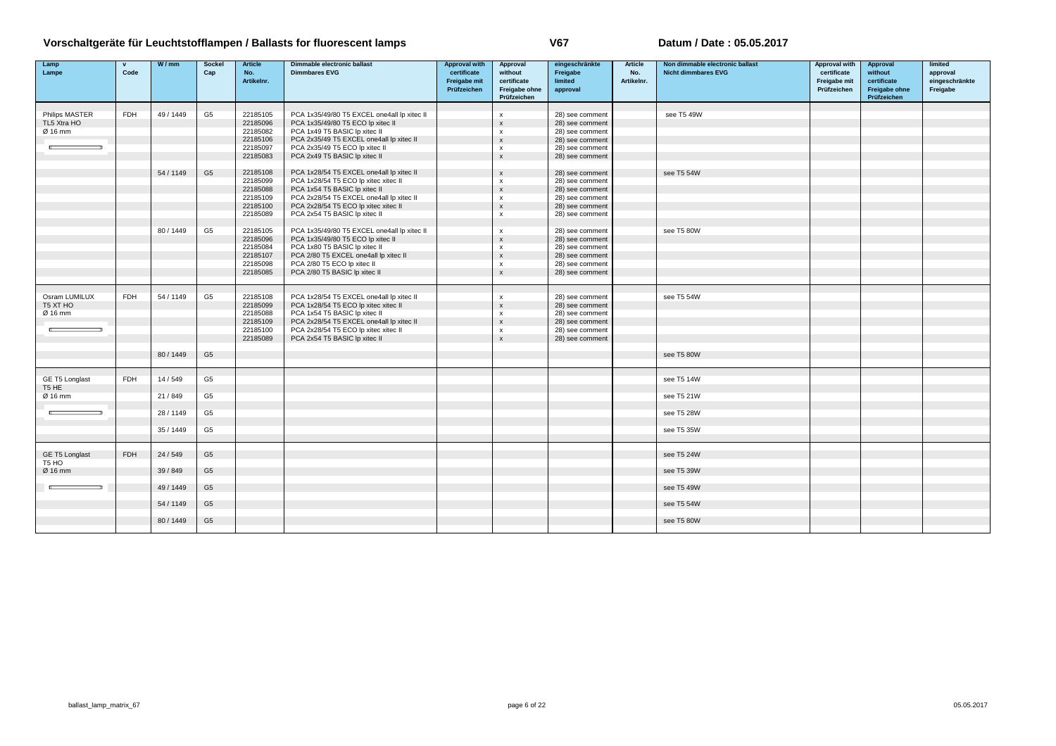| Lamp<br>Lampe                | $\mathbf{v}$<br>Code | W/mm      | <b>Sockel</b><br>Cap | <b>Article</b><br>No. | Dimmable electronic ballast<br><b>Dimmbares EVG</b>          | <b>Approval with</b><br>certificate | Approval<br>without                         | eingeschränkte<br>Freigabe         | Article<br>No. | Non dimmable electronic ballast<br><b>Nicht dimmbares EVG</b> | <b>Approval with</b><br>certificate | Approval<br>without                         | limited<br>approval        |
|------------------------------|----------------------|-----------|----------------------|-----------------------|--------------------------------------------------------------|-------------------------------------|---------------------------------------------|------------------------------------|----------------|---------------------------------------------------------------|-------------------------------------|---------------------------------------------|----------------------------|
|                              |                      |           |                      | Artikelnr.            |                                                              | Freigabe mit<br>Prüfzeichen         | certificate<br>Freigabe ohne<br>Prüfzeichen | limited<br>approval                | Artikelnr.     |                                                               | Freigabe mit<br>Prüfzeichen         | certificate<br>Freigabe ohne<br>Prüfzeichen | eingeschränkte<br>Freigabe |
|                              |                      |           |                      |                       |                                                              |                                     |                                             |                                    |                |                                                               |                                     |                                             |                            |
| Philips MASTER               | <b>FDH</b>           | 49 / 1449 | G <sub>5</sub>       | 22185105              | PCA 1x35/49/80 T5 EXCEL one4all lp xitec II                  |                                     | $\mathsf{x}$                                | 28) see comment                    |                | see T5 49W                                                    |                                     |                                             |                            |
| TL5 Xtra HO                  |                      |           |                      | 22185096              | PCA 1x35/49/80 T5 ECO lp xitec II                            |                                     | $\mathsf{x}$                                | 28) see comment                    |                |                                                               |                                     |                                             |                            |
| Ø 16 mm                      |                      |           |                      | 22185082              | PCA 1x49 T5 BASIC Ip xitec II                                |                                     | $\boldsymbol{\mathsf{x}}$                   | 28) see comment                    |                |                                                               |                                     |                                             |                            |
|                              |                      |           |                      | 22185106              | PCA 2x35/49 T5 EXCEL one4all lp xitec II                     |                                     | $\mathsf X$                                 | 28) see comment                    |                |                                                               |                                     |                                             |                            |
|                              |                      |           |                      | 22185097              | PCA 2x35/49 T5 ECO lp xitec II                               |                                     | $\boldsymbol{\mathsf{x}}$                   | 28) see comment                    |                |                                                               |                                     |                                             |                            |
|                              |                      |           |                      | 22185083              | PCA 2x49 T5 BASIC Ip xitec II                                |                                     | $\pmb{\chi}$                                | 28) see comment                    |                |                                                               |                                     |                                             |                            |
|                              |                      | 54/1149   | G <sub>5</sub>       | 22185108              | PCA 1x28/54 T5 EXCEL one4all lp xitec II                     |                                     | $\boldsymbol{\mathsf{x}}$                   | 28) see comment                    |                | see T5 54W                                                    |                                     |                                             |                            |
|                              |                      |           |                      | 22185099              | PCA 1x28/54 T5 ECO lp xitec xitec II                         |                                     | $\boldsymbol{\mathsf{x}}$                   | 28) see comment                    |                |                                                               |                                     |                                             |                            |
|                              |                      |           |                      | 22185088              | PCA 1x54 T5 BASIC lp xitec II                                |                                     | $\boldsymbol{\mathsf{x}}$                   | 28) see comment                    |                |                                                               |                                     |                                             |                            |
|                              |                      |           |                      | 22185109              | PCA 2x28/54 T5 EXCEL one4all lp xitec II                     |                                     | $\boldsymbol{\mathsf{x}}$                   | 28) see comment                    |                |                                                               |                                     |                                             |                            |
|                              |                      |           |                      | 22185100              | PCA 2x28/54 T5 ECO lp xitec xitec II                         |                                     | $\pmb{\chi}$                                | 28) see comment                    |                |                                                               |                                     |                                             |                            |
|                              |                      |           |                      | 22185089              | PCA 2x54 T5 BASIC lp xitec II                                |                                     | $\boldsymbol{\mathsf{x}}$                   | 28) see comment                    |                |                                                               |                                     |                                             |                            |
|                              |                      |           |                      |                       |                                                              |                                     |                                             |                                    |                |                                                               |                                     |                                             |                            |
|                              |                      | 80/1449   | G <sub>5</sub>       | 22185105              | PCA 1x35/49/80 T5 EXCEL one4all lp xitec II                  |                                     | $\boldsymbol{\mathsf{x}}$                   | 28) see comment                    |                | see T5 80W                                                    |                                     |                                             |                            |
|                              |                      |           |                      | 22185096              | PCA 1x35/49/80 T5 ECO lp xitec II                            |                                     | $\mathbf{x}$                                | 28) see comment                    |                |                                                               |                                     |                                             |                            |
|                              |                      |           |                      | 22185084              | PCA 1x80 T5 BASIC lp xitec II                                |                                     | $\mathsf{x}$                                | 28) see comment                    |                |                                                               |                                     |                                             |                            |
|                              |                      |           |                      | 22185107              | PCA 2/80 T5 EXCEL one4all lp xitec II                        |                                     | $\mathsf x$                                 | 28) see comment                    |                |                                                               |                                     |                                             |                            |
|                              |                      |           |                      | 22185098<br>22185085  | PCA 2/80 T5 ECO lp xitec II<br>PCA 2/80 T5 BASIC Ip xitec II |                                     | $\boldsymbol{\mathsf{x}}$<br>$\pmb{\chi}$   | 28) see comment<br>28) see comment |                |                                                               |                                     |                                             |                            |
|                              |                      |           |                      |                       |                                                              |                                     |                                             |                                    |                |                                                               |                                     |                                             |                            |
|                              |                      |           |                      |                       |                                                              |                                     |                                             |                                    |                |                                                               |                                     |                                             |                            |
| Osram LUMILUX                | <b>FDH</b>           | 54 / 1149 | G <sub>5</sub>       | 22185108              | PCA 1x28/54 T5 EXCEL one4all lp xitec II                     |                                     | $\boldsymbol{\mathsf{x}}$                   | 28) see comment                    |                | see T5 54W                                                    |                                     |                                             |                            |
| T5 XT HO                     |                      |           |                      | 22185099              | PCA 1x28/54 T5 ECO lp xitec xitec II                         |                                     | $\boldsymbol{\mathsf{x}}$                   | 28) see comment                    |                |                                                               |                                     |                                             |                            |
| Ø 16 mm                      |                      |           |                      | 22185088              | PCA 1x54 T5 BASIC lp xitec II                                |                                     | $\boldsymbol{\mathsf{x}}$                   | 28) see comment                    |                |                                                               |                                     |                                             |                            |
|                              |                      |           |                      | 22185109              | PCA 2x28/54 T5 EXCEL one4all lp xitec II                     |                                     | $\mathbf{x}$                                | 28) see comment                    |                |                                                               |                                     |                                             |                            |
|                              |                      |           |                      | 22185100              | PCA 2x28/54 T5 ECO lp xitec xitec II                         |                                     | $\mathsf{x}$                                | 28) see comment                    |                |                                                               |                                     |                                             |                            |
|                              |                      |           |                      | 22185089              | PCA 2x54 T5 BASIC lp xitec II                                |                                     | $\pmb{\chi}$                                | 28) see comment                    |                |                                                               |                                     |                                             |                            |
|                              |                      | 80 / 1449 | G <sub>5</sub>       |                       |                                                              |                                     |                                             |                                    |                | see T5 80W                                                    |                                     |                                             |                            |
|                              |                      |           |                      |                       |                                                              |                                     |                                             |                                    |                |                                                               |                                     |                                             |                            |
| GE T5 Longlast               | <b>FDH</b>           | 14/549    | G <sub>5</sub>       |                       |                                                              |                                     |                                             |                                    |                | see T5 14W                                                    |                                     |                                             |                            |
| T <sub>5</sub> HE            |                      |           |                      |                       |                                                              |                                     |                                             |                                    |                |                                                               |                                     |                                             |                            |
| Ø 16 mm                      |                      | 21/849    | G5                   |                       |                                                              |                                     |                                             |                                    |                | see T5 21W                                                    |                                     |                                             |                            |
|                              |                      | 28 / 1149 | G <sub>5</sub>       |                       |                                                              |                                     |                                             |                                    |                | see T5 28W                                                    |                                     |                                             |                            |
|                              |                      | 35 / 1449 | G <sub>5</sub>       |                       |                                                              |                                     |                                             |                                    |                | see T5 35W                                                    |                                     |                                             |                            |
|                              |                      |           |                      |                       |                                                              |                                     |                                             |                                    |                |                                                               |                                     |                                             |                            |
| GE T5 Longlast               | <b>FDH</b>           | 24/549    | G <sub>5</sub>       |                       |                                                              |                                     |                                             |                                    |                | see T5 24W                                                    |                                     |                                             |                            |
| T <sub>5</sub> HO<br>Ø 16 mm |                      | 39/849    | G <sub>5</sub>       |                       |                                                              |                                     |                                             |                                    |                | see T5 39W                                                    |                                     |                                             |                            |
|                              |                      | 49/1449   | G <sub>5</sub>       |                       |                                                              |                                     |                                             |                                    |                | see T5 49W                                                    |                                     |                                             |                            |
|                              |                      |           |                      |                       |                                                              |                                     |                                             |                                    |                |                                                               |                                     |                                             |                            |
|                              |                      | 54 / 1149 | G <sub>5</sub>       |                       |                                                              |                                     |                                             |                                    |                | see T5 54W                                                    |                                     |                                             |                            |
|                              |                      | 80/1449   | G <sub>5</sub>       |                       |                                                              |                                     |                                             |                                    |                | see T5 80W                                                    |                                     |                                             |                            |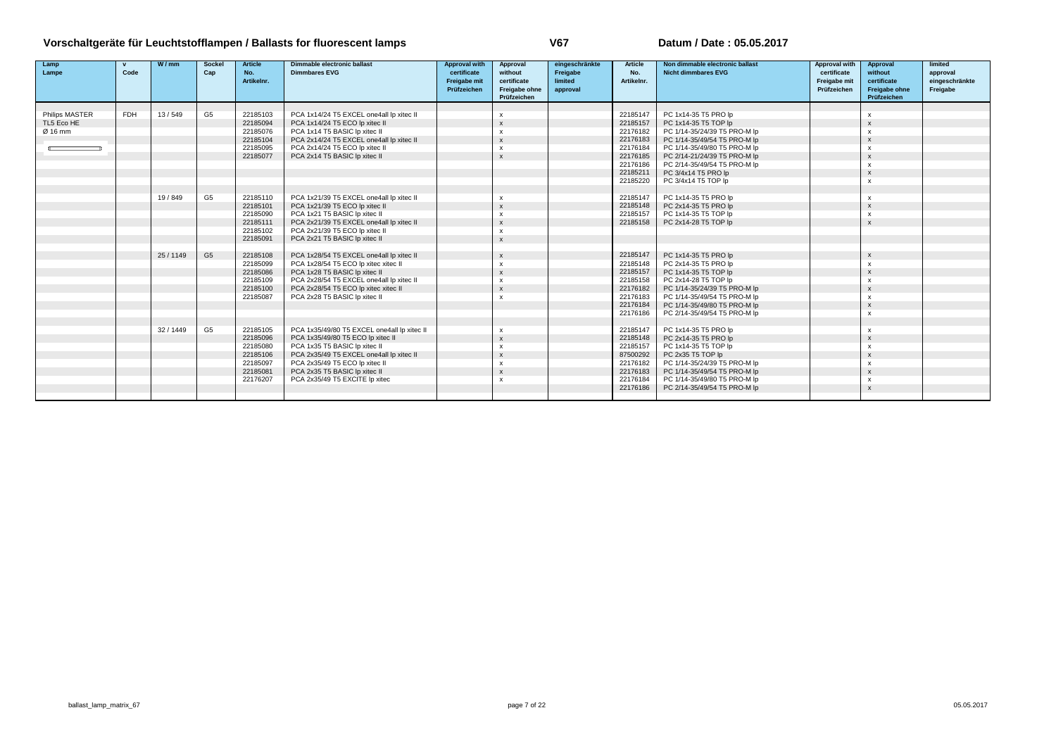| Lamp                  | $\mathbf{v}$ | W/mm    | <b>Sockel</b>  | <b>Article</b> | Dimmable electronic ballast                 | <b>Approval with</b> | Approval                  | eingeschränkte | Article    | Non dimmable electronic ballast | Approval with | Approval                  | limited        |
|-----------------------|--------------|---------|----------------|----------------|---------------------------------------------|----------------------|---------------------------|----------------|------------|---------------------------------|---------------|---------------------------|----------------|
| Lampe                 | Code         |         | Cap            | No.            | <b>Dimmbares EVG</b>                        | certificate          | without                   | Freigabe       | No.        | <b>Nicht dimmbares EVG</b>      | certificate   | without                   | approval       |
|                       |              |         |                | Artikelnr.     |                                             | Freigabe mit         | certificate               | limited        | Artikelnr. |                                 | Freigabe mit  | certificate               | eingeschränkte |
|                       |              |         |                |                |                                             | Prüfzeichen          | Freigabe ohne             | approval       |            |                                 | Prüfzeichen   | <b>Freigabe ohne</b>      | Freigabe       |
|                       |              |         |                |                |                                             |                      | Prüfzeichen               |                |            |                                 |               | Prüfzeichen               |                |
|                       |              |         |                |                |                                             |                      |                           |                |            |                                 |               |                           |                |
| <b>Philips MASTER</b> | <b>FDH</b>   | 13/549  | G <sub>5</sub> | 22185103       | PCA 1x14/24 T5 EXCEL one4all lp xitec II    |                      | $\mathsf{x}$              |                | 22185147   | PC 1x14-35 T5 PRO lp            |               | X                         |                |
| TL5 Eco HE            |              |         |                | 22185094       | PCA 1x14/24 T5 ECO lp xitec II              |                      | $\boldsymbol{\mathsf{x}}$ |                | 22185157   | PC 1x14-35 T5 TOP lp            |               | $\mathbf{x}$              |                |
| Ø 16 mm               |              |         |                | 22185076       | PCA 1x14 T5 BASIC Ip xitec II               |                      | $\boldsymbol{\mathsf{x}}$ |                | 22176182   | PC 1/14-35/24/39 T5 PRO-M lp    |               | $\boldsymbol{\mathsf{x}}$ |                |
|                       |              |         |                | 22185104       | PCA 2x14/24 T5 EXCEL one4all lp xitec II    |                      | $\mathsf{x}$              |                | 22176183   | PC 1/14-35/49/54 T5 PRO-M lp    |               | $\mathbf{x}$              |                |
|                       |              |         |                | 22185095       | PCA 2x14/24 T5 ECO lp xitec II              |                      | $\boldsymbol{\mathsf{x}}$ |                | 22176184   | PC 1/14-35/49/80 T5 PRO-M lp    |               | $\mathsf{x}$              |                |
|                       |              |         |                | 22185077       | PCA 2x14 T5 BASIC Ip xitec II               |                      | $\mathsf{x}$              |                | 22176185   | PC 2/14-21/24/39 T5 PRO-M lp    |               | $\mathbf{x}$              |                |
|                       |              |         |                |                |                                             |                      |                           |                | 22176186   | PC 2/14-35/49/54 T5 PRO-M lp    |               | $\boldsymbol{\mathsf{x}}$ |                |
|                       |              |         |                |                |                                             |                      |                           |                | 22185211   | PC 3/4x14 T5 PRO lp             |               | $\mathbf{x}$              |                |
|                       |              |         |                |                |                                             |                      |                           |                | 22185220   | PC 3/4x14 T5 TOP lp             |               | $\mathbf{x}$              |                |
|                       |              |         |                |                |                                             |                      |                           |                |            |                                 |               |                           |                |
|                       |              | 19/849  | G <sub>5</sub> | 22185110       | PCA 1x21/39 T5 EXCEL one4all lp xitec II    |                      | $\mathsf{x}$              |                | 22185147   | PC 1x14-35 T5 PRO lp            |               | $\mathsf{x}$              |                |
|                       |              |         |                | 22185101       | PCA 1x21/39 T5 ECO lp xitec II              |                      | $\boldsymbol{\mathsf{x}}$ |                | 22185148   | PC 2x14-35 T5 PRO lp            |               | $\mathbf{x}$              |                |
|                       |              |         |                | 22185090       | PCA 1x21 T5 BASIC Ip xitec II               |                      | $\boldsymbol{\mathsf{x}}$ |                | 22185157   | PC 1x14-35 T5 TOP lp            |               | $\boldsymbol{\mathsf{x}}$ |                |
|                       |              |         |                | 22185111       | PCA 2x21/39 T5 EXCEL one4all lp xitec II    |                      | $\boldsymbol{\mathsf{x}}$ |                | 22185158   | PC 2x14-28 T5 TOP lp            |               | $\mathbf{x}$              |                |
|                       |              |         |                | 22185102       | PCA 2x21/39 T5 ECO lp xitec II              |                      | $\mathsf{x}$              |                |            |                                 |               |                           |                |
|                       |              |         |                | 22185091       | PCA 2x21 T5 BASIC Ip xitec II               |                      | $\boldsymbol{\mathsf{x}}$ |                |            |                                 |               |                           |                |
|                       |              |         |                |                |                                             |                      |                           |                |            |                                 |               |                           |                |
|                       |              | 25/1149 | G <sub>5</sub> | 22185108       | PCA 1x28/54 T5 EXCEL one4all lp xitec II    |                      | $\mathbf{x}$              |                | 22185147   | PC 1x14-35 T5 PRO lp            |               | $\boldsymbol{\mathsf{x}}$ |                |
|                       |              |         |                | 22185099       | PCA 1x28/54 T5 ECO lp xitec xitec II        |                      | $\boldsymbol{\mathsf{x}}$ |                | 22185148   | PC 2x14-35 T5 PRO lp            |               | $\boldsymbol{\mathsf{x}}$ |                |
|                       |              |         |                | 22185086       | PCA 1x28 T5 BASIC Ip xitec II               |                      | $\boldsymbol{\mathsf{x}}$ |                | 22185157   | PC 1x14-35 T5 TOP lp            |               | $\mathbf{x}$              |                |
|                       |              |         |                | 22185109       | PCA 2x28/54 T5 EXCEL one4all lp xitec II    |                      | $\mathsf{x}$              |                | 22185158   | PC 2x14-28 T5 TOP lp            |               | $\boldsymbol{\mathsf{x}}$ |                |
|                       |              |         |                | 22185100       | PCA 2x28/54 T5 ECO lp xitec xitec II        |                      | $\boldsymbol{\mathsf{x}}$ |                | 22176182   | PC 1/14-35/24/39 T5 PRO-M lp    |               | $\mathbf{x}$              |                |
|                       |              |         |                | 22185087       | PCA 2x28 T5 BASIC Ip xitec II               |                      | $\mathbf{x}$              |                | 22176183   | PC 1/14-35/49/54 T5 PRO-M lp    |               | $\boldsymbol{\mathsf{x}}$ |                |
|                       |              |         |                |                |                                             |                      |                           |                | 22176184   | PC 1/14-35/49/80 T5 PRO-M lp    |               | $\mathbf{x}$              |                |
|                       |              |         |                |                |                                             |                      |                           |                | 22176186   | PC 2/14-35/49/54 T5 PRO-M lp    |               | $\mathsf{x}$              |                |
|                       |              |         |                |                |                                             |                      |                           |                |            |                                 |               |                           |                |
|                       |              | 32/1449 | G <sub>5</sub> | 22185105       | PCA 1x35/49/80 T5 EXCEL one4all lp xitec II |                      | $\mathsf{x}$              |                | 22185147   | PC 1x14-35 T5 PRO lp            |               | $\mathsf{x}$              |                |
|                       |              |         |                | 22185096       | PCA 1x35/49/80 T5 ECO lp xitec II           |                      | $\boldsymbol{\mathsf{x}}$ |                | 22185148   | PC 2x14-35 T5 PRO lp            |               | $\mathbf{x}$              |                |
|                       |              |         |                | 22185080       | PCA 1x35 T5 BASIC Ip xitec II               |                      | $\boldsymbol{\mathsf{x}}$ |                | 22185157   | PC 1x14-35 T5 TOP lp            |               | $\boldsymbol{\mathsf{x}}$ |                |
|                       |              |         |                | 22185106       | PCA 2x35/49 T5 EXCEL one4all lp xitec II    |                      | $\mathsf{x}$              |                | 87500292   | PC 2x35 T5 TOP Ip               |               | $\mathbf{x}$              |                |
|                       |              |         |                | 22185097       | PCA 2x35/49 T5 ECO lp xitec II              |                      | $\mathsf{x}$              |                | 22176182   | PC 1/14-35/24/39 T5 PRO-M lp    |               | $\mathsf{x}$              |                |
|                       |              |         |                | 22185081       | PCA 2x35 T5 BASIC Ip xitec II               |                      | $\mathsf{x}$              |                | 22176183   | PC 1/14-35/49/54 T5 PRO-M lp    |               | $\mathbf{x}$              |                |
|                       |              |         |                | 22176207       | PCA 2x35/49 T5 EXCITE Ip xitec              |                      | $\boldsymbol{\mathsf{x}}$ |                | 22176184   | PC 1/14-35/49/80 T5 PRO-M lp    |               | $\boldsymbol{\mathsf{x}}$ |                |
|                       |              |         |                |                |                                             |                      |                           |                | 22176186   | PC 2/14-35/49/54 T5 PRO-M lp    |               | $\mathbf{x}$              |                |
|                       |              |         |                |                |                                             |                      |                           |                |            |                                 |               |                           |                |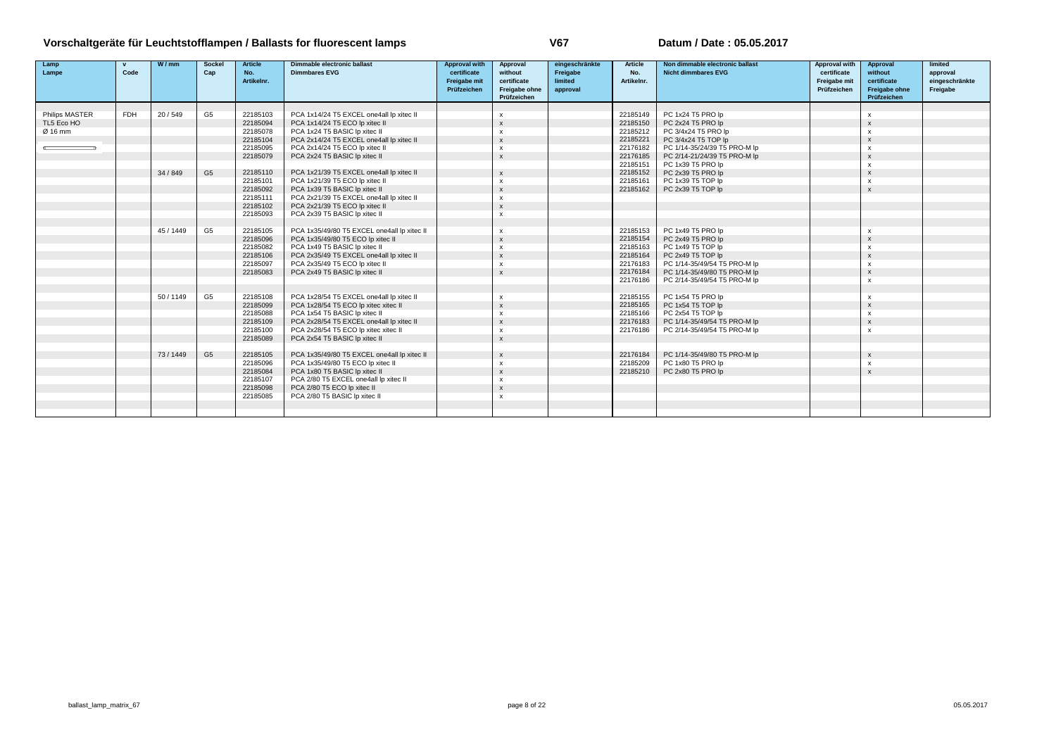| Lamp                  | $\mathbf{v}$ | W/mm    | Sockel         | <b>Article</b> | Dimmable electronic ballast                 | <b>Approval with</b> | Approval                  | eingeschränkte | Article    | Non dimmable electronic ballast | Approval with | Approval                  | limited        |
|-----------------------|--------------|---------|----------------|----------------|---------------------------------------------|----------------------|---------------------------|----------------|------------|---------------------------------|---------------|---------------------------|----------------|
| Lampe                 | Code         |         | Cap            | No.            | <b>Dimmbares EVG</b>                        | certificate          | without                   | Freigabe       | No.        | <b>Nicht dimmbares EVG</b>      | certificate   | without                   | approval       |
|                       |              |         |                | Artikelnr.     |                                             | Freigabe mit         | certificate               | limited        | Artikelnr. |                                 | Freigabe mit  | certificate               | eingeschränkte |
|                       |              |         |                |                |                                             | Prüfzeichen          | Freigabe ohne             | approval       |            |                                 | Prüfzeichen   | Freigabe ohne             | Freigabe       |
|                       |              |         |                |                |                                             |                      | Prüfzeichen               |                |            |                                 |               | Prüfzeichen               |                |
|                       |              |         |                |                |                                             |                      |                           |                |            |                                 |               |                           |                |
| <b>Philips MASTER</b> | <b>FDH</b>   | 20/549  | G <sub>5</sub> | 22185103       | PCA 1x14/24 T5 EXCEL one4all lp xitec II    |                      | $\mathbf x$               |                | 22185149   | PC 1x24 T5 PRO lp               |               | $\boldsymbol{\mathsf{x}}$ |                |
| TL5 Eco HO            |              |         |                | 22185094       | PCA 1x14/24 T5 ECO lp xitec II              |                      | $\mathbf{x}$              |                | 22185150   | PC 2x24 T5 PRO lp               |               |                           |                |
| Ø 16 mm               |              |         |                | 22185078       | PCA 1x24 T5 BASIC Ip xitec II               |                      | $\mathbf{x}$              |                | 22185212   | PC 3/4x24 T5 PRO lp             |               | $\boldsymbol{\mathsf{x}}$ |                |
|                       |              |         |                | 22185104       | PCA 2x14/24 T5 EXCEL one4all lp xitec II    |                      | $\boldsymbol{\mathsf{x}}$ |                | 22185221   | PC 3/4x24 T5 TOP lp             |               | $\boldsymbol{\mathsf{x}}$ |                |
|                       |              |         |                | 22185095       | PCA 2x14/24 T5 ECO lp xitec II              |                      | $\boldsymbol{\mathsf{x}}$ |                | 22176182   | PC 1/14-35/24/39 T5 PRO-M lp    |               | $\mathbf{x}$              |                |
|                       |              |         |                | 22185079       | PCA 2x24 T5 BASIC Ip xitec II               |                      | $\boldsymbol{\mathsf{x}}$ |                | 22176185   | PC 2/14-21/24/39 T5 PRO-M lp    |               |                           |                |
|                       |              |         |                |                |                                             |                      |                           |                | 22185151   | PC 1x39 T5 PRO lp               |               | $\boldsymbol{\mathsf{x}}$ |                |
|                       |              | 34/849  | G <sub>5</sub> | 22185110       | PCA 1x21/39 T5 EXCEL one4all lp xitec II    |                      | $\mathsf{x}$              |                | 22185152   | PC 2x39 T5 PRO lp               |               |                           |                |
|                       |              |         |                | 22185101       | PCA 1x21/39 T5 ECO lp xitec II              |                      | $\boldsymbol{\mathsf{x}}$ |                | 22185161   | PC 1x39 T5 TOP Ip               |               | $\mathsf{x}$              |                |
|                       |              |         |                | 22185092       | PCA 1x39 T5 BASIC Ip xitec II               |                      | $\mathbf{x}$              |                | 22185162   | PC 2x39 T5 TOP Ip               |               | $\mathbf{x}$              |                |
|                       |              |         |                | 22185111       | PCA 2x21/39 T5 EXCEL one4all lp xitec II    |                      | $\boldsymbol{\mathsf{x}}$ |                |            |                                 |               |                           |                |
|                       |              |         |                | 22185102       | PCA 2x21/39 T5 ECO lp xitec II              |                      | $\mathbf{x}$              |                |            |                                 |               |                           |                |
|                       |              |         |                | 22185093       | PCA 2x39 T5 BASIC Ip xitec II               |                      | $\mathsf{x}$              |                |            |                                 |               |                           |                |
|                       |              |         |                |                |                                             |                      |                           |                |            |                                 |               |                           |                |
|                       |              | 45/1449 | G <sub>5</sub> | 22185105       | PCA 1x35/49/80 T5 EXCEL one4all lp xitec II |                      | $\boldsymbol{\mathsf{x}}$ |                | 22185153   | PC 1x49 T5 PRO lp               |               | $\boldsymbol{\mathsf{x}}$ |                |
|                       |              |         |                | 22185096       | PCA 1x35/49/80 T5 ECO lp xitec II           |                      | $\mathsf{x}$              |                | 22185154   | PC 2x49 T5 PRO lp               |               |                           |                |
|                       |              |         |                | 22185082       | PCA 1x49 T5 BASIC Ip xitec II               |                      | $\boldsymbol{\mathsf{x}}$ |                | 22185163   | PC 1x49 T5 TOP lp               |               | $\mathsf{x}$              |                |
|                       |              |         |                | 22185106       | PCA 2x35/49 T5 EXCEL one4all lp xitec II    |                      | $\mathbf{x}$              |                | 22185164   | PC 2x49 T5 TOP Ip               |               |                           |                |
|                       |              |         |                | 22185097       | PCA 2x35/49 T5 ECO lp xitec II              |                      | X                         |                | 22176183   | PC 1/14-35/49/54 T5 PRO-M lp    |               | $\boldsymbol{\mathsf{x}}$ |                |
|                       |              |         |                | 22185083       | PCA 2x49 T5 BASIC Ip xitec II               |                      | $\mathbf{x}$              |                | 22176184   | PC 1/14-35/49/80 T5 PRO-M lp    |               |                           |                |
|                       |              |         |                |                |                                             |                      |                           |                | 22176186   | PC 2/14-35/49/54 T5 PRO-M lp    |               | $\mathsf{x}$              |                |
|                       |              |         |                |                |                                             |                      |                           |                |            |                                 |               |                           |                |
|                       |              | 50/1149 | G <sub>5</sub> | 22185108       | PCA 1x28/54 T5 EXCEL one4all lp xitec II    |                      | $\mathbf{x}$              |                | 22185155   | PC 1x54 T5 PRO lp               |               | $\mathbf{x}$              |                |
|                       |              |         |                | 22185099       | PCA 1x28/54 T5 ECO lp xitec xitec II        |                      | $\mathbf{x}$              |                | 22185165   | PC 1x54 T5 TOP Ip               |               |                           |                |
|                       |              |         |                | 22185088       | PCA 1x54 T5 BASIC Ip xitec II               |                      | $\boldsymbol{\mathsf{x}}$ |                | 22185166   | PC 2x54 T5 TOP Ip               |               | $\boldsymbol{\mathsf{x}}$ |                |
|                       |              |         |                | 22185109       | PCA 2x28/54 T5 EXCEL one4all lp xitec II    |                      | $\mathbf{x}$              |                | 22176183   | PC 1/14-35/49/54 T5 PRO-M lp    |               | $\boldsymbol{\mathsf{x}}$ |                |
|                       |              |         |                | 22185100       | PCA 2x28/54 T5 ECO lp xitec xitec II        |                      | $\boldsymbol{\mathsf{x}}$ |                | 22176186   | PC 2/14-35/49/54 T5 PRO-M lp    |               | $\mathbf{x}$              |                |
|                       |              |         |                | 22185089       | PCA 2x54 T5 BASIC Ip xitec II               |                      | $\mathbf{x}$              |                |            |                                 |               |                           |                |
|                       |              |         |                |                |                                             |                      |                           |                |            |                                 |               |                           |                |
|                       |              | 73/1449 | G <sub>5</sub> | 22185105       | PCA 1x35/49/80 T5 EXCEL one4all lp xitec II |                      | $\mathbf{x}$              |                | 22176184   | PC 1/14-35/49/80 T5 PRO-M lp    |               | $\boldsymbol{\mathsf{x}}$ |                |
|                       |              |         |                | 22185096       | PCA 1x35/49/80 T5 ECO lp xitec II           |                      | $\mathsf{x}$              |                | 22185209   | PC 1x80 T5 PRO lp               |               | $\mathsf{x}$              |                |
|                       |              |         |                | 22185084       | PCA 1x80 T5 BASIC Ip xitec II               |                      | $\mathbf{x}$              |                | 22185210   | PC 2x80 T5 PRO lp               |               | $\mathbf{x}$              |                |
|                       |              |         |                | 22185107       | PCA 2/80 T5 EXCEL one4all lp xitec II       |                      | x                         |                |            |                                 |               |                           |                |
|                       |              |         |                | 22185098       | PCA 2/80 T5 ECO lp xitec II                 |                      | $\mathbf{x}$              |                |            |                                 |               |                           |                |
|                       |              |         |                | 22185085       | PCA 2/80 T5 BASIC Ip xitec II               |                      | $\boldsymbol{\mathsf{x}}$ |                |            |                                 |               |                           |                |
|                       |              |         |                |                |                                             |                      |                           |                |            |                                 |               |                           |                |
|                       |              |         |                |                |                                             |                      |                           |                |            |                                 |               |                           |                |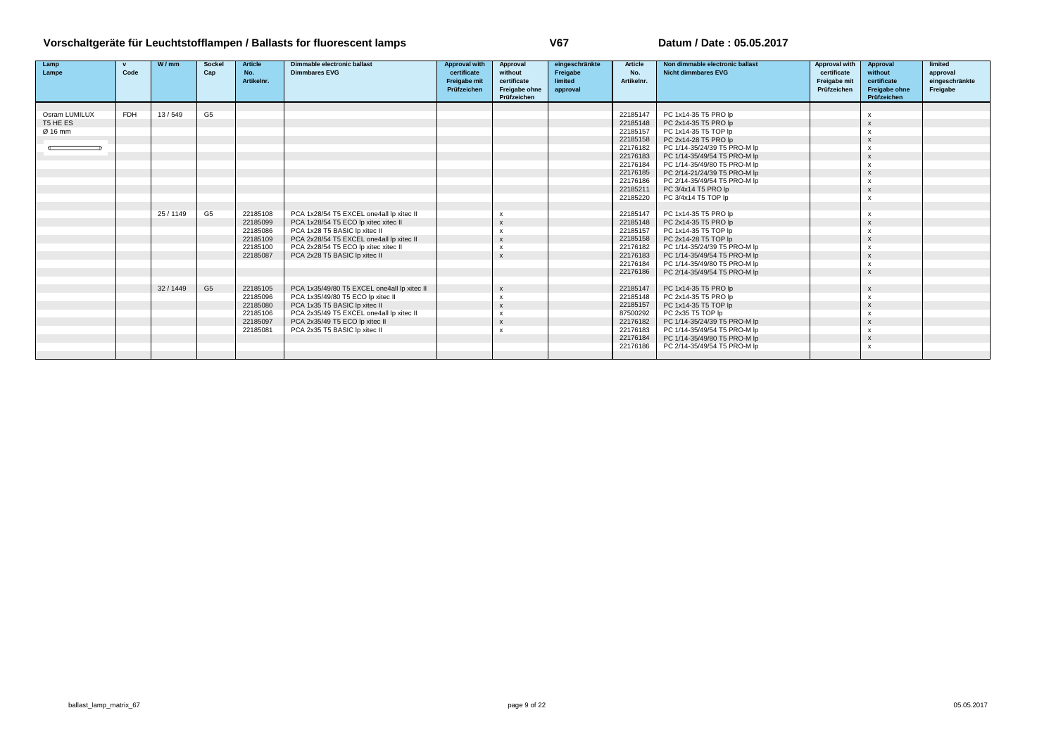| Lamp          | $\mathbf{v}$ | W/mm    | Sockel         | <b>Article</b> | Dimmable electronic ballast                 | <b>Approval with</b> | Approval                  | eingeschränkte | Article    | Non dimmable electronic ballast | Approval with | Approval                  | limited        |
|---------------|--------------|---------|----------------|----------------|---------------------------------------------|----------------------|---------------------------|----------------|------------|---------------------------------|---------------|---------------------------|----------------|
| Lampe         | Code         |         | Cap            | No.            | <b>Dimmbares EVG</b>                        | certificate          | without                   | Freigabe       | No.        | <b>Nicht dimmbares EVG</b>      | certificate   | without                   | approval       |
|               |              |         |                | Artikelnr.     |                                             | Freigabe mit         | certificate               | limited        | Artikelnr. |                                 | Freigabe mit  | certificate               | eingeschränkte |
|               |              |         |                |                |                                             | Prüfzeichen          | Freigabe ohne             | approval       |            |                                 | Prüfzeichen   | Freigabe ohne             | Freigabe       |
|               |              |         |                |                |                                             |                      | Prüfzeichen               |                |            |                                 |               | Prüfzeichen               |                |
|               |              |         |                |                |                                             |                      |                           |                |            |                                 |               |                           |                |
| Osram LUMILUX | <b>FDH</b>   | 13/549  | G <sub>5</sub> |                |                                             |                      |                           |                | 22185147   | PC 1x14-35 T5 PRO lp            |               |                           |                |
| T5 HE ES      |              |         |                |                |                                             |                      |                           |                | 22185148   | PC 2x14-35 T5 PRO lp            |               | $\boldsymbol{\mathsf{x}}$ |                |
| Ø 16 mm       |              |         |                |                |                                             |                      |                           |                | 22185157   | PC 1x14-35 T5 TOP lp            |               | $\boldsymbol{\mathsf{x}}$ |                |
|               |              |         |                |                |                                             |                      |                           |                | 22185158   | PC 2x14-28 T5 PRO lp            |               |                           |                |
|               |              |         |                |                |                                             |                      |                           |                | 22176182   | PC 1/14-35/24/39 T5 PRO-M lp    |               | $\boldsymbol{\mathsf{x}}$ |                |
|               |              |         |                |                |                                             |                      |                           |                | 22176183   | PC 1/14-35/49/54 T5 PRO-M lp    |               |                           |                |
|               |              |         |                |                |                                             |                      |                           |                | 22176184   | PC 1/14-35/49/80 T5 PRO-M lp    |               | $\boldsymbol{\mathsf{x}}$ |                |
|               |              |         |                |                |                                             |                      |                           |                | 22176185   | PC 2/14-21/24/39 T5 PRO-M lp    |               |                           |                |
|               |              |         |                |                |                                             |                      |                           |                | 22176186   | PC 2/14-35/49/54 T5 PRO-M lp    |               | $\boldsymbol{\mathsf{x}}$ |                |
|               |              |         |                |                |                                             |                      |                           |                | 22185211   | PC 3/4x14 T5 PRO lp             |               | $\mathbf{x}$              |                |
|               |              |         |                |                |                                             |                      |                           |                | 22185220   | PC 3/4x14 T5 TOP lp             |               | $\boldsymbol{\mathsf{x}}$ |                |
|               |              |         |                |                |                                             |                      |                           |                |            |                                 |               |                           |                |
|               |              | 25/1149 | G <sub>5</sub> | 22185108       | PCA 1x28/54 T5 EXCEL one4all lp xitec II    |                      |                           |                | 22185147   | PC 1x14-35 T5 PRO lp            |               |                           |                |
|               |              |         |                | 22185099       | PCA 1x28/54 T5 ECO lp xitec xitec II        |                      | $\boldsymbol{\mathsf{x}}$ |                | 22185148   | PC 2x14-35 T5 PRO lp            |               | $\mathbf{x}$              |                |
|               |              |         |                | 22185086       | PCA 1x28 T5 BASIC Ip xitec II               |                      | $\boldsymbol{\mathsf{x}}$ |                | 22185157   | PC 1x14-35 T5 TOP Ip            |               |                           |                |
|               |              |         |                | 22185109       | PCA 2x28/54 T5 EXCEL one4all lp xitec II    |                      | $\boldsymbol{\mathsf{x}}$ |                | 22185158   | PC 2x14-28 T5 TOP Ip            |               | $\boldsymbol{\mathsf{x}}$ |                |
|               |              |         |                | 22185100       | PCA 2x28/54 T5 ECO lp xitec xitec II        |                      | X                         |                | 22176182   | PC 1/14-35/24/39 T5 PRO-M lp    |               |                           |                |
|               |              |         |                | 22185087       | PCA 2x28 T5 BASIC Ip xitec II               |                      | $\boldsymbol{\mathsf{x}}$ |                | 22176183   | PC 1/14-35/49/54 T5 PRO-M lp    |               | $\mathbf{x}$              |                |
|               |              |         |                |                |                                             |                      |                           |                | 22176184   | PC 1/14-35/49/80 T5 PRO-M lp    |               | $\boldsymbol{\mathsf{x}}$ |                |
|               |              |         |                |                |                                             |                      |                           |                | 22176186   | PC 2/14-35/49/54 T5 PRO-M lp    |               |                           |                |
|               |              |         |                |                |                                             |                      |                           |                |            |                                 |               |                           |                |
|               |              | 32/1449 | G <sub>5</sub> | 22185105       | PCA 1x35/49/80 T5 EXCEL one4all lp xitec II |                      | $\boldsymbol{\mathsf{x}}$ |                | 22185147   | PC 1x14-35 T5 PRO lp            |               |                           |                |
|               |              |         |                | 22185096       | PCA 1x35/49/80 T5 ECO lp xitec II           |                      | $\boldsymbol{\mathsf{x}}$ |                | 22185148   | PC 2x14-35 T5 PRO lp            |               | $\boldsymbol{\mathsf{x}}$ |                |
|               |              |         |                | 22185080       | PCA 1x35 T5 BASIC Ip xitec II               |                      | $\boldsymbol{\mathsf{x}}$ |                | 22185157   | PC 1x14-35 T5 TOP Ip            |               |                           |                |
|               |              |         |                | 22185106       | PCA 2x35/49 T5 EXCEL one4all lp xitec II    |                      | $\mathsf{x}$              |                | 87500292   | PC 2x35 T5 TOP Ip               |               | $\boldsymbol{\mathsf{x}}$ |                |
|               |              |         |                | 22185097       | PCA 2x35/49 T5 ECO lp xitec II              |                      | $\boldsymbol{\mathsf{x}}$ |                | 22176182   | PC 1/14-35/24/39 T5 PRO-M lp    |               | $\boldsymbol{\mathsf{x}}$ |                |
|               |              |         |                | 22185081       | PCA 2x35 T5 BASIC Ip xitec II               |                      | $\boldsymbol{\mathsf{x}}$ |                | 22176183   | PC 1/14-35/49/54 T5 PRO-M lp    |               | $\boldsymbol{\mathsf{x}}$ |                |
|               |              |         |                |                |                                             |                      |                           |                | 22176184   | PC 1/14-35/49/80 T5 PRO-M lp    |               |                           |                |
|               |              |         |                |                |                                             |                      |                           |                | 22176186   | PC 2/14-35/49/54 T5 PRO-M lp    |               | x                         |                |
|               |              |         |                |                |                                             |                      |                           |                |            |                                 |               |                           |                |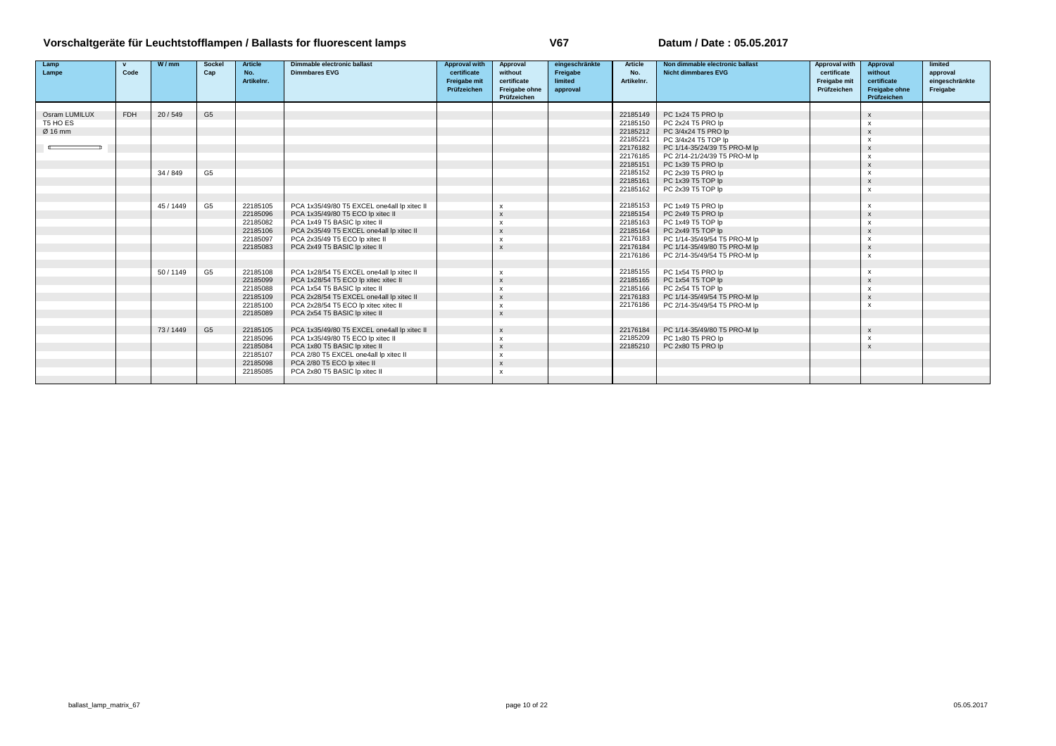| Lamp                      | $\mathbf{v}$ | W/mm      | <b>Sockel</b>  | <b>Article</b> | <b>Dimmable electronic ballast</b>          | <b>Approval with</b> | Approval                  | eingeschränkte | Article              | Non dimmable electronic ballast        | Approval with | Approval                  | limited        |
|---------------------------|--------------|-----------|----------------|----------------|---------------------------------------------|----------------------|---------------------------|----------------|----------------------|----------------------------------------|---------------|---------------------------|----------------|
| Lampe                     | Code         |           | Cap            | No.            | <b>Dimmbares EVG</b>                        | certificate          | without                   | Freigabe       | No.                  | <b>Nicht dimmbares EVG</b>             | certificate   | without                   | approval       |
|                           |              |           |                | Artikelnr.     |                                             | Freigabe mit         | certificate               | limited        | Artikelnr.           |                                        | Freigabe mit  | certificate               | eingeschränkte |
|                           |              |           |                |                |                                             | Prüfzeichen          | Freigabe ohne             | approval       |                      |                                        | Prüfzeichen   | Freigabe ohne             | Freigabe       |
|                           |              |           |                |                |                                             |                      | Prüfzeichen               |                |                      |                                        |               | Prüfzeichen               |                |
|                           |              |           |                |                |                                             |                      |                           |                |                      |                                        |               |                           |                |
| Osram LUMILUX<br>T5 HO ES | <b>FDH</b>   | 20/549    | G <sub>5</sub> |                |                                             |                      |                           |                | 22185149<br>22185150 | PC 1x24 T5 PRO lp<br>PC 2x24 T5 PRO lp |               | $\boldsymbol{\mathsf{x}}$ |                |
| Ø 16 mm                   |              |           |                |                |                                             |                      |                           |                |                      |                                        |               | $\mathsf{x}$              |                |
|                           |              |           |                |                |                                             |                      |                           |                | 22185212             | PC 3/4x24 T5 PRO lp                    |               | $\mathbf{x}$              |                |
|                           |              |           |                |                |                                             |                      |                           |                | 22185221             | PC 3/4x24 T5 TOP lp                    |               | $\mathsf{x}$              |                |
|                           |              |           |                |                |                                             |                      |                           |                | 22176182             | PC 1/14-35/24/39 T5 PRO-M lp           |               | $\mathbf{x}$              |                |
|                           |              |           |                |                |                                             |                      |                           |                | 22176185             | PC 2/14-21/24/39 T5 PRO-M lp           |               | $\boldsymbol{\mathsf{x}}$ |                |
|                           |              |           |                |                |                                             |                      |                           |                | 22185151             | PC 1x39 T5 PRO lp                      |               | $\mathbf{x}$              |                |
|                           |              | 34 / 849  | G <sub>5</sub> |                |                                             |                      |                           |                | 22185152             | PC 2x39 T5 PRO lp                      |               | $\boldsymbol{\mathsf{x}}$ |                |
|                           |              |           |                |                |                                             |                      |                           |                | 22185161             | PC 1x39 T5 TOP lp                      |               | $\mathbf{x}$              |                |
|                           |              |           |                |                |                                             |                      |                           |                | 22185162             | PC 2x39 T5 TOP Ip                      |               | $\boldsymbol{\mathsf{x}}$ |                |
|                           |              |           |                |                |                                             |                      |                           |                |                      |                                        |               |                           |                |
|                           |              | 45 / 1449 | G <sub>5</sub> | 22185105       | PCA 1x35/49/80 T5 EXCEL one4all lp xitec II |                      | $\mathsf{x}$              |                | 22185153             | PC 1x49 T5 PRO lp                      |               | $\mathsf{x}$              |                |
|                           |              |           |                | 22185096       | PCA 1x35/49/80 T5 ECO lp xitec II           |                      | $\boldsymbol{\mathsf{x}}$ |                | 22185154             | PC 2x49 T5 PRO lp                      |               |                           |                |
|                           |              |           |                | 22185082       | PCA 1x49 T5 BASIC Ip xitec II               |                      | $\mathsf{x}$              |                | 22185163             | PC 1x49 T5 TOP Ip                      |               | $\boldsymbol{\mathsf{x}}$ |                |
|                           |              |           |                | 22185106       | PCA 2x35/49 T5 EXCEL one4all lp xitec II    |                      | $\boldsymbol{\mathsf{x}}$ |                | 22185164             | PC 2x49 T5 TOP Ip                      |               | $\mathbf{x}$              |                |
|                           |              |           |                | 22185097       | PCA 2x35/49 T5 ECO lp xitec II              |                      | $\mathsf{x}$              |                | 22176183             | PC 1/14-35/49/54 T5 PRO-M lp           |               | $\boldsymbol{\mathsf{x}}$ |                |
|                           |              |           |                | 22185083       | PCA 2x49 T5 BASIC Ip xitec II               |                      | $\mathsf{x}$              |                | 22176184             | PC 1/14-35/49/80 T5 PRO-M lp           |               | $\mathbf{x}$              |                |
|                           |              |           |                |                |                                             |                      |                           |                | 22176186             | PC 2/14-35/49/54 T5 PRO-M lp           |               | $\boldsymbol{\mathsf{x}}$ |                |
|                           |              |           |                |                |                                             |                      |                           |                |                      |                                        |               |                           |                |
|                           |              | 50 / 1149 | G <sub>5</sub> | 22185108       | PCA 1x28/54 T5 EXCEL one4all lp xitec II    |                      | $\boldsymbol{\mathsf{x}}$ |                | 22185155             | PC 1x54 T5 PRO lp                      |               | $\boldsymbol{\mathsf{x}}$ |                |
|                           |              |           |                | 22185099       | PCA 1x28/54 T5 ECO lp xitec xitec II        |                      | $\boldsymbol{\mathsf{x}}$ |                | 22185165             | PC 1x54 T5 TOP lp                      |               | $\mathsf{x}$              |                |
|                           |              |           |                | 22185088       | PCA 1x54 T5 BASIC Ip xitec II               |                      | $\mathsf{x}$              |                | 22185166             | PC 2x54 T5 TOP Ip                      |               | $\mathsf{x}$              |                |
|                           |              |           |                | 22185109       | PCA 2x28/54 T5 EXCEL one4all lp xitec II    |                      | $\boldsymbol{\mathsf{x}}$ |                | 22176183             | PC 1/14-35/49/54 T5 PRO-M lp           |               | $\boldsymbol{\mathsf{x}}$ |                |
|                           |              |           |                | 22185100       | PCA 2x28/54 T5 ECO lp xitec xitec II        |                      | $\mathsf{x}$              |                | 22176186             | PC 2/14-35/49/54 T5 PRO-M lp           |               | $\boldsymbol{\mathsf{x}}$ |                |
|                           |              |           |                | 22185089       | PCA 2x54 T5 BASIC Ip xitec II               |                      | $\mathsf{x}$              |                |                      |                                        |               |                           |                |
|                           |              |           |                |                |                                             |                      |                           |                |                      |                                        |               |                           |                |
|                           |              | 73/1449   | G <sub>5</sub> | 22185105       | PCA 1x35/49/80 T5 EXCEL one4all lp xitec II |                      | $\boldsymbol{\mathsf{x}}$ |                | 22176184             | PC 1/14-35/49/80 T5 PRO-M lp           |               | $\boldsymbol{\mathsf{x}}$ |                |
|                           |              |           |                | 22185096       | PCA 1x35/49/80 T5 ECO lp xitec II           |                      | $\boldsymbol{\mathsf{x}}$ |                | 22185209             | PC 1x80 T5 PRO lp                      |               | $\boldsymbol{\mathsf{x}}$ |                |
|                           |              |           |                | 22185084       | PCA 1x80 T5 BASIC Ip xitec II               |                      | $\boldsymbol{\mathsf{x}}$ |                | 22185210             | PC 2x80 T5 PRO lp                      |               | $\mathbf{x}$              |                |
|                           |              |           |                | 22185107       | PCA 2/80 T5 EXCEL one4all lp xitec II       |                      | $\mathsf{x}$              |                |                      |                                        |               |                           |                |
|                           |              |           |                | 22185098       | PCA 2/80 T5 ECO lp xitec II                 |                      | $\boldsymbol{\mathsf{x}}$ |                |                      |                                        |               |                           |                |
|                           |              |           |                | 22185085       | PCA 2x80 T5 BASIC Ip xitec II               |                      | $\mathsf{x}$              |                |                      |                                        |               |                           |                |
|                           |              |           |                |                |                                             |                      |                           |                |                      |                                        |               |                           |                |
|                           |              |           |                |                |                                             |                      |                           |                |                      |                                        |               |                           |                |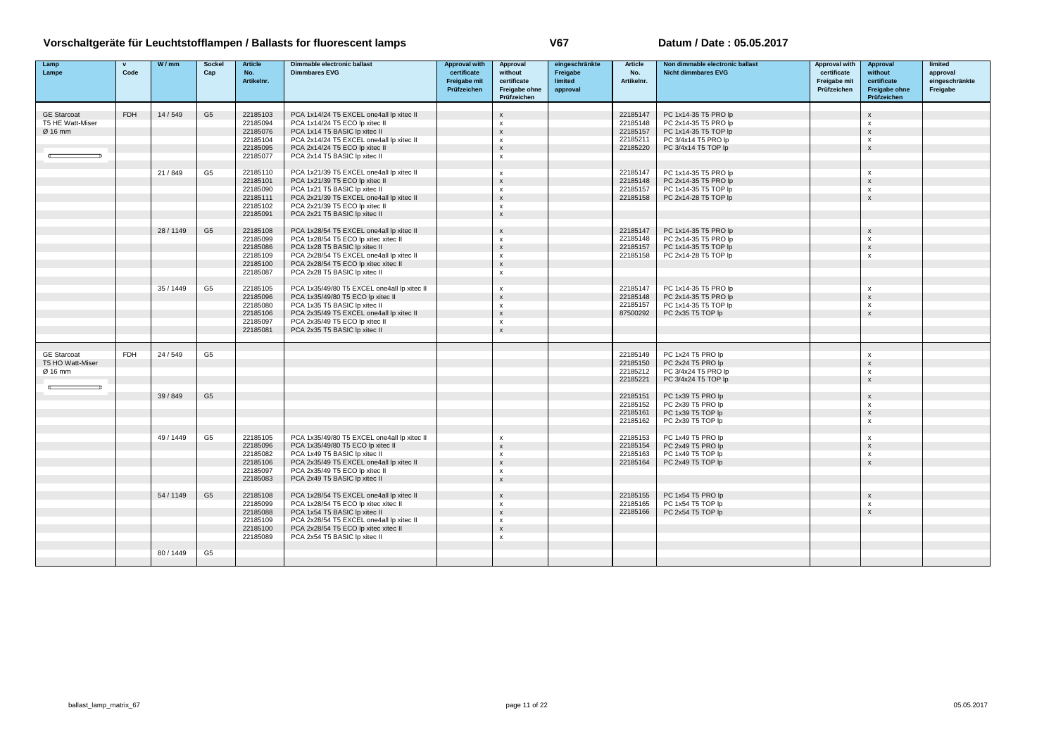| Lamp               | $\mathbf{v}$ | W/mm      | <b>Sockel</b>  | <b>Article</b> | Dimmable electronic ballast                 | <b>Approval with</b> | <b>Approval</b>           | eingeschränkte | <b>Article</b> | Non dimmable electronic ballast | Approval with | Approval                  | limited        |
|--------------------|--------------|-----------|----------------|----------------|---------------------------------------------|----------------------|---------------------------|----------------|----------------|---------------------------------|---------------|---------------------------|----------------|
| Lampe              | Code         |           | Cap            | No.            | <b>Dimmbares EVG</b>                        | certificate          | without                   | Freigabe       | No.            | <b>Nicht dimmbares EVG</b>      | certificate   | without                   | approval       |
|                    |              |           |                | Artikelnr.     |                                             | Freigabe mit         | certificate               | limited        | Artikelnr.     |                                 | Freigabe mit  | certificate               | eingeschränkte |
|                    |              |           |                |                |                                             | Prüfzeichen          | Freigabe ohne             | approval       |                |                                 | Prüfzeichen   | Freigabe ohne             | Freigabe       |
|                    |              |           |                |                |                                             |                      | Prüfzeichen               |                |                |                                 |               | Prüfzeichen               |                |
|                    |              |           |                |                |                                             |                      |                           |                |                |                                 |               |                           |                |
| <b>GE Starcoat</b> | <b>FDH</b>   | 14/549    | G <sub>5</sub> | 22185103       | PCA 1x14/24 T5 EXCEL one4all lp xitec II    |                      | $\mathbf{x}$              |                | 22185147       | PC 1x14-35 T5 PRO lp            |               | $\boldsymbol{\mathsf{x}}$ |                |
| T5 HE Watt-Miser   |              |           |                | 22185094       | PCA 1x14/24 T5 ECO lp xitec II              |                      | $\boldsymbol{\mathsf{x}}$ |                | 22185148       | PC 2x14-35 T5 PRO lp            |               | $\boldsymbol{\mathsf{x}}$ |                |
| $Ø$ 16 mm          |              |           |                | 22185076       | PCA 1x14 T5 BASIC Ip xitec II               |                      | $\boldsymbol{\mathsf{x}}$ |                | 22185157       | PC 1x14-35 T5 TOP lp            |               | $\boldsymbol{\mathsf{x}}$ |                |
|                    |              |           |                | 22185104       | PCA 2x14/24 T5 EXCEL one4all lp xitec II    |                      | $\boldsymbol{\mathsf{x}}$ |                | 22185211       | PC 3/4x14 T5 PRO lp             |               | $\boldsymbol{\mathsf{x}}$ |                |
|                    |              |           |                | 22185095       | PCA 2x14/24 T5 ECO lp xitec II              |                      | $\mathbf{x}$              |                | 22185220       | PC 3/4x14 T5 TOP lp             |               | $\mathsf{x}$              |                |
|                    |              |           |                | 22185077       | PCA 2x14 T5 BASIC Ip xitec II               |                      | $\boldsymbol{\mathsf{x}}$ |                |                |                                 |               |                           |                |
|                    |              |           |                |                |                                             |                      |                           |                |                |                                 |               |                           |                |
|                    |              | 21/849    | G <sub>5</sub> | 22185110       | PCA 1x21/39 T5 EXCEL one4all lp xitec II    |                      | $\mathsf{x}$              |                | 22185147       | PC 1x14-35 T5 PRO lp            |               | $\boldsymbol{\mathsf{x}}$ |                |
|                    |              |           |                | 22185101       | PCA 1x21/39 T5 ECO lp xitec II              |                      | $\mathsf{x}$              |                | 22185148       | PC 2x14-35 T5 PRO lp            |               | $\boldsymbol{\mathsf{x}}$ |                |
|                    |              |           |                | 22185090       | PCA 1x21 T5 BASIC Ip xitec II               |                      | $\boldsymbol{\mathsf{x}}$ |                | 22185157       | PC 1x14-35 T5 TOP lp            |               | $\mathsf{x}$              |                |
|                    |              |           |                | 22185111       | PCA 2x21/39 T5 EXCEL one4all lp xitec II    |                      | $\boldsymbol{\mathsf{x}}$ |                | 22185158       | PC 2x14-28 T5 TOP lp            |               | $\boldsymbol{\mathsf{x}}$ |                |
|                    |              |           |                | 22185102       | PCA 2x21/39 T5 ECO lp xitec II              |                      | $\boldsymbol{\mathsf{x}}$ |                |                |                                 |               |                           |                |
|                    |              |           |                | 22185091       | PCA 2x21 T5 BASIC Ip xitec II               |                      | $\mathsf{x}$              |                |                |                                 |               |                           |                |
|                    |              |           |                |                |                                             |                      |                           |                |                |                                 |               |                           |                |
|                    |              | 28 / 1149 | G <sub>5</sub> | 22185108       | PCA 1x28/54 T5 EXCEL one4all lp xitec II    |                      | $\boldsymbol{\mathsf{x}}$ |                | 22185147       | PC 1x14-35 T5 PRO lp            |               | $\boldsymbol{\mathsf{x}}$ |                |
|                    |              |           |                | 22185099       | PCA 1x28/54 T5 ECO lp xitec xitec II        |                      | $\boldsymbol{\mathsf{x}}$ |                | 22185148       | PC 2x14-35 T5 PRO lp            |               | $\boldsymbol{\mathsf{x}}$ |                |
|                    |              |           |                | 22185086       | PCA 1x28 T5 BASIC Ip xitec II               |                      | $\boldsymbol{\mathsf{x}}$ |                | 22185157       | PC 1x14-35 T5 TOP Ip            |               | $\boldsymbol{\mathsf{x}}$ |                |
|                    |              |           |                | 22185109       | PCA 2x28/54 T5 EXCEL one4all lp xitec II    |                      | $\boldsymbol{\mathsf{x}}$ |                | 22185158       | PC 2x14-28 T5 TOP Ip            |               | $\boldsymbol{\mathsf{x}}$ |                |
|                    |              |           |                | 22185100       | PCA 2x28/54 T5 ECO lp xitec xitec II        |                      | $\boldsymbol{\mathsf{x}}$ |                |                |                                 |               |                           |                |
|                    |              |           |                | 22185087       | PCA 2x28 T5 BASIC Ip xitec II               |                      | $\boldsymbol{\mathsf{x}}$ |                |                |                                 |               |                           |                |
|                    |              |           |                |                |                                             |                      |                           |                |                |                                 |               |                           |                |
|                    |              | 35 / 1449 | G <sub>5</sub> | 22185105       | PCA 1x35/49/80 T5 EXCEL one4all lp xitec II |                      | $\boldsymbol{\mathsf{x}}$ |                | 22185147       | PC 1x14-35 T5 PRO lp            |               | $\boldsymbol{\mathsf{x}}$ |                |
|                    |              |           |                | 22185096       | PCA 1x35/49/80 T5 ECO lp xitec II           |                      | $\boldsymbol{\mathsf{x}}$ |                | 22185148       | PC 2x14-35 T5 PRO lp            |               | $\boldsymbol{\mathsf{x}}$ |                |
|                    |              |           |                | 22185080       | PCA 1x35 T5 BASIC Ip xitec II               |                      | $\boldsymbol{\mathsf{x}}$ |                | 22185157       | PC 1x14-35 T5 TOP lp            |               | $\boldsymbol{\mathsf{x}}$ |                |
|                    |              |           |                | 22185106       | PCA 2x35/49 T5 EXCEL one4all lp xitec II    |                      | $\boldsymbol{\mathsf{x}}$ |                | 87500292       | PC 2x35 T5 TOP lp               |               | $\boldsymbol{\mathsf{x}}$ |                |
|                    |              |           |                | 22185097       | PCA 2x35/49 T5 ECO lp xitec II              |                      | $\boldsymbol{\mathsf{x}}$ |                |                |                                 |               |                           |                |
|                    |              |           |                | 22185081       | PCA 2x35 T5 BASIC Ip xitec II               |                      | $\boldsymbol{\mathsf{x}}$ |                |                |                                 |               |                           |                |
|                    |              |           |                |                |                                             |                      |                           |                |                |                                 |               |                           |                |
|                    |              |           |                |                |                                             |                      |                           |                |                |                                 |               |                           |                |
| <b>GE Starcoat</b> | <b>FDH</b>   | 24/549    | G <sub>5</sub> |                |                                             |                      |                           |                | 22185149       | PC 1x24 T5 PRO lp               |               | X                         |                |
| T5 HO Watt-Miser   |              |           |                |                |                                             |                      |                           |                | 22185150       | PC 2x24 T5 PRO lp               |               | $\pmb{\chi}$              |                |
| Ø 16 mm            |              |           |                |                |                                             |                      |                           |                | 22185212       | PC 3/4x24 T5 PRO lp             |               | $\boldsymbol{\mathsf{x}}$ |                |
|                    |              |           |                |                |                                             |                      |                           |                | 22185221       | PC 3/4x24 T5 TOP lp             |               | $\boldsymbol{\mathsf{x}}$ |                |
|                    |              |           |                |                |                                             |                      |                           |                |                |                                 |               |                           |                |
|                    |              | 39 / 849  | G <sub>5</sub> |                |                                             |                      |                           |                | 22185151       | PC 1x39 T5 PRO lp               |               | $\boldsymbol{\mathsf{x}}$ |                |
|                    |              |           |                |                |                                             |                      |                           |                | 22185152       | PC 2x39 T5 PRO lp               |               | $\boldsymbol{\mathsf{x}}$ |                |
|                    |              |           |                |                |                                             |                      |                           |                | 22185161       | PC 1x39 T5 TOP lp               |               | $\boldsymbol{\mathsf{x}}$ |                |
|                    |              |           |                |                |                                             |                      |                           |                | 22185162       | PC 2x39 T5 TOP Ip               |               | $\boldsymbol{\mathsf{x}}$ |                |
|                    |              |           |                |                |                                             |                      |                           |                |                |                                 |               |                           |                |
|                    |              | 49 / 1449 | G <sub>5</sub> | 22185105       | PCA 1x35/49/80 T5 EXCEL one4all lp xitec II |                      | $\boldsymbol{\mathsf{x}}$ |                | 22185153       | PC 1x49 T5 PRO lp               |               | $\boldsymbol{\mathsf{x}}$ |                |
|                    |              |           |                | 22185096       | PCA 1x35/49/80 T5 ECO lp xitec II           |                      | $\boldsymbol{\mathsf{x}}$ |                | 22185154       | PC 2x49 T5 PRO lp               |               | $\boldsymbol{\mathsf{x}}$ |                |
|                    |              |           |                | 22185082       | PCA 1x49 T5 BASIC Ip xitec II               |                      | $\boldsymbol{\mathsf{x}}$ |                | 22185163       | PC 1x49 T5 TOP lp               |               | $\boldsymbol{\mathsf{x}}$ |                |
|                    |              |           |                | 22185106       | PCA 2x35/49 T5 EXCEL one4all lp xitec II    |                      | $\boldsymbol{\mathsf{x}}$ |                | 22185164       | PC 2x49 T5 TOP lp               |               | $\boldsymbol{\mathsf{x}}$ |                |
|                    |              |           |                | 22185097       | PCA 2x35/49 T5 ECO lp xitec II              |                      | $\boldsymbol{\mathsf{x}}$ |                |                |                                 |               |                           |                |
|                    |              |           |                | 22185083       | PCA 2x49 T5 BASIC Ip xitec II               |                      | $\boldsymbol{\mathsf{x}}$ |                |                |                                 |               |                           |                |
|                    |              |           |                |                |                                             |                      |                           |                |                |                                 |               |                           |                |
|                    |              | 54 / 1149 | G <sub>5</sub> | 22185108       | PCA 1x28/54 T5 EXCEL one4all lp xitec II    |                      | $\boldsymbol{\mathsf{x}}$ |                | 22185155       | PC 1x54 T5 PRO lp               |               | $\mathsf{x}$              |                |
|                    |              |           |                | 22185099       | PCA 1x28/54 T5 ECO lp xitec xitec II        |                      | $\boldsymbol{\mathsf{x}}$ |                | 22185165       | PC 1x54 T5 TOP lp               |               | $\boldsymbol{\mathsf{x}}$ |                |
|                    |              |           |                | 22185088       | PCA 1x54 T5 BASIC Ip xitec II               |                      | $\boldsymbol{\mathsf{x}}$ |                | 22185166       | PC 2x54 T5 TOP Ip               |               | $\mathbf{x}$              |                |
|                    |              |           |                | 22185109       | PCA 2x28/54 T5 EXCEL one4all lp xitec II    |                      | $\mathbf{x}$              |                |                |                                 |               |                           |                |
|                    |              |           |                | 22185100       | PCA 2x28/54 T5 ECO lp xitec xitec II        |                      | $\mathsf{x}$              |                |                |                                 |               |                           |                |
|                    |              |           |                | 22185089       | PCA 2x54 T5 BASIC Ip xitec II               |                      | $\boldsymbol{\mathsf{x}}$ |                |                |                                 |               |                           |                |
|                    |              |           |                |                |                                             |                      |                           |                |                |                                 |               |                           |                |
|                    |              | 80/1449   | G5             |                |                                             |                      |                           |                |                |                                 |               |                           |                |
|                    |              |           |                |                |                                             |                      |                           |                |                |                                 |               |                           |                |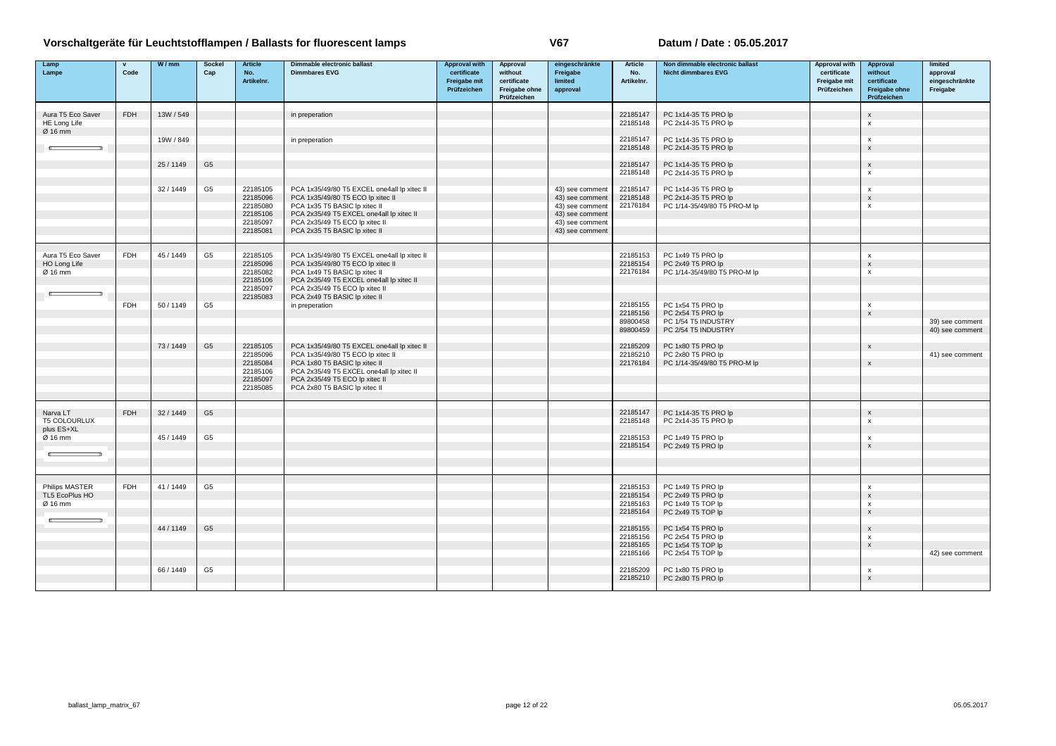| Lamp<br>Lampe                                | $\mathbf{v}$<br>Code | W/mm      | <b>Sockel</b><br>Cap | <b>Article</b><br>No.<br>Artikelnr.                                  | Dimmable electronic ballast<br><b>Dimmbares EVG</b>                                                                                                                                                                              | <b>Approval with</b><br>certificate<br><b>Freigabe mit</b><br>Prüfzeichen | Approval<br>without<br>certificate<br>Freigabe ohne<br>Prüfzeichen | eingeschränkte<br>Freigabe<br>limited<br>approval                                                              | <b>Article</b><br>No.<br>Artikelnr.          | Non dimmable electronic ballast<br><b>Nicht dimmbares EVG</b>                        | <b>Approval with</b><br>certificate<br>Freigabe mit<br>Prüfzeichen | Approval<br>without<br>certificate<br><b>Freigabe ohne</b><br>Prüfzeichen           | limited<br>approval<br>eingeschränkte<br>Freigabe |
|----------------------------------------------|----------------------|-----------|----------------------|----------------------------------------------------------------------|----------------------------------------------------------------------------------------------------------------------------------------------------------------------------------------------------------------------------------|---------------------------------------------------------------------------|--------------------------------------------------------------------|----------------------------------------------------------------------------------------------------------------|----------------------------------------------|--------------------------------------------------------------------------------------|--------------------------------------------------------------------|-------------------------------------------------------------------------------------|---------------------------------------------------|
| Aura T5 Eco Saver<br>HE Long Life            | <b>FDH</b>           | 13W / 549 |                      |                                                                      | in preperation                                                                                                                                                                                                                   |                                                                           |                                                                    |                                                                                                                | 22185147<br>22185148                         | PC 1x14-35 T5 PRO lp<br>PC 2x14-35 T5 PRO lp                                         |                                                                    | $\mathsf{x}$<br>х                                                                   |                                                   |
| Ø 16 mm                                      |                      | 19W / 849 |                      |                                                                      | in preperation                                                                                                                                                                                                                   |                                                                           |                                                                    |                                                                                                                | 22185147<br>22185148                         | PC 1x14-35 T5 PRO lp<br>PC 2x14-35 T5 PRO lp                                         |                                                                    | $\boldsymbol{x}$<br>$\mathsf{x}$                                                    |                                                   |
|                                              |                      | 25 / 1149 | G <sub>5</sub>       |                                                                      |                                                                                                                                                                                                                                  |                                                                           |                                                                    |                                                                                                                | 22185147<br>22185148                         | PC 1x14-35 T5 PRO lp<br>PC 2x14-35 T5 PRO lp                                         |                                                                    | $\mathsf{x}$<br>$\pmb{\times}$                                                      |                                                   |
|                                              |                      | 32/1449   | G <sub>5</sub>       | 22185105<br>22185096<br>22185080<br>22185106<br>22185097<br>22185081 | PCA 1x35/49/80 T5 EXCEL one4all lp xitec II<br>PCA 1x35/49/80 T5 ECO lp xitec II<br>PCA 1x35 T5 BASIC Ip xitec II<br>PCA 2x35/49 T5 EXCEL one4all lp xitec II<br>PCA 2x35/49 T5 ECO lp xitec II<br>PCA 2x35 T5 BASIC Ip xitec II |                                                                           |                                                                    | 43) see comment<br>43) see comment<br>43) see comment<br>43) see comment<br>43) see comment<br>43) see comment | 22185147<br>22185148<br>22176184             | PC 1x14-35 T5 PRO lp<br>PC 2x14-35 T5 PRO lp<br>PC 1/14-35/49/80 T5 PRO-M lp         |                                                                    | x<br>$\mathbf{x}$<br>$\boldsymbol{\mathsf{x}}$                                      |                                                   |
| Aura T5 Eco Saver<br>HO Long Life<br>Ø 16 mm | <b>FDH</b>           | 45 / 1449 | G <sub>5</sub>       | 22185105<br>22185096<br>22185082<br>22185106<br>22185097<br>22185083 | PCA 1x35/49/80 T5 EXCEL one4all lp xitec II<br>PCA 1x35/49/80 T5 ECO lp xitec II<br>PCA 1x49 T5 BASIC lp xitec II<br>PCA 2x35/49 T5 EXCEL one4all lp xitec II<br>PCA 2x35/49 T5 ECO lp xitec II<br>PCA 2x49 T5 BASIC Ip xitec II |                                                                           |                                                                    |                                                                                                                | 22185153<br>22185154<br>22176184             | PC 1x49 T5 PRO lp<br>PC 2x49 T5 PRO lp<br>PC 1/14-35/49/80 T5 PRO-M lp               |                                                                    | $\boldsymbol{\mathsf{x}}$<br>$\boldsymbol{\mathsf{x}}$<br>$\pmb{\times}$            |                                                   |
|                                              | <b>FDH</b>           | 50 / 1149 | G <sub>5</sub>       |                                                                      | in preperation                                                                                                                                                                                                                   |                                                                           |                                                                    |                                                                                                                | 22185155<br>22185156<br>89800458<br>89800459 | PC 1x54 T5 PRO lp<br>PC 2x54 T5 PRO lp<br>PC 1/54 T5 INDUSTRY<br>PC 2/54 T5 INDUSTRY |                                                                    | $\boldsymbol{\mathsf{x}}$<br>$\boldsymbol{\mathsf{x}}$                              | 39) see comment<br>40) see comment                |
|                                              |                      | 73/1449   | G <sub>5</sub>       | 22185105<br>22185096<br>22185084<br>22185106<br>22185097<br>22185085 | PCA 1x35/49/80 T5 EXCEL one4all lp xitec II<br>PCA 1x35/49/80 T5 ECO lp xitec II<br>PCA 1x80 T5 BASIC lp xitec II<br>PCA 2x35/49 T5 EXCEL one4all lp xitec II<br>PCA 2x35/49 T5 ECO lp xitec II<br>PCA 2x80 T5 BASIC lp xitec II |                                                                           |                                                                    |                                                                                                                | 22185209<br>22185210<br>22176184             | PC 1x80 T5 PRO lp<br>PC 2x80 T5 PRO lp<br>PC 1/14-35/49/80 T5 PRO-M lp               |                                                                    | $\mathsf{x}$<br>$\mathsf{x}$                                                        | 41) see comment                                   |
| Narva LT<br><b>T5 COLOURLUX</b>              | FDH                  | 32/1449   | G <sub>5</sub>       |                                                                      |                                                                                                                                                                                                                                  |                                                                           |                                                                    |                                                                                                                | 22185147<br>22185148                         | PC 1x14-35 T5 PRO lp<br>PC 2x14-35 T5 PRO lp                                         |                                                                    | $\boldsymbol{\mathsf{x}}$<br>$\pmb{\times}$                                         |                                                   |
| plus ES+XL<br>Ø 16 mm                        |                      | 45 / 1449 | G <sub>5</sub>       |                                                                      |                                                                                                                                                                                                                                  |                                                                           |                                                                    |                                                                                                                | 22185153<br>22185154                         | PC 1x49 T5 PRO lp<br>PC 2x49 T5 PRO lp                                               |                                                                    | x<br>$\mathsf{x}$                                                                   |                                                   |
| Philips MASTER<br>TL5 EcoPlus HO<br>Ø 16 mm  | <b>FDH</b>           | 41/1449   | G <sub>5</sub>       |                                                                      |                                                                                                                                                                                                                                  |                                                                           |                                                                    |                                                                                                                | 22185153<br>22185154<br>22185163<br>22185164 | PC 1x49 T5 PRO lp<br>PC 2x49 T5 PRO Ip<br>PC 1x49 T5 TOP lp<br>PC 2x49 T5 TOP Ip     |                                                                    | $\mathbf{x}$<br>$\mathbf{x}$<br>$\boldsymbol{\mathsf{x}}$<br>$\mathsf{x}$           |                                                   |
|                                              |                      | 44 / 1149 | G <sub>5</sub>       |                                                                      |                                                                                                                                                                                                                                  |                                                                           |                                                                    |                                                                                                                | 22185155<br>22185156<br>22185165<br>22185166 | PC 1x54 T5 PRO lp<br>PC 2x54 T5 PRO lp<br>PC 1x54 T5 TOP lp<br>PC 2x54 T5 TOP Ip     |                                                                    | $\boldsymbol{\mathsf{x}}$<br>$\boldsymbol{\mathsf{x}}$<br>$\boldsymbol{\mathsf{x}}$ | 42) see comment                                   |
|                                              |                      | 66 / 1449 | G <sub>5</sub>       |                                                                      |                                                                                                                                                                                                                                  |                                                                           |                                                                    |                                                                                                                | 22185209<br>22185210                         | PC 1x80 T5 PRO lp<br>PC 2x80 T5 PRO lp                                               |                                                                    | х<br>$\mathbf{x}$                                                                   |                                                   |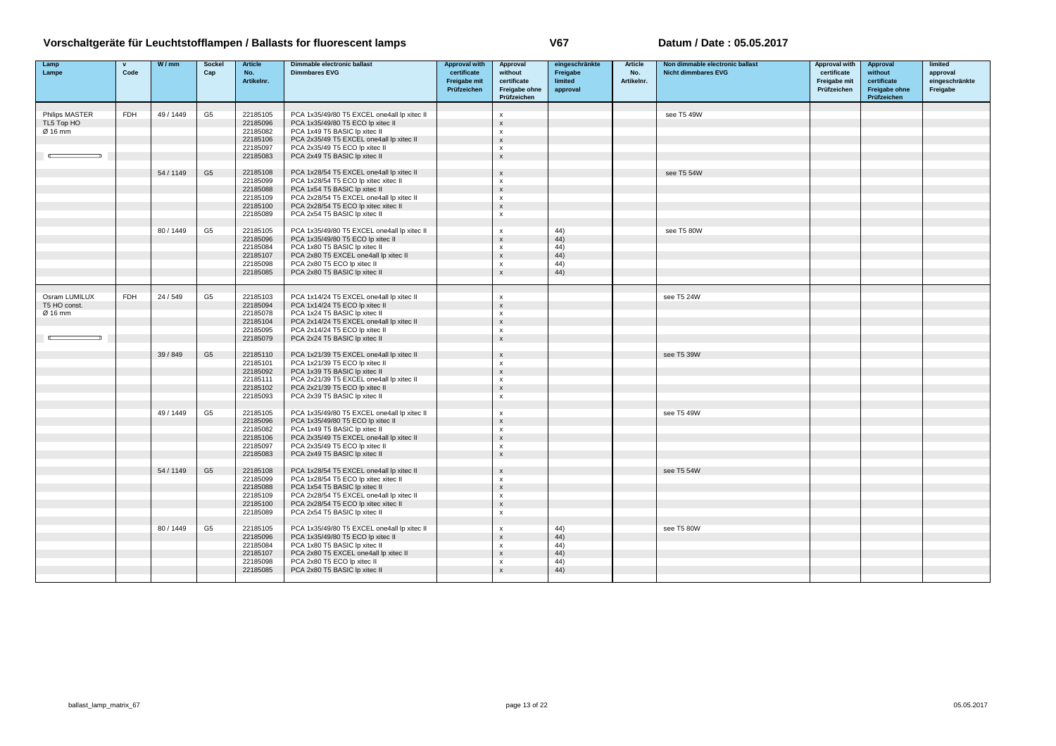| Lamp                          | $\mathbf{v}$ | W/mm      | <b>Sockel</b>  | <b>Article</b>       | Dimmable electronic ballast                                           | <b>Approval with</b>        | <b>Approval</b>                | eingeschränkte      | Article           | Non dimmable electronic ballast | Approval with               | Approval               | limited                    |
|-------------------------------|--------------|-----------|----------------|----------------------|-----------------------------------------------------------------------|-----------------------------|--------------------------------|---------------------|-------------------|---------------------------------|-----------------------------|------------------------|----------------------------|
| Lampe                         | Code         |           | Cap            | No.<br>Artikelnr.    | <b>Dimmbares EVG</b>                                                  | certificate<br>Freigabe mit | without<br>certificate         | Freigabe<br>limited | No.<br>Artikelnr. | <b>Nicht dimmbares EVG</b>      | certificate<br>Freigabe mit | without<br>certificate | approval<br>eingeschränkte |
|                               |              |           |                |                      |                                                                       | Prüfzeichen                 | Freigabe ohne                  | approval            |                   |                                 | Prüfzeichen                 | Freigabe ohne          | Freigabe                   |
|                               |              |           |                |                      |                                                                       |                             | Prüfzeichen                    |                     |                   |                                 |                             | Prüfzeichen            |                            |
| Philips MASTER                | <b>FDH</b>   | 49/1449   | G <sub>5</sub> | 22185105             | PCA 1x35/49/80 T5 EXCEL one4all lp xitec II                           |                             | x                              |                     |                   | see T5 49W                      |                             |                        |                            |
| TL5 Top HO                    |              |           |                | 22185096             | PCA 1x35/49/80 T5 ECO lp xitec II                                     |                             | $\boldsymbol{\mathsf{x}}$      |                     |                   |                                 |                             |                        |                            |
| Ø 16 mm                       |              |           |                | 22185082             | PCA 1x49 T5 BASIC Ip xitec II                                         |                             | X                              |                     |                   |                                 |                             |                        |                            |
|                               |              |           |                | 22185106             | PCA 2x35/49 T5 EXCEL one4all lp xitec II                              |                             | $\boldsymbol{\mathsf{x}}$      |                     |                   |                                 |                             |                        |                            |
|                               |              |           |                | 22185097             | PCA 2x35/49 T5 ECO lp xitec II                                        |                             | $\mathbf{x}$                   |                     |                   |                                 |                             |                        |                            |
|                               |              |           |                | 22185083             | PCA 2x49 T5 BASIC Ip xitec II                                         |                             | $\mathsf{x}$                   |                     |                   |                                 |                             |                        |                            |
|                               |              | 54 / 1149 | G <sub>5</sub> | 22185108             | PCA 1x28/54 T5 EXCEL one4all lp xitec II                              |                             | $\boldsymbol{\mathsf{x}}$      |                     |                   | see T5 54W                      |                             |                        |                            |
|                               |              |           |                | 22185099             | PCA 1x28/54 T5 ECO lp xitec xitec II                                  |                             | $\mathbf{x}$                   |                     |                   |                                 |                             |                        |                            |
|                               |              |           |                | 22185088             | PCA 1x54 T5 BASIC Ip xitec II                                         |                             | $\boldsymbol{\mathsf{x}}$      |                     |                   |                                 |                             |                        |                            |
|                               |              |           |                | 22185109             | PCA 2x28/54 T5 EXCEL one4all lp xitec II                              |                             | $\boldsymbol{\mathsf{x}}$      |                     |                   |                                 |                             |                        |                            |
|                               |              |           |                | 22185100<br>22185089 | PCA 2x28/54 T5 ECO lp xitec xitec II<br>PCA 2x54 T5 BASIC Ip xitec II |                             | $\mathsf{x}$<br>x              |                     |                   |                                 |                             |                        |                            |
|                               |              |           |                |                      |                                                                       |                             |                                |                     |                   |                                 |                             |                        |                            |
|                               |              | 80 / 1449 | G <sub>5</sub> | 22185105             | PCA 1x35/49/80 T5 EXCEL one4all lp xitec II                           |                             | $\boldsymbol{\mathsf{x}}$      | 44)                 |                   | see T5 80W                      |                             |                        |                            |
|                               |              |           |                | 22185096             | PCA 1x35/49/80 T5 ECO lp xitec II                                     |                             | $\mathsf{x}$                   | 44)                 |                   |                                 |                             |                        |                            |
|                               |              |           |                | 22185084             | PCA 1x80 T5 BASIC Ip xitec II                                         |                             | X                              | (44)                |                   |                                 |                             |                        |                            |
|                               |              |           |                | 22185107             | PCA 2x80 T5 EXCEL one4all lp xitec II                                 |                             | $\mathsf{x}$                   | 44)                 |                   |                                 |                             |                        |                            |
|                               |              |           |                | 22185098<br>22185085 | PCA 2x80 T5 ECO lp xitec II<br>PCA 2x80 T5 BASIC Ip xitec II          |                             | x<br>$\mathsf{x}$              | 44)<br>44)          |                   |                                 |                             |                        |                            |
|                               |              |           |                |                      |                                                                       |                             |                                |                     |                   |                                 |                             |                        |                            |
|                               |              |           |                |                      |                                                                       |                             |                                |                     |                   |                                 |                             |                        |                            |
| Osram LUMILUX<br>T5 HO const. | <b>FDH</b>   | 24/549    | G <sub>5</sub> | 22185103             | PCA 1x14/24 T5 EXCEL one4all lp xitec II                              |                             | X                              |                     |                   | see T5 24W                      |                             |                        |                            |
| Ø 16 mm                       |              |           |                | 22185094<br>22185078 | PCA 1x14/24 T5 ECO lp xitec II<br>PCA 1x24 T5 BASIC Ip xitec II       |                             | $\boldsymbol{\mathsf{x}}$<br>X |                     |                   |                                 |                             |                        |                            |
|                               |              |           |                | 22185104             | PCA 2x14/24 T5 EXCEL one4all lp xitec II                              |                             | $\mathsf{x}$                   |                     |                   |                                 |                             |                        |                            |
|                               |              |           |                | 22185095             | PCA 2x14/24 T5 ECO lp xitec II                                        |                             | $\mathbf x$                    |                     |                   |                                 |                             |                        |                            |
|                               |              |           |                | 22185079             | PCA 2x24 T5 BASIC Ip xitec II                                         |                             | $\mathsf{x}$                   |                     |                   |                                 |                             |                        |                            |
|                               |              | 39 / 849  | G <sub>5</sub> | 22185110             | PCA 1x21/39 T5 EXCEL one4all lp xitec II                              |                             | $\mathsf{x}$                   |                     |                   | see T5 39W                      |                             |                        |                            |
|                               |              |           |                | 22185101             | PCA 1x21/39 T5 ECO lp xitec II                                        |                             | $\mathbf{x}$                   |                     |                   |                                 |                             |                        |                            |
|                               |              |           |                | 22185092             | PCA 1x39 T5 BASIC Ip xitec II                                         |                             | $\boldsymbol{\mathsf{x}}$      |                     |                   |                                 |                             |                        |                            |
|                               |              |           |                | 22185111             | PCA 2x21/39 T5 EXCEL one4all lp xitec II                              |                             | $\boldsymbol{\mathsf{x}}$      |                     |                   |                                 |                             |                        |                            |
|                               |              |           |                | 22185102             | PCA 2x21/39 T5 ECO lp xitec II                                        |                             | $\mathsf{x}$                   |                     |                   |                                 |                             |                        |                            |
|                               |              |           |                | 22185093             | PCA 2x39 T5 BASIC Ip xitec II                                         |                             | x                              |                     |                   |                                 |                             |                        |                            |
|                               |              | 49 / 1449 | G <sub>5</sub> | 22185105             | PCA 1x35/49/80 T5 EXCEL one4all lp xitec II                           |                             | x                              |                     |                   | see T5 49W                      |                             |                        |                            |
|                               |              |           |                | 22185096             | PCA 1x35/49/80 T5 ECO lp xitec II                                     |                             | $\boldsymbol{\mathsf{x}}$      |                     |                   |                                 |                             |                        |                            |
|                               |              |           |                | 22185082             | PCA 1x49 T5 BASIC Ip xitec II                                         |                             | X                              |                     |                   |                                 |                             |                        |                            |
|                               |              |           |                | 22185106             | PCA 2x35/49 T5 EXCEL one4all lp xitec II                              |                             | $\boldsymbol{\mathsf{x}}$      |                     |                   |                                 |                             |                        |                            |
|                               |              |           |                | 22185097<br>22185083 | PCA 2x35/49 T5 ECO lp xitec II<br>PCA 2x49 T5 BASIC Ip xitec II       |                             | x<br>$\mathsf{x}$              |                     |                   |                                 |                             |                        |                            |
|                               |              |           |                |                      |                                                                       |                             |                                |                     |                   |                                 |                             |                        |                            |
|                               |              | 54 / 1149 | G <sub>5</sub> | 22185108             | PCA 1x28/54 T5 EXCEL one4all lp xitec II                              |                             | $\mathsf{x}$                   |                     |                   | see T5 54W                      |                             |                        |                            |
|                               |              |           |                | 22185099             | PCA 1x28/54 T5 ECO lp xitec xitec II                                  |                             | $\boldsymbol{\mathsf{x}}$      |                     |                   |                                 |                             |                        |                            |
|                               |              |           |                | 22185088             | PCA 1x54 T5 BASIC Ip xitec II                                         |                             | $\boldsymbol{\mathsf{x}}$      |                     |                   |                                 |                             |                        |                            |
|                               |              |           |                | 22185109             | PCA 2x28/54 T5 EXCEL one4all lp xitec II                              |                             | x                              |                     |                   |                                 |                             |                        |                            |
|                               |              |           |                | 22185100<br>22185089 | PCA 2x28/54 T5 ECO lp xitec xitec II<br>PCA 2x54 T5 BASIC Ip xitec II |                             | $\mathsf{x}$<br>$\mathsf{x}$   |                     |                   |                                 |                             |                        |                            |
|                               |              |           |                |                      |                                                                       |                             |                                |                     |                   |                                 |                             |                        |                            |
|                               |              | 80 / 1449 | G <sub>5</sub> | 22185105             | PCA 1x35/49/80 T5 EXCEL one4all lp xitec II                           |                             | $\pmb{\mathsf{x}}$             | 44)                 |                   | see T5 80W                      |                             |                        |                            |
|                               |              |           |                | 22185096             | PCA 1x35/49/80 T5 ECO lp xitec II                                     |                             | $\boldsymbol{\mathsf{x}}$      | (44)                |                   |                                 |                             |                        |                            |
|                               |              |           |                | 22185084             | PCA 1x80 T5 BASIC lp xitec II                                         |                             | $\mathbf x$                    | 44)                 |                   |                                 |                             |                        |                            |
|                               |              |           |                | 22185107             | PCA 2x80 T5 EXCEL one4all lp xitec II                                 |                             | $\boldsymbol{\mathsf{x}}$      | 44)                 |                   |                                 |                             |                        |                            |
|                               |              |           |                | 22185098<br>22185085 | PCA 2x80 T5 ECO lp xitec II<br>PCA 2x80 T5 BASIC Ip xitec II          |                             | $\mathbf{x}$<br>$\mathsf{x}$   | 44)<br>44)          |                   |                                 |                             |                        |                            |
|                               |              |           |                |                      |                                                                       |                             |                                |                     |                   |                                 |                             |                        |                            |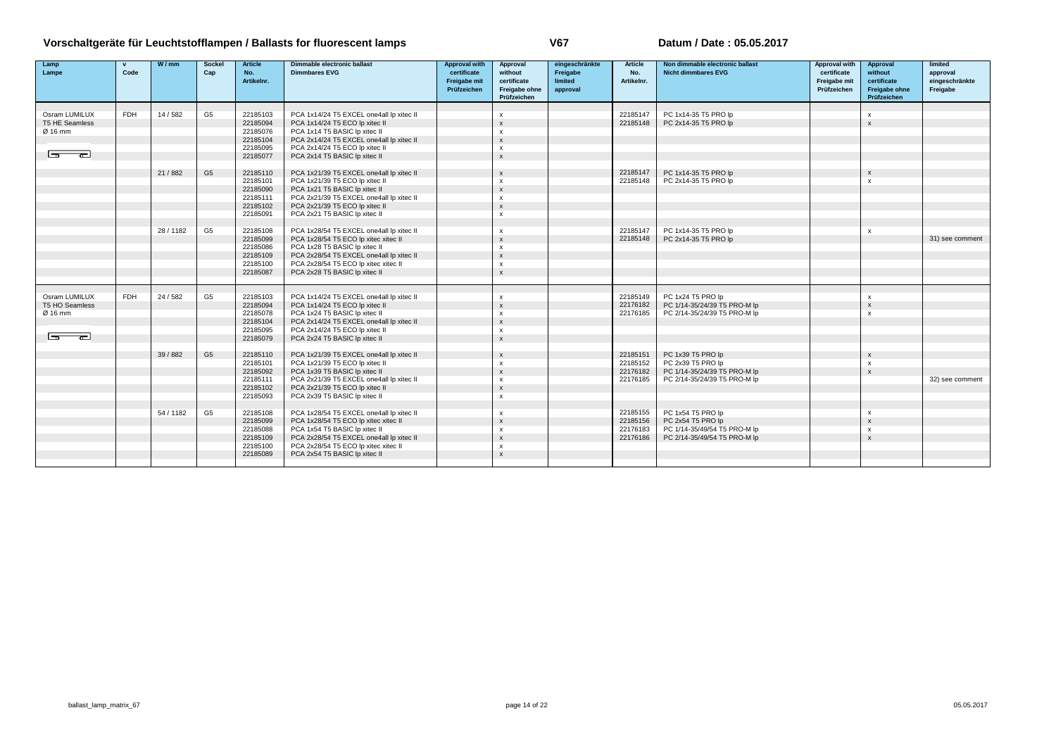| Artikelnr.<br>limited<br>Freigabe mit<br>certificate<br>Artikelnr.<br>Freigabe mit<br>certificate<br>Prüfzeichen<br>Prüfzeichen<br><b>Freigabe ohne</b><br>Freigabe ohne<br>approval<br>Prüfzeichen<br>Prüfzeichen<br><b>FDH</b><br>Osram LUMILUX<br>G <sub>5</sub><br>22185147<br>14 / 582<br>22185103<br>PCA 1x14/24 T5 EXCEL one4all lp xitec II<br>PC 1x14-35 T5 PRO lp<br>$\mathsf{x}$<br>$\mathsf{x}$<br>T5 HE Seamless<br>PCA 1x14/24 T5 ECO lp xitec II<br>PC 2x14-35 T5 PRO lp<br>22185094<br>22185148<br>$\boldsymbol{\mathsf{x}}$<br>$\mathbf{x}$<br>PCA 1x14 T5 BASIC Ip xitec II<br>Ø 16 mm<br>22185076<br>$\times$<br>22185104<br>PCA 2x14/24 T5 EXCEL one4all lp xitec II<br>$\mathbf{x}$<br>PCA 2x14/24 T5 ECO lp xitec II<br>22185095<br>$\mathsf{x}$<br>╼<br>$-\$<br>PCA 2x14 T5 BASIC Ip xitec II<br>22185077<br>$\mathbf{x}$ | approval<br>eingeschränkte<br>Freigabe |
|--------------------------------------------------------------------------------------------------------------------------------------------------------------------------------------------------------------------------------------------------------------------------------------------------------------------------------------------------------------------------------------------------------------------------------------------------------------------------------------------------------------------------------------------------------------------------------------------------------------------------------------------------------------------------------------------------------------------------------------------------------------------------------------------------------------------------------------------------|----------------------------------------|
|                                                                                                                                                                                                                                                                                                                                                                                                                                                                                                                                                                                                                                                                                                                                                                                                                                                  |                                        |
|                                                                                                                                                                                                                                                                                                                                                                                                                                                                                                                                                                                                                                                                                                                                                                                                                                                  |                                        |
|                                                                                                                                                                                                                                                                                                                                                                                                                                                                                                                                                                                                                                                                                                                                                                                                                                                  |                                        |
|                                                                                                                                                                                                                                                                                                                                                                                                                                                                                                                                                                                                                                                                                                                                                                                                                                                  |                                        |
|                                                                                                                                                                                                                                                                                                                                                                                                                                                                                                                                                                                                                                                                                                                                                                                                                                                  |                                        |
|                                                                                                                                                                                                                                                                                                                                                                                                                                                                                                                                                                                                                                                                                                                                                                                                                                                  |                                        |
|                                                                                                                                                                                                                                                                                                                                                                                                                                                                                                                                                                                                                                                                                                                                                                                                                                                  |                                        |
|                                                                                                                                                                                                                                                                                                                                                                                                                                                                                                                                                                                                                                                                                                                                                                                                                                                  |                                        |
|                                                                                                                                                                                                                                                                                                                                                                                                                                                                                                                                                                                                                                                                                                                                                                                                                                                  |                                        |
| G <sub>5</sub><br>PC 1x14-35 T5 PRO lp<br>21/882<br>22185110<br>PCA 1x21/39 T5 EXCEL one4all lp xitec II<br>22185147<br>$\mathsf{x}$<br>$\boldsymbol{\mathsf{x}}$                                                                                                                                                                                                                                                                                                                                                                                                                                                                                                                                                                                                                                                                                |                                        |
| 22185101<br>PCA 1x21/39 T5 ECO lp xitec II<br>PC 2x14-35 T5 PRO lp<br>22185148<br>$\mathsf{x}$<br>$\mathsf{x}$                                                                                                                                                                                                                                                                                                                                                                                                                                                                                                                                                                                                                                                                                                                                   |                                        |
| 22185090<br>PCA 1x21 T5 BASIC Ip xitec II<br>$\mathbf{x}$                                                                                                                                                                                                                                                                                                                                                                                                                                                                                                                                                                                                                                                                                                                                                                                        |                                        |
| 22185111<br>PCA 2x21/39 T5 EXCEL one4all lp xitec II<br>$\boldsymbol{\mathsf{x}}$                                                                                                                                                                                                                                                                                                                                                                                                                                                                                                                                                                                                                                                                                                                                                                |                                        |
| 22185102<br>PCA 2x21/39 T5 ECO lp xitec II<br>$\mathsf{x}$                                                                                                                                                                                                                                                                                                                                                                                                                                                                                                                                                                                                                                                                                                                                                                                       |                                        |
| 22185091<br>PCA 2x21 T5 BASIC Ip xitec II<br>$\pmb{\chi}$                                                                                                                                                                                                                                                                                                                                                                                                                                                                                                                                                                                                                                                                                                                                                                                        |                                        |
| PC 1x14-35 T5 PRO lp<br>28/1182                                                                                                                                                                                                                                                                                                                                                                                                                                                                                                                                                                                                                                                                                                                                                                                                                  |                                        |
| G <sub>5</sub><br>22185108<br>PCA 1x28/54 T5 EXCEL one4all lp xitec II<br>22185147<br>$\boldsymbol{\mathsf{x}}$<br>$\boldsymbol{\mathsf{x}}$<br>22185148                                                                                                                                                                                                                                                                                                                                                                                                                                                                                                                                                                                                                                                                                         |                                        |
| 22185099<br>PCA 1x28/54 T5 ECO lp xitec xitec II<br>PC 2x14-35 T5 PRO lp<br>$\mathbf{x}$<br>22185086<br>PCA 1x28 T5 BASIC Ip xitec II                                                                                                                                                                                                                                                                                                                                                                                                                                                                                                                                                                                                                                                                                                            | 31) see comment                        |
| $\mathsf{x}$<br>$\mathbf{x}$                                                                                                                                                                                                                                                                                                                                                                                                                                                                                                                                                                                                                                                                                                                                                                                                                     |                                        |
| 22185109<br>PCA 2x28/54 T5 EXCEL one4all lp xitec II                                                                                                                                                                                                                                                                                                                                                                                                                                                                                                                                                                                                                                                                                                                                                                                             |                                        |
| 22185100<br>PCA 2x28/54 T5 ECO lp xitec xitec II<br>x<br>22185087<br>PCA 2x28 T5 BASIC Ip xitec II<br>$\mathbf{x}$                                                                                                                                                                                                                                                                                                                                                                                                                                                                                                                                                                                                                                                                                                                               |                                        |
|                                                                                                                                                                                                                                                                                                                                                                                                                                                                                                                                                                                                                                                                                                                                                                                                                                                  |                                        |
| <b>FDH</b>                                                                                                                                                                                                                                                                                                                                                                                                                                                                                                                                                                                                                                                                                                                                                                                                                                       |                                        |
| Osram LUMILUX<br>24/582<br>G5<br>22185103<br>PCA 1x14/24 T5 EXCEL one4all lp xitec II<br>22185149<br>PC 1x24 T5 PRO lp<br>$\mathsf{x}$<br>$\boldsymbol{\mathsf{x}}$<br>T5 HO Seamless<br>22176182                                                                                                                                                                                                                                                                                                                                                                                                                                                                                                                                                                                                                                                |                                        |
| 22185094<br>PCA 1x14/24 T5 ECO lp xitec II<br>PC 1/14-35/24/39 T5 PRO-M lp<br>$\boldsymbol{\mathsf{x}}$<br>$\mathbf{x}$                                                                                                                                                                                                                                                                                                                                                                                                                                                                                                                                                                                                                                                                                                                          |                                        |
| 22185078<br>PCA 1x24 T5 BASIC Ip xitec II<br>22176185<br>PC 2/14-35/24/39 T5 PRO-M lp<br>Ø 16 mm<br>$\mathbf{x}$<br>$\mathbf{x}$<br>PCA 2x14/24 T5 EXCEL one4all lp xitec II                                                                                                                                                                                                                                                                                                                                                                                                                                                                                                                                                                                                                                                                     |                                        |
| 22185104<br>$\boldsymbol{\mathsf{x}}$<br>22185095<br>PCA 2x14/24 T5 ECO lp xitec II                                                                                                                                                                                                                                                                                                                                                                                                                                                                                                                                                                                                                                                                                                                                                              |                                        |
| $\boldsymbol{\mathsf{x}}$<br>$\overline{2}$<br>22185079<br>PCA 2x24 T5 BASIC Ip xitec II<br>$\mathbf{x}$                                                                                                                                                                                                                                                                                                                                                                                                                                                                                                                                                                                                                                                                                                                                         |                                        |
|                                                                                                                                                                                                                                                                                                                                                                                                                                                                                                                                                                                                                                                                                                                                                                                                                                                  |                                        |
| G <sub>5</sub><br>39/882<br>22185110<br>PCA 1x21/39 T5 EXCEL one4all lp xitec II<br>22185151<br>PC 1x39 T5 PRO lp<br>$\boldsymbol{\mathsf{x}}$<br>$\boldsymbol{\mathsf{x}}$                                                                                                                                                                                                                                                                                                                                                                                                                                                                                                                                                                                                                                                                      |                                        |
| 22185152<br>22185101<br>PCA 1x21/39 T5 ECO lp xitec II<br>PC 2x39 T5 PRO lp<br>$\boldsymbol{\mathsf{x}}$<br>$\mathbf{x}$                                                                                                                                                                                                                                                                                                                                                                                                                                                                                                                                                                                                                                                                                                                         |                                        |
| 22185092<br>PCA 1x39 T5 BASIC Ip xitec II<br>22176182<br>PC 1/14-35/24/39 T5 PRO-M lp<br>$\mathsf{x}$<br>$\mathsf{x}$                                                                                                                                                                                                                                                                                                                                                                                                                                                                                                                                                                                                                                                                                                                            |                                        |
| PCA 2x21/39 T5 EXCEL one4all lp xitec II<br>22185111<br>22176185<br>PC 2/14-35/24/39 T5 PRO-M lp<br>$\mathbf{x}$                                                                                                                                                                                                                                                                                                                                                                                                                                                                                                                                                                                                                                                                                                                                 | 32) see comment                        |
| 22185102<br>PCA 2x21/39 T5 ECO lp xitec II<br>$\mathbf{x}$                                                                                                                                                                                                                                                                                                                                                                                                                                                                                                                                                                                                                                                                                                                                                                                       |                                        |
| PCA 2x39 T5 BASIC Ip xitec II<br>22185093<br>$\mathsf{x}$                                                                                                                                                                                                                                                                                                                                                                                                                                                                                                                                                                                                                                                                                                                                                                                        |                                        |
| 54 / 1182<br>G <sub>5</sub><br>22185108<br>PCA 1x28/54 T5 EXCEL one4all lp xitec II<br>22185155<br>PC 1x54 T5 PRO lp<br>$\boldsymbol{\mathsf{x}}$<br>$\boldsymbol{\mathsf{x}}$                                                                                                                                                                                                                                                                                                                                                                                                                                                                                                                                                                                                                                                                   |                                        |
| 22185099<br>PCA 1x28/54 T5 ECO lp xitec xitec II<br>22185156<br>PC 2x54 T5 PRO lp<br>$\mathbf{x}$<br>$\mathbf{x}$                                                                                                                                                                                                                                                                                                                                                                                                                                                                                                                                                                                                                                                                                                                                |                                        |
| PCA 1x54 T5 BASIC Ip xitec II<br>22176183<br>PC 1/14-35/49/54 T5 PRO-M lp<br>22185088<br>$\mathbf{x}$<br>$\mathsf{x}$                                                                                                                                                                                                                                                                                                                                                                                                                                                                                                                                                                                                                                                                                                                            |                                        |
| PCA 2x28/54 T5 EXCEL one4all lp xitec II<br>22185109<br>PC 2/14-35/49/54 T5 PRO-M lp<br>$\mathbf{x}$<br>$\mathbf{x}$<br>22176186                                                                                                                                                                                                                                                                                                                                                                                                                                                                                                                                                                                                                                                                                                                 |                                        |
| PCA 2x28/54 T5 ECO lp xitec xitec II<br>22185100<br>$\mathsf{x}$                                                                                                                                                                                                                                                                                                                                                                                                                                                                                                                                                                                                                                                                                                                                                                                 |                                        |
| PCA 2x54 T5 BASIC Ip xitec II<br>22185089<br>$\mathsf{x}$                                                                                                                                                                                                                                                                                                                                                                                                                                                                                                                                                                                                                                                                                                                                                                                        |                                        |
|                                                                                                                                                                                                                                                                                                                                                                                                                                                                                                                                                                                                                                                                                                                                                                                                                                                  |                                        |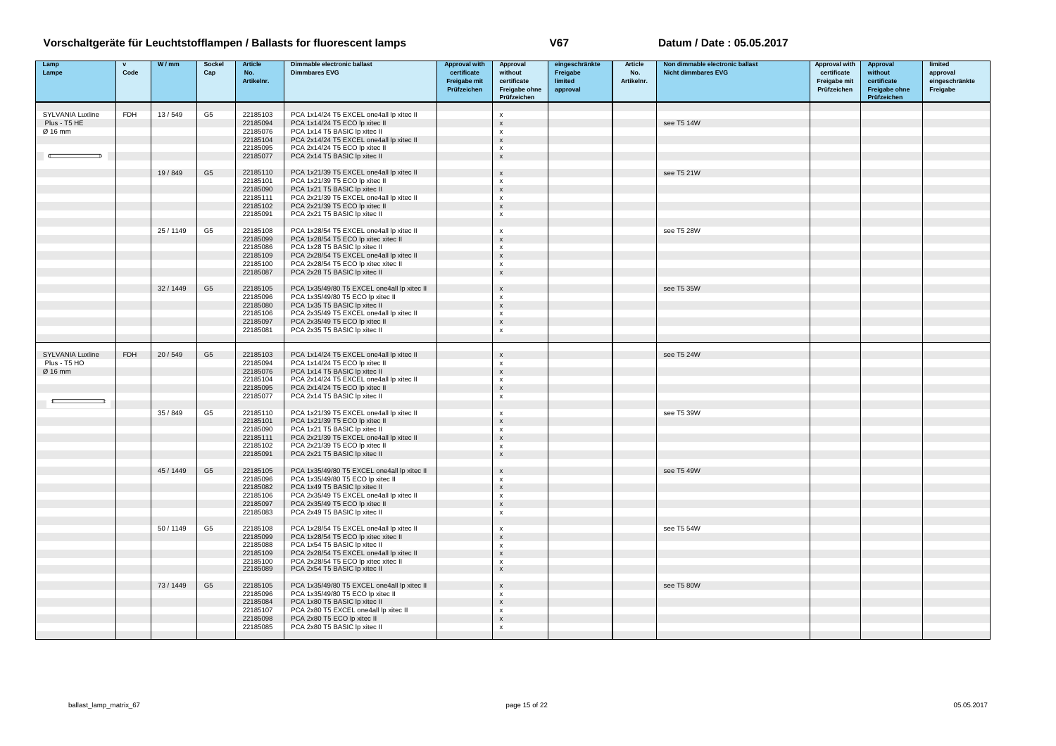| Lamp<br>Lampe                               | $\mathbf{v}$<br>Code | W/mm      | Sockel<br>Cap  | <b>Article</b><br>No.<br>Artikelnr.          | Dimmable electronic ballast<br><b>Dimmbares EVG</b>                                                                                                     | <b>Approval with</b><br>certificate<br>Freigabe mit<br>Prüfzeichen | Approval<br>without<br>certificate<br>Freigabe ohne<br>Prüfzeichen          | eingeschränkte<br>Freigabe<br>limited<br>approval | <b>Article</b><br>No.<br>Artikelnr. | Non dimmable electronic ballast<br><b>Nicht dimmbares EVG</b> | Approval with<br>certificate<br>Freigabe mit<br>Prüfzeichen | Approval<br>without<br>certificate<br>Freigabe ohne<br>Prüfzeichen | limited<br>approval<br>eingeschränkte<br>Freigabe |
|---------------------------------------------|----------------------|-----------|----------------|----------------------------------------------|---------------------------------------------------------------------------------------------------------------------------------------------------------|--------------------------------------------------------------------|-----------------------------------------------------------------------------|---------------------------------------------------|-------------------------------------|---------------------------------------------------------------|-------------------------------------------------------------|--------------------------------------------------------------------|---------------------------------------------------|
|                                             |                      |           |                |                                              |                                                                                                                                                         |                                                                    |                                                                             |                                                   |                                     |                                                               |                                                             |                                                                    |                                                   |
| SYLVANIA Luxline<br>Plus - T5 HE<br>Ø 16 mm | <b>FDH</b>           | 13/549    | G <sub>5</sub> | 22185103<br>22185094<br>22185076<br>22185104 | PCA 1x14/24 T5 EXCEL one4all lp xitec II<br>PCA 1x14/24 T5 ECO lp xitec II<br>PCA 1x14 T5 BASIC lp xitec II<br>PCA 2x14/24 T5 EXCEL one4all lp xitec II |                                                                    | x<br>$\boldsymbol{\mathsf{x}}$<br>$\mathbf{x}$<br>$\boldsymbol{\mathsf{x}}$ |                                                   |                                     | see T5 14W                                                    |                                                             |                                                                    |                                                   |
|                                             |                      |           |                | 22185095<br>22185077                         | PCA 2x14/24 T5 ECO lp xitec II<br>PCA 2x14 T5 BASIC Ip xitec II                                                                                         |                                                                    | $\boldsymbol{\mathsf{x}}$<br>$\boldsymbol{\mathsf{x}}$                      |                                                   |                                     |                                                               |                                                             |                                                                    |                                                   |
|                                             |                      | 19/849    | G <sub>5</sub> | 22185110<br>22185101<br>22185090             | PCA 1x21/39 T5 EXCEL one4all lp xitec II<br>PCA 1x21/39 T5 ECO lp xitec II<br>PCA 1x21 T5 BASIC Ip xitec II                                             |                                                                    | $\boldsymbol{\mathsf{x}}$<br>x<br>$\mathsf{x}$                              |                                                   |                                     | see T5 21W                                                    |                                                             |                                                                    |                                                   |
|                                             |                      |           |                | 22185111<br>22185102                         | PCA 2x21/39 T5 EXCEL one4all lp xitec II<br>PCA 2x21/39 T5 ECO Ip xitec II                                                                              |                                                                    | $\boldsymbol{\mathsf{x}}$<br>$\boldsymbol{\mathsf{x}}$                      |                                                   |                                     |                                                               |                                                             |                                                                    |                                                   |
|                                             |                      |           |                | 22185091                                     | PCA 2x21 T5 BASIC lp xitec II                                                                                                                           |                                                                    | $\pmb{\times}$                                                              |                                                   |                                     |                                                               |                                                             |                                                                    |                                                   |
|                                             |                      | 25/1149   | G5             | 22185108<br>22185099<br>22185086             | PCA 1x28/54 T5 EXCEL one4all lp xitec II<br>PCA 1x28/54 T5 ECO lp xitec xitec II<br>PCA 1x28 T5 BASIC Ip xitec II                                       |                                                                    | $\mathsf{x}$<br>$\boldsymbol{\mathsf{x}}$                                   |                                                   |                                     | see T5 28W                                                    |                                                             |                                                                    |                                                   |
|                                             |                      |           |                | 22185109<br>22185100                         | PCA 2x28/54 T5 EXCEL one4all lp xitec II<br>PCA 2x28/54 T5 ECO lp xitec xitec II                                                                        |                                                                    | x<br>$\mathsf{x}$<br>$\boldsymbol{\mathsf{x}}$                              |                                                   |                                     |                                                               |                                                             |                                                                    |                                                   |
|                                             |                      |           |                | 22185087                                     | PCA 2x28 T5 BASIC Ip xitec II                                                                                                                           |                                                                    | $\boldsymbol{\mathsf{x}}$                                                   |                                                   |                                     |                                                               |                                                             |                                                                    |                                                   |
|                                             |                      | 32/1449   | G <sub>5</sub> | 22185105<br>22185096                         | PCA 1x35/49/80 T5 EXCEL one4all lp xitec II<br>PCA 1x35/49/80 T5 ECO lp xitec II                                                                        |                                                                    | $\boldsymbol{\mathsf{x}}$<br>$\mathbf{x}$                                   |                                                   |                                     | see T5 35W                                                    |                                                             |                                                                    |                                                   |
|                                             |                      |           |                | 22185080<br>22185106                         | PCA 1x35 T5 BASIC Ip xitec II<br>PCA 2x35/49 T5 EXCEL one4all lp xitec II                                                                               |                                                                    | $\boldsymbol{\mathsf{x}}$<br>$\pmb{\times}$                                 |                                                   |                                     |                                                               |                                                             |                                                                    |                                                   |
|                                             |                      |           |                | 22185097<br>22185081                         | PCA 2x35/49 T5 ECO lp xitec II<br>PCA 2x35 T5 BASIC Ip xitec II                                                                                         |                                                                    | $\boldsymbol{\mathsf{x}}$<br>$\boldsymbol{\mathsf{x}}$                      |                                                   |                                     |                                                               |                                                             |                                                                    |                                                   |
| SYLVANIA Luxline                            | <b>FDH</b>           | 20/549    | G <sub>5</sub> | 22185103                                     | PCA 1x14/24 T5 EXCEL one4all lp xitec II                                                                                                                |                                                                    | $\boldsymbol{\mathsf{x}}$                                                   |                                                   |                                     | see T5 24W                                                    |                                                             |                                                                    |                                                   |
| Plus - T5 HO<br>Ø 16 mm                     |                      |           |                | 22185094<br>22185076                         | PCA 1x14/24 T5 ECO lp xitec II<br>PCA 1x14 T5 BASIC Ip xitec II                                                                                         |                                                                    | $\mathbf{x}$<br>$\mathsf{x}$                                                |                                                   |                                     |                                                               |                                                             |                                                                    |                                                   |
|                                             |                      |           |                | 22185104<br>22185095                         | PCA 2x14/24 T5 EXCEL one4all lp xitec II<br>PCA 2x14/24 T5 ECO lp xitec II                                                                              |                                                                    | $\mathsf{x}$<br>$\mathsf{x}$                                                |                                                   |                                     |                                                               |                                                             |                                                                    |                                                   |
|                                             |                      |           |                | 22185077                                     | PCA 2x14 T5 BASIC Ip xitec II                                                                                                                           |                                                                    | $\boldsymbol{\mathsf{x}}$                                                   |                                                   |                                     |                                                               |                                                             |                                                                    |                                                   |
|                                             |                      | 35/849    | G <sub>5</sub> | 22185110                                     | PCA 1x21/39 T5 EXCEL one4all lp xitec II                                                                                                                |                                                                    | $\boldsymbol{\mathsf{x}}$                                                   |                                                   |                                     | see T5 39W                                                    |                                                             |                                                                    |                                                   |
|                                             |                      |           |                | 22185101<br>22185090                         | PCA 1x21/39 T5 ECO lp xitec II<br>PCA 1x21 T5 BASIC lp xitec II                                                                                         |                                                                    | $\boldsymbol{\mathsf{x}}$<br>$\mathbf{x}$                                   |                                                   |                                     |                                                               |                                                             |                                                                    |                                                   |
|                                             |                      |           |                | 22185111<br>22185102                         | PCA 2x21/39 T5 EXCEL one4all lp xitec II<br>PCA 2x21/39 T5 ECO lp xitec II                                                                              |                                                                    | $\mathsf{x}$<br>$\boldsymbol{\mathsf{x}}$                                   |                                                   |                                     |                                                               |                                                             |                                                                    |                                                   |
|                                             |                      |           |                | 22185091                                     | PCA 2x21 T5 BASIC Ip xitec II                                                                                                                           |                                                                    | $\mathsf X$                                                                 |                                                   |                                     |                                                               |                                                             |                                                                    |                                                   |
|                                             |                      | 45 / 1449 | G <sub>5</sub> | 22185105<br>22185096                         | PCA 1x35/49/80 T5 EXCEL one4all lp xitec II<br>PCA 1x35/49/80 T5 ECO lp xitec II                                                                        |                                                                    | X<br>x                                                                      |                                                   |                                     | see T5 49W                                                    |                                                             |                                                                    |                                                   |
|                                             |                      |           |                | 22185082<br>22185106                         | PCA 1x49 T5 BASIC Ip xitec II<br>PCA 2x35/49 T5 EXCEL one4all lp xitec II                                                                               |                                                                    | $\boldsymbol{\mathsf{x}}$<br>$\mathsf{x}$                                   |                                                   |                                     |                                                               |                                                             |                                                                    |                                                   |
|                                             |                      |           |                | 22185097<br>22185083                         | PCA 2x35/49 T5 ECO lp xitec II<br>PCA 2x49 T5 BASIC Ip xitec II                                                                                         |                                                                    | $\boldsymbol{\mathsf{x}}$<br>$\boldsymbol{\mathsf{x}}$                      |                                                   |                                     |                                                               |                                                             |                                                                    |                                                   |
|                                             |                      | 50/1149   | G5             | 22185108                                     | PCA 1x28/54 T5 EXCEL one4all lp xitec II                                                                                                                |                                                                    | $\mathbf{x}$                                                                |                                                   |                                     | see T5 54W                                                    |                                                             |                                                                    |                                                   |
|                                             |                      |           |                | 22185099<br>22185088                         | PCA 1x28/54 T5 ECO lp xitec xitec II<br>PCA 1x54 T5 BASIC lp xitec II                                                                                   |                                                                    | $\boldsymbol{\mathsf{x}}$<br>$\mathsf{x}$                                   |                                                   |                                     |                                                               |                                                             |                                                                    |                                                   |
|                                             |                      |           |                | 22185109<br>22185100                         | PCA 2x28/54 T5 EXCEL one4all lp xitec II<br>PCA 2x28/54 T5 ECO lp xitec xitec II                                                                        |                                                                    | $\boldsymbol{\mathsf{x}}$<br>$\boldsymbol{\mathsf{x}}$                      |                                                   |                                     |                                                               |                                                             |                                                                    |                                                   |
|                                             |                      |           |                | 22185089                                     | PCA 2x54 T5 BASIC Ip xitec II                                                                                                                           |                                                                    | $\boldsymbol{\mathsf{x}}$                                                   |                                                   |                                     |                                                               |                                                             |                                                                    |                                                   |
|                                             |                      | 73/1449   | G <sub>5</sub> | 22185105<br>22185096                         | PCA 1x35/49/80 T5 EXCEL one4all lp xitec II<br>PCA 1x35/49/80 T5 ECO lp xitec II                                                                        |                                                                    | $\mathsf X$<br>$\boldsymbol{\mathsf{x}}$                                    |                                                   |                                     | see T5 80W                                                    |                                                             |                                                                    |                                                   |
|                                             |                      |           |                | 22185084<br>22185107                         | PCA 1x80 T5 BASIC lp xitec II<br>PCA 2x80 T5 EXCEL one4all lp xitec II                                                                                  |                                                                    | $\boldsymbol{\mathsf{x}}$<br>$\mathbf{x}$                                   |                                                   |                                     |                                                               |                                                             |                                                                    |                                                   |
|                                             |                      |           |                | 22185098<br>22185085                         | PCA 2x80 T5 ECO Ip xitec II<br>PCA 2x80 T5 BASIC lp xitec II                                                                                            |                                                                    | $\boldsymbol{\mathsf{x}}$<br>$\pmb{\times}$                                 |                                                   |                                     |                                                               |                                                             |                                                                    |                                                   |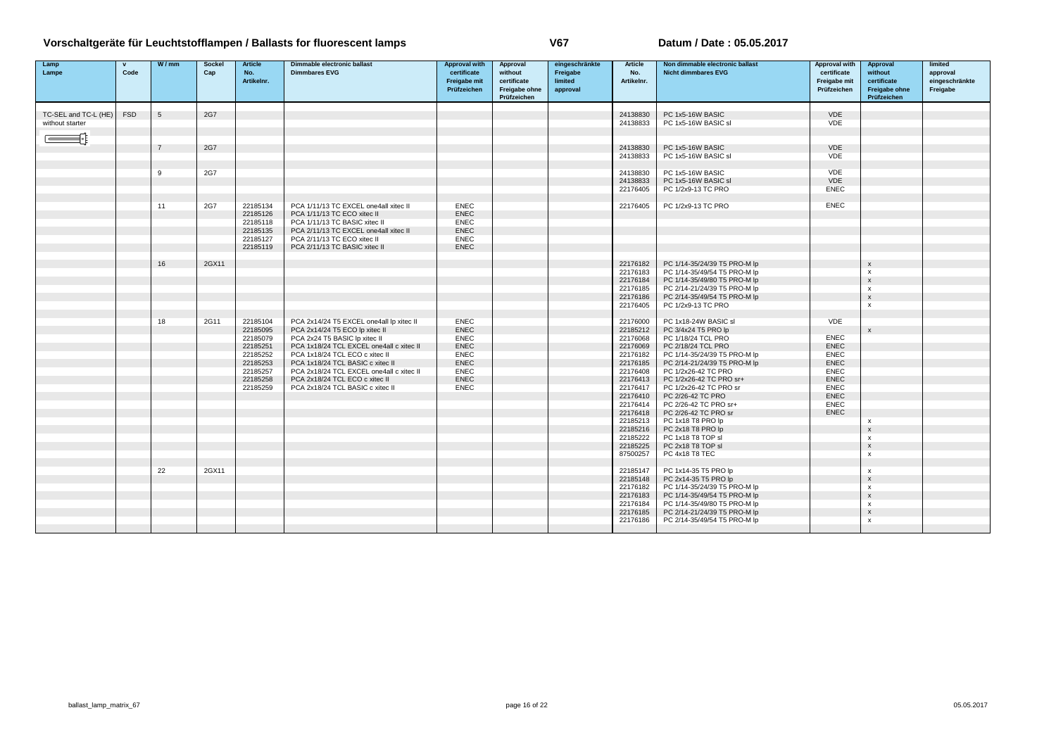| Lamp                 | $\mathbf{v}$<br>Code | W/mm            | <b>Sockel</b> | <b>Article</b>       | Dimmable electronic ballast<br><b>Dimmbares EVG</b>          | <b>Approval with</b><br>certificate | Approval<br>without | eingeschränkte<br>Freigabe | <b>Article</b>       | Non dimmable electronic ballast<br><b>Nicht dimmbares EVG</b> | Approval with<br>certificate | Approval<br>without                                    | limited                    |
|----------------------|----------------------|-----------------|---------------|----------------------|--------------------------------------------------------------|-------------------------------------|---------------------|----------------------------|----------------------|---------------------------------------------------------------|------------------------------|--------------------------------------------------------|----------------------------|
| Lampe                |                      |                 | Cap           | No.<br>Artikelnr.    |                                                              | Freigabe mit                        | certificate         | limited                    | No.<br>Artikelnr.    |                                                               | Freigabe mit                 | certificate                                            | approval<br>eingeschränkte |
|                      |                      |                 |               |                      |                                                              | Prüfzeichen                         | Freigabe ohne       | approval                   |                      |                                                               | Prüfzeichen                  | Freigabe ohne                                          | Freigabe                   |
|                      |                      |                 |               |                      |                                                              |                                     | Prüfzeichen         |                            |                      |                                                               |                              | Prüfzeichen                                            |                            |
| TC-SEL and TC-L (HE) | <b>FSD</b>           | $5\overline{5}$ | 2G7           |                      |                                                              |                                     |                     |                            | 24138830             | PC 1x5-16W BASIC                                              | <b>VDE</b>                   |                                                        |                            |
| without starter      |                      |                 |               |                      |                                                              |                                     |                     |                            | 24138833             | PC 1x5-16W BASIC sl                                           | <b>VDE</b>                   |                                                        |                            |
|                      |                      |                 |               |                      |                                                              |                                     |                     |                            |                      |                                                               |                              |                                                        |                            |
|                      |                      |                 |               |                      |                                                              |                                     |                     |                            |                      |                                                               |                              |                                                        |                            |
|                      |                      | $\overline{7}$  | 2G7           |                      |                                                              |                                     |                     |                            | 24138830             | PC 1x5-16W BASIC<br>PC 1x5-16W BASIC sl                       | VDE<br>VDE                   |                                                        |                            |
|                      |                      |                 |               |                      |                                                              |                                     |                     |                            | 24138833             |                                                               |                              |                                                        |                            |
|                      |                      | 9               | 2G7           |                      |                                                              |                                     |                     |                            | 24138830             | PC 1x5-16W BASIC                                              | VDE                          |                                                        |                            |
|                      |                      |                 |               |                      |                                                              |                                     |                     |                            | 24138833             | PC 1x5-16W BASIC sl                                           | VDE                          |                                                        |                            |
|                      |                      |                 |               |                      |                                                              |                                     |                     |                            | 22176405             | PC 1/2x9-13 TC PRO                                            | <b>ENEC</b>                  |                                                        |                            |
|                      |                      |                 |               |                      |                                                              |                                     |                     |                            |                      |                                                               |                              |                                                        |                            |
|                      |                      | 11              | 2G7           | 22185134             | PCA 1/11/13 TC EXCEL one4all xitec II                        | <b>ENEC</b>                         |                     |                            | 22176405             | PC 1/2x9-13 TC PRO                                            | <b>ENEC</b>                  |                                                        |                            |
|                      |                      |                 |               | 22185126             | PCA 1/11/13 TC ECO xitec II                                  | <b>ENEC</b>                         |                     |                            |                      |                                                               |                              |                                                        |                            |
|                      |                      |                 |               | 22185118             | PCA 1/11/13 TC BASIC xitec II                                | <b>ENEC</b>                         |                     |                            |                      |                                                               |                              |                                                        |                            |
|                      |                      |                 |               | 22185135             | PCA 2/11/13 TC EXCEL one4all xitec II                        | <b>ENEC</b>                         |                     |                            |                      |                                                               |                              |                                                        |                            |
|                      |                      |                 |               | 22185127<br>22185119 | PCA 2/11/13 TC ECO xitec II<br>PCA 2/11/13 TC BASIC xitec II | <b>ENEC</b><br><b>ENEC</b>          |                     |                            |                      |                                                               |                              |                                                        |                            |
|                      |                      |                 |               |                      |                                                              |                                     |                     |                            |                      |                                                               |                              |                                                        |                            |
|                      |                      | 16              | 2GX11         |                      |                                                              |                                     |                     |                            | 22176182             | PC 1/14-35/24/39 T5 PRO-M lp                                  |                              | $\boldsymbol{\mathsf{x}}$                              |                            |
|                      |                      |                 |               |                      |                                                              |                                     |                     |                            | 22176183             | PC 1/14-35/49/54 T5 PRO-M lp                                  |                              | $\boldsymbol{\mathsf{x}}$                              |                            |
|                      |                      |                 |               |                      |                                                              |                                     |                     |                            | 22176184             | PC 1/14-35/49/80 T5 PRO-M lp                                  |                              | $\boldsymbol{\mathsf{x}}$                              |                            |
|                      |                      |                 |               |                      |                                                              |                                     |                     |                            | 22176185             | PC 2/14-21/24/39 T5 PRO-M lp                                  |                              | $\mathsf{x}$                                           |                            |
|                      |                      |                 |               |                      |                                                              |                                     |                     |                            | 22176186             | PC 2/14-35/49/54 T5 PRO-M lp                                  |                              | $\boldsymbol{\mathsf{x}}$                              |                            |
|                      |                      |                 |               |                      |                                                              |                                     |                     |                            | 22176405             | PC 1/2x9-13 TC PRO                                            |                              | $\boldsymbol{\mathsf{x}}$                              |                            |
|                      |                      | 18              | 2G11          | 22185104             | PCA 2x14/24 T5 EXCEL one4all lp xitec II                     | <b>ENEC</b>                         |                     |                            | 22176000             | PC 1x18-24W BASIC sl                                          | VDE                          |                                                        |                            |
|                      |                      |                 |               | 22185095             | PCA 2x14/24 T5 ECO lp xitec II                               | <b>ENEC</b>                         |                     |                            | 22185212             | PC 3/4x24 T5 PRO lp                                           |                              | $\mathsf{x}$                                           |                            |
|                      |                      |                 |               | 22185079             | PCA 2x24 T5 BASIC Ip xitec II                                | <b>ENEC</b>                         |                     |                            | 22176068             | PC 1/18/24 TCL PRO                                            | <b>ENEC</b>                  |                                                        |                            |
|                      |                      |                 |               | 22185251             | PCA 1x18/24 TCL EXCEL one4all c xitec II                     | <b>ENEC</b>                         |                     |                            | 22176069             | PC 2/18/24 TCL PRO                                            | <b>ENEC</b>                  |                                                        |                            |
|                      |                      |                 |               | 22185252             | PCA 1x18/24 TCL ECO c xitec II                               | <b>ENEC</b>                         |                     |                            | 22176182             | PC 1/14-35/24/39 T5 PRO-M lp                                  | <b>ENEC</b>                  |                                                        |                            |
|                      |                      |                 |               | 22185253             | PCA 1x18/24 TCL BASIC c xitec II                             | <b>ENEC</b>                         |                     |                            | 22176185             | PC 2/14-21/24/39 T5 PRO-M lp                                  | <b>ENEC</b>                  |                                                        |                            |
|                      |                      |                 |               | 22185257             | PCA 2x18/24 TCL EXCEL one4all c xitec II                     | <b>ENEC</b>                         |                     |                            | 22176408             | PC 1/2x26-42 TC PRO                                           | <b>ENEC</b>                  |                                                        |                            |
|                      |                      |                 |               | 22185258             | PCA 2x18/24 TCL ECO c xitec II                               | <b>ENEC</b>                         |                     |                            | 22176413             | PC 1/2x26-42 TC PRO sr+                                       | <b>ENEC</b>                  |                                                        |                            |
|                      |                      |                 |               | 22185259             | PCA 2x18/24 TCL BASIC c xitec II                             | <b>ENEC</b>                         |                     |                            | 22176417<br>22176410 | PC 1/2x26-42 TC PRO sr<br>PC 2/26-42 TC PRO                   | <b>ENEC</b><br><b>ENEC</b>   |                                                        |                            |
|                      |                      |                 |               |                      |                                                              |                                     |                     |                            | 22176414             | PC 2/26-42 TC PRO sr+                                         | <b>ENEC</b>                  |                                                        |                            |
|                      |                      |                 |               |                      |                                                              |                                     |                     |                            | 22176418             | PC 2/26-42 TC PRO sr                                          | <b>ENEC</b>                  |                                                        |                            |
|                      |                      |                 |               |                      |                                                              |                                     |                     |                            | 22185213             | PC 1x18 T8 PRO lp                                             |                              | $\boldsymbol{\mathsf{x}}$                              |                            |
|                      |                      |                 |               |                      |                                                              |                                     |                     |                            | 22185216             | PC 2x18 T8 PRO lp                                             |                              | $\boldsymbol{\mathsf{x}}$                              |                            |
|                      |                      |                 |               |                      |                                                              |                                     |                     |                            | 22185222             | PC 1x18 T8 TOP sl                                             |                              | $\mathsf{x}$                                           |                            |
|                      |                      |                 |               |                      |                                                              |                                     |                     |                            | 22185225             | PC 2x18 T8 TOP sl                                             |                              | $\mathsf X$                                            |                            |
|                      |                      |                 |               |                      |                                                              |                                     |                     |                            | 87500257             | PC 4x18 T8 TEC                                                |                              | $\boldsymbol{\mathsf{x}}$                              |                            |
|                      |                      |                 |               |                      |                                                              |                                     |                     |                            |                      |                                                               |                              |                                                        |                            |
|                      |                      | 22              | 2GX11         |                      |                                                              |                                     |                     |                            | 22185147<br>22185148 | PC 1x14-35 T5 PRO lp<br>PC 2x14-35 T5 PRO lp                  |                              | $\boldsymbol{\mathsf{x}}$<br>$\boldsymbol{\mathsf{x}}$ |                            |
|                      |                      |                 |               |                      |                                                              |                                     |                     |                            | 22176182             | PC 1/14-35/24/39 T5 PRO-M lp                                  |                              | $\mathsf{x}$                                           |                            |
|                      |                      |                 |               |                      |                                                              |                                     |                     |                            | 22176183             | PC 1/14-35/49/54 T5 PRO-M lp                                  |                              | $\boldsymbol{\mathsf{x}}$                              |                            |
|                      |                      |                 |               |                      |                                                              |                                     |                     |                            | 22176184             | PC 1/14-35/49/80 T5 PRO-M lp                                  |                              | $\mathsf{x}$                                           |                            |
|                      |                      |                 |               |                      |                                                              |                                     |                     |                            | 22176185             | PC 2/14-21/24/39 T5 PRO-M lp                                  |                              | $\mathbf{x}$                                           |                            |
|                      |                      |                 |               |                      |                                                              |                                     |                     |                            | 22176186             | PC 2/14-35/49/54 T5 PRO-M lp                                  |                              | $\mathbf{x}$                                           |                            |
|                      |                      |                 |               |                      |                                                              |                                     |                     |                            |                      |                                                               |                              |                                                        |                            |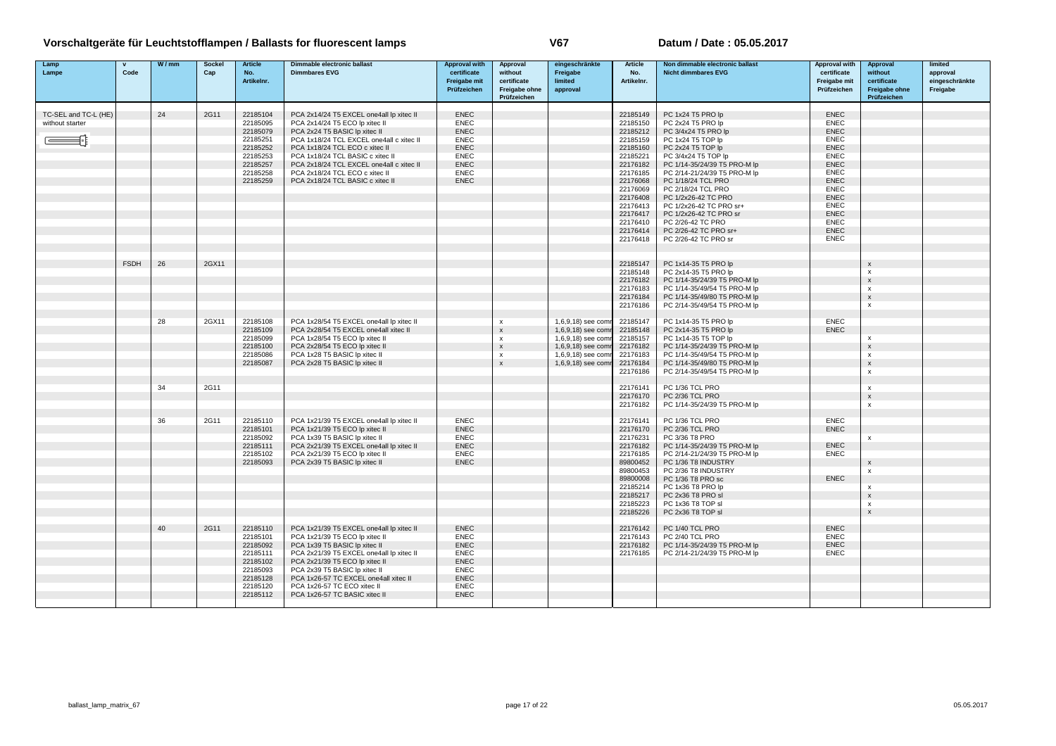| Lamp                 |             | W/mm | Sockel | <b>Article</b> | Dimmable electronic ballast              | <b>Approval with</b> | Approval                  | eingeschränkte     | <b>Article</b> | Non dimmable electronic ballast | <b>Approval with</b> | Approval           | limited        |
|----------------------|-------------|------|--------|----------------|------------------------------------------|----------------------|---------------------------|--------------------|----------------|---------------------------------|----------------------|--------------------|----------------|
| Lampe                | Code        |      | Cap    | No.            | <b>Dimmbares EVG</b>                     | certificate          | without                   | Freigabe           | No.            | <b>Nicht dimmbares EVG</b>      | certificate          | without            | approval       |
|                      |             |      |        | Artikelnr.     |                                          | <b>Freigabe mit</b>  | certificate               | limited            | Artikelnr.     |                                 | Freigabe mit         | certificate        | eingeschränkte |
|                      |             |      |        |                |                                          | Prüfzeichen          | Freigabe ohne             | approval           |                |                                 | Prüfzeichen          | Freigabe ohne      | Freigabe       |
|                      |             |      |        |                |                                          |                      | Prüfzeichen               |                    |                |                                 |                      | Prüfzeichen        |                |
|                      |             |      |        |                |                                          |                      |                           |                    |                |                                 |                      |                    |                |
| TC-SEL and TC-L (HE) |             | 24   | 2G11   | 22185104       | PCA 2x14/24 T5 EXCEL one4all lp xitec II | <b>ENEC</b>          |                           |                    | 22185149       | PC 1x24 T5 PRO lp               | <b>ENEC</b>          |                    |                |
| without starter      |             |      |        | 22185095       | PCA 2x14/24 T5 ECO lp xitec II           | <b>ENEC</b>          |                           |                    | 22185150       | PC 2x24 T5 PRO lp               | <b>ENEC</b>          |                    |                |
|                      |             |      |        | 22185079       | PCA 2x24 T5 BASIC Ip xitec II            | <b>ENEC</b>          |                           |                    | 22185212       | PC 3/4x24 T5 PRO lp             | <b>ENEC</b>          |                    |                |
|                      |             |      |        | 22185251       | PCA 1x18/24 TCL EXCEL one4all c xitec II | <b>ENEC</b>          |                           |                    | 22185159       | PC 1x24 T5 TOP Ip               | <b>ENEC</b>          |                    |                |
|                      |             |      |        | 22185252       | PCA 1x18/24 TCL ECO c xitec II           | <b>ENEC</b>          |                           |                    | 22185160       | PC 2x24 T5 TOP Ip               | <b>ENEC</b>          |                    |                |
|                      |             |      |        | 22185253       | PCA 1x18/24 TCL BASIC c xitec II         | <b>ENEC</b>          |                           |                    | 22185221       | PC 3/4x24 T5 TOP lp             | <b>ENEC</b>          |                    |                |
|                      |             |      |        | 22185257       | PCA 2x18/24 TCL EXCEL one4all c xitec II | <b>ENEC</b>          |                           |                    | 22176182       | PC 1/14-35/24/39 T5 PRO-M lp    | <b>ENEC</b>          |                    |                |
|                      |             |      |        | 22185258       | PCA 2x18/24 TCL ECO c xitec II           | <b>ENEC</b>          |                           |                    | 22176185       | PC 2/14-21/24/39 T5 PRO-M lp    | ENEC                 |                    |                |
|                      |             |      |        | 22185259       | PCA 2x18/24 TCL BASIC c xitec II         | <b>ENEC</b>          |                           |                    | 22176068       | PC 1/18/24 TCL PRO              | <b>ENEC</b>          |                    |                |
|                      |             |      |        |                |                                          |                      |                           |                    | 22176069       | PC 2/18/24 TCL PRO              | ENEC                 |                    |                |
|                      |             |      |        |                |                                          |                      |                           |                    | 22176408       | PC 1/2x26-42 TC PRO             | <b>ENEC</b>          |                    |                |
|                      |             |      |        |                |                                          |                      |                           |                    | 22176413       | PC 1/2x26-42 TC PRO sr+         | <b>ENEC</b>          |                    |                |
|                      |             |      |        |                |                                          |                      |                           |                    | 22176417       | PC 1/2x26-42 TC PRO sr          | <b>ENEC</b>          |                    |                |
|                      |             |      |        |                |                                          |                      |                           |                    | 22176410       | PC 2/26-42 TC PRO               | <b>ENEC</b>          |                    |                |
|                      |             |      |        |                |                                          |                      |                           |                    | 22176414       | PC 2/26-42 TC PRO sr+           | <b>ENEC</b>          |                    |                |
|                      |             |      |        |                |                                          |                      |                           |                    | 22176418       | PC 2/26-42 TC PRO sr            | <b>ENEC</b>          |                    |                |
|                      |             |      |        |                |                                          |                      |                           |                    |                |                                 |                      |                    |                |
|                      |             |      |        |                |                                          |                      |                           |                    |                |                                 |                      |                    |                |
|                      | <b>FSDH</b> | 26   | 2GX11  |                |                                          |                      |                           |                    | 22185147       | PC 1x14-35 T5 PRO lp            |                      | $\mathsf{x}$       |                |
|                      |             |      |        |                |                                          |                      |                           |                    | 22185148       | PC 2x14-35 T5 PRO lp            |                      | x                  |                |
|                      |             |      |        |                |                                          |                      |                           |                    | 22176182       | PC 1/14-35/24/39 T5 PRO-M lp    |                      | $\mathsf{x}$       |                |
|                      |             |      |        |                |                                          |                      |                           |                    | 22176183       | PC 1/14-35/49/54 T5 PRO-M lp    |                      | $\mathsf{x}$       |                |
|                      |             |      |        |                |                                          |                      |                           |                    | 22176184       | PC 1/14-35/49/80 T5 PRO-M lp    |                      | $\mathsf{x}$       |                |
|                      |             |      |        |                |                                          |                      |                           |                    | 22176186       | PC 2/14-35/49/54 T5 PRO-M lp    |                      | $\mathsf{x}$       |                |
|                      |             |      |        |                |                                          |                      |                           |                    |                |                                 |                      |                    |                |
|                      |             | 28   | 2GX11  | 22185108       | PCA 1x28/54 T5 EXCEL one4all lp xitec II |                      | $\boldsymbol{\mathsf{x}}$ | 1,6,9,18) see com  | 22185147       | PC 1x14-35 T5 PRO lp            | <b>ENEC</b>          |                    |                |
|                      |             |      |        | 22185109       | PCA 2x28/54 T5 EXCEL one4all xitec II    |                      | $\mathsf X$               | 1,6,9,18) see com  | 22185148       | PC 2x14-35 T5 PRO lp            | <b>ENEC</b>          |                    |                |
|                      |             |      |        | 22185099       | PCA 1x28/54 T5 ECO lp xitec II           |                      | $\pmb{\times}$            | 1,6,9,18) see comr | 22185157       | PC 1x14-35 T5 TOP lp            |                      | $\mathsf{x}$       |                |
|                      |             |      |        | 22185100       | PCA 2x28/54 T5 ECO lp xitec II           |                      | $\boldsymbol{\mathsf{x}}$ | 1,6,9,18) see comr | 22176182       | PC 1/14-35/24/39 T5 PRO-M lp    |                      | $\mathsf{x}$       |                |
|                      |             |      |        | 22185086       | PCA 1x28 T5 BASIC Ip xitec II            |                      | $\pmb{\times}$            | 1,6,9,18) see com  | 22176183       | PC 1/14-35/49/54 T5 PRO-M lp    |                      | $\mathsf{x}$       |                |
|                      |             |      |        | 22185087       | PCA 2x28 T5 BASIC Ip xitec II            |                      | $\boldsymbol{\mathsf{x}}$ | 1,6,9,18) see comr | 22176184       | PC 1/14-35/49/80 T5 PRO-M lp    |                      | $\mathsf{x}$       |                |
|                      |             |      |        |                |                                          |                      |                           |                    | 22176186       | PC 2/14-35/49/54 T5 PRO-M lp    |                      | $\mathsf{x}$       |                |
|                      |             |      |        |                |                                          |                      |                           |                    |                |                                 |                      |                    |                |
|                      |             | 34   | 2G11   |                |                                          |                      |                           |                    | 22176141       | PC 1/36 TCL PRO                 |                      | $\mathsf{x}$       |                |
|                      |             |      |        |                |                                          |                      |                           |                    | 22176170       | PC 2/36 TCL PRO                 |                      | $\mathsf{x}$       |                |
|                      |             |      |        |                |                                          |                      |                           |                    | 22176182       | PC 1/14-35/24/39 T5 PRO-M lp    |                      | $\mathsf{x}$       |                |
|                      |             |      |        |                |                                          |                      |                           |                    |                |                                 |                      |                    |                |
|                      |             | 36   | 2G11   | 22185110       | PCA 1x21/39 T5 EXCEL one4all lp xitec II | <b>ENEC</b>          |                           |                    | 22176141       | PC 1/36 TCL PRO                 | <b>ENEC</b>          |                    |                |
|                      |             |      |        | 22185101       | PCA 1x21/39 T5 ECO lp xitec II           | <b>ENEC</b>          |                           |                    | 22176170       | PC 2/36 TCL PRO                 | <b>ENEC</b>          |                    |                |
|                      |             |      |        | 22185092       | PCA 1x39 T5 BASIC Ip xitec II            | <b>ENEC</b>          |                           |                    | 22176231       | PC 3/36 T8 PRO                  |                      | $\mathsf{x}$       |                |
|                      |             |      |        | 22185111       | PCA 2x21/39 T5 EXCEL one4all lp xitec II | <b>ENEC</b>          |                           |                    | 22176182       | PC 1/14-35/24/39 T5 PRO-M lp    | <b>ENEC</b>          |                    |                |
|                      |             |      |        | 22185102       | PCA 2x21/39 T5 ECO lp xitec II           | <b>ENEC</b>          |                           |                    | 22176185       | PC 2/14-21/24/39 T5 PRO-M lp    | <b>ENEC</b>          |                    |                |
|                      |             |      |        | 22185093       | PCA 2x39 T5 BASIC Ip xitec II            | <b>ENEC</b>          |                           |                    | 89800452       | PC 1/36 T8 INDUSTRY             |                      | $\mathsf{x}$       |                |
|                      |             |      |        |                |                                          |                      |                           |                    | 89800453       | PC 2/36 T8 INDUSTRY             |                      | $\mathsf{x}$       |                |
|                      |             |      |        |                |                                          |                      |                           |                    | 89800008       | PC 1/36 T8 PRO sc               | <b>ENEC</b>          |                    |                |
|                      |             |      |        |                |                                          |                      |                           |                    | 22185214       | PC 1x36 T8 PRO lp               |                      | $\mathsf{x}$       |                |
|                      |             |      |        |                |                                          |                      |                           |                    | 22185217       | PC 2x36 T8 PRO sl               |                      | $\pmb{\mathsf{x}}$ |                |
|                      |             |      |        |                |                                          |                      |                           |                    | 22185223       | PC 1x36 T8 TOP sl               |                      | $\mathbf{x}$       |                |
|                      |             |      |        |                |                                          |                      |                           |                    | 22185226       | PC 2x36 T8 TOP sl               |                      | $\mathsf{x}$       |                |
|                      |             |      |        |                |                                          |                      |                           |                    |                |                                 |                      |                    |                |
|                      |             | 40   | 2G11   | 22185110       | PCA 1x21/39 T5 EXCEL one4all lp xitec II | <b>ENEC</b>          |                           |                    | 22176142       | PC 1/40 TCL PRO                 | <b>ENEC</b>          |                    |                |
|                      |             |      |        | 22185101       | PCA 1x21/39 T5 ECO lp xitec II           | <b>ENEC</b>          |                           |                    | 22176143       | PC 2/40 TCL PRO                 | <b>ENEC</b>          |                    |                |
|                      |             |      |        | 22185092       | PCA 1x39 T5 BASIC Ip xitec II            | <b>ENEC</b>          |                           |                    | 22176182       | PC 1/14-35/24/39 T5 PRO-M lp    | <b>ENEC</b>          |                    |                |
|                      |             |      |        | 22185111       | PCA 2x21/39 T5 EXCEL one4all lp xitec II | <b>ENEC</b>          |                           |                    | 22176185       | PC 2/14-21/24/39 T5 PRO-M lp    | <b>ENEC</b>          |                    |                |
|                      |             |      |        | 22185102       | PCA 2x21/39 T5 ECO lp xitec II           | <b>ENEC</b>          |                           |                    |                |                                 |                      |                    |                |
|                      |             |      |        | 22185093       | PCA 2x39 T5 BASIC Ip xitec II            | <b>ENEC</b>          |                           |                    |                |                                 |                      |                    |                |
|                      |             |      |        | 22185128       | PCA 1x26-57 TC EXCEL one4all xitec II    | <b>ENEC</b>          |                           |                    |                |                                 |                      |                    |                |
|                      |             |      |        | 22185120       | PCA 1x26-57 TC ECO xitec II              | <b>ENEC</b>          |                           |                    |                |                                 |                      |                    |                |
|                      |             |      |        | 22185112       | PCA 1x26-57 TC BASIC xitec II            | <b>ENEC</b>          |                           |                    |                |                                 |                      |                    |                |
|                      |             |      |        |                |                                          |                      |                           |                    |                |                                 |                      |                    |                |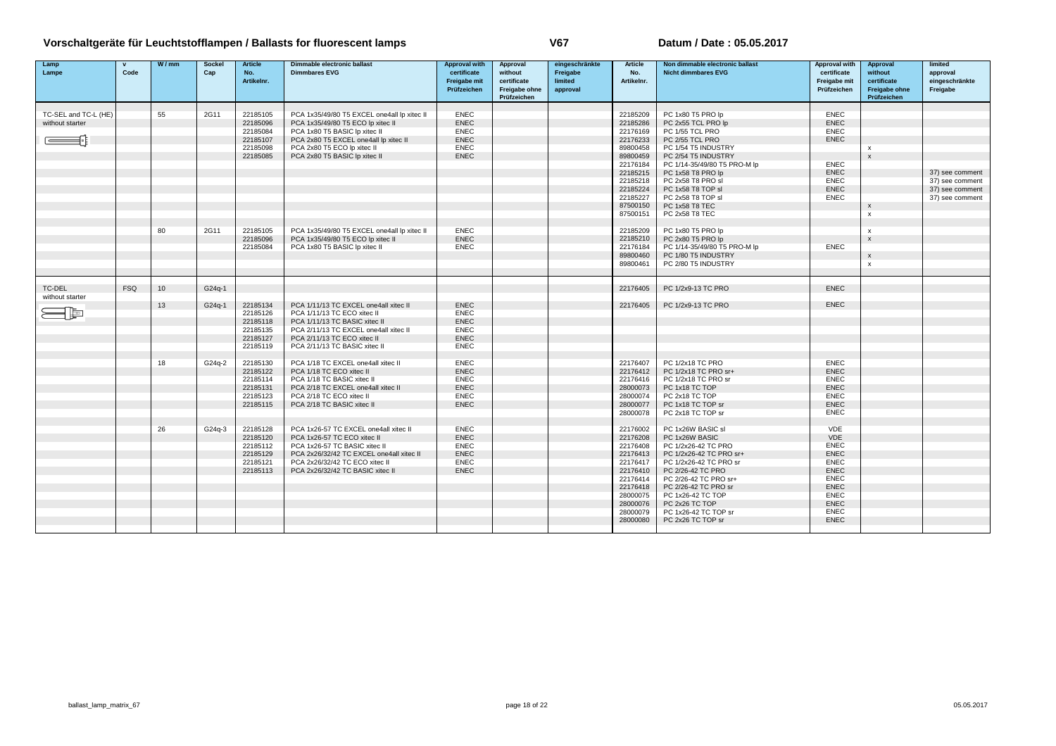| Lamp<br>Lampe        | $\mathbf{v}$<br>Code | W/mm | <b>Sockel</b><br>Cap | <b>Article</b><br>No.<br>Artikelnr. | Dimmable electronic ballast<br><b>Dimmbares EVG</b>                | <b>Approval with</b><br>certificate<br>Freigabe mit<br>Prüfzeichen | Approval<br>without<br>certificate<br>Freigabe ohne<br>Prüfzeichen | eingeschränkte<br>Freigabe<br>limited<br>approval | <b>Article</b><br>No.<br>Artikelnr. | Non dimmable electronic ballast<br><b>Nicht dimmbares EVG</b> | <b>Approval with</b><br>certificate<br>Freigabe mit<br>Prüfzeichen | Approval<br>without<br>certificate<br><b>Freigabe ohne</b><br>Prüfzeichen | limited<br>approval<br>eingeschränkte<br>Freigabe |
|----------------------|----------------------|------|----------------------|-------------------------------------|--------------------------------------------------------------------|--------------------------------------------------------------------|--------------------------------------------------------------------|---------------------------------------------------|-------------------------------------|---------------------------------------------------------------|--------------------------------------------------------------------|---------------------------------------------------------------------------|---------------------------------------------------|
|                      |                      |      |                      |                                     |                                                                    |                                                                    |                                                                    |                                                   |                                     |                                                               |                                                                    |                                                                           |                                                   |
| TC-SEL and TC-L (HE) |                      | 55   | 2G11                 | 22185105                            | PCA 1x35/49/80 T5 EXCEL one4all lp xitec II                        | <b>ENEC</b>                                                        |                                                                    |                                                   | 22185209                            | PC 1x80 T5 PRO lp                                             | <b>ENEC</b>                                                        |                                                                           |                                                   |
| without starter      |                      |      |                      | 22185096                            | PCA 1x35/49/80 T5 ECO lp xitec II                                  | <b>ENEC</b>                                                        |                                                                    |                                                   | 22185286                            | PC 2x55 TCL PRO lp                                            | <b>ENEC</b>                                                        |                                                                           |                                                   |
|                      |                      |      |                      | 22185084                            | PCA 1x80 T5 BASIC Ip xitec II                                      | <b>ENEC</b>                                                        |                                                                    |                                                   | 22176169                            | PC 1/55 TCL PRO                                               | <b>ENEC</b>                                                        |                                                                           |                                                   |
|                      |                      |      |                      | 22185107                            | PCA 2x80 T5 EXCEL one4all lp xitec II                              | <b>ENEC</b>                                                        |                                                                    |                                                   | 22176233                            | PC 2/55 TCL PRO                                               | <b>ENEC</b>                                                        |                                                                           |                                                   |
|                      |                      |      |                      | 22185098                            | PCA 2x80 T5 ECO Ip xitec II                                        | <b>ENEC</b><br><b>ENEC</b>                                         |                                                                    |                                                   | 89800458                            | PC 1/54 T5 INDUSTRY                                           |                                                                    | x<br>$\mathbf{x}$                                                         |                                                   |
|                      |                      |      |                      | 22185085                            | PCA 2x80 T5 BASIC Ip xitec II                                      |                                                                    |                                                                    |                                                   | 89800459<br>22176184                | PC 2/54 T5 INDUSTRY<br>PC 1/14-35/49/80 T5 PRO-M lp           | <b>ENEC</b>                                                        |                                                                           |                                                   |
|                      |                      |      |                      |                                     |                                                                    |                                                                    |                                                                    |                                                   | 22185215                            | PC 1x58 T8 PRO lp                                             | <b>ENEC</b>                                                        |                                                                           | 37) see comment                                   |
|                      |                      |      |                      |                                     |                                                                    |                                                                    |                                                                    |                                                   | 22185218                            | PC 2x58 T8 PRO sl                                             | <b>ENEC</b>                                                        |                                                                           | 37) see comment                                   |
|                      |                      |      |                      |                                     |                                                                    |                                                                    |                                                                    |                                                   | 22185224                            | PC 1x58 T8 TOP sl                                             | <b>ENEC</b>                                                        |                                                                           | 37) see comment                                   |
|                      |                      |      |                      |                                     |                                                                    |                                                                    |                                                                    |                                                   | 22185227                            | PC 2x58 T8 TOP sl                                             | <b>ENEC</b>                                                        |                                                                           | 37) see comment                                   |
|                      |                      |      |                      |                                     |                                                                    |                                                                    |                                                                    |                                                   | 87500150                            | PC 1x58 T8 TEC                                                |                                                                    | X                                                                         |                                                   |
|                      |                      |      |                      |                                     |                                                                    |                                                                    |                                                                    |                                                   | 87500151                            | PC 2x58 T8 TEC                                                |                                                                    | $\boldsymbol{\mathsf{x}}$                                                 |                                                   |
|                      |                      |      |                      |                                     |                                                                    |                                                                    |                                                                    |                                                   |                                     |                                                               |                                                                    |                                                                           |                                                   |
|                      |                      | 80   | 2G11                 | 22185105                            | PCA 1x35/49/80 T5 EXCEL one4all lp xitec II                        | <b>ENEC</b>                                                        |                                                                    |                                                   | 22185209                            | PC 1x80 T5 PRO lp                                             |                                                                    | $\mathbf{x}$                                                              |                                                   |
|                      |                      |      |                      | 22185096                            | PCA 1x35/49/80 T5 ECO lp xitec II                                  | <b>ENEC</b>                                                        |                                                                    |                                                   | 22185210                            | PC 2x80 T5 PRO lp                                             |                                                                    | $\mathbf{x}$                                                              |                                                   |
|                      |                      |      |                      | 22185084                            | PCA 1x80 T5 BASIC lp xitec II                                      | <b>ENEC</b>                                                        |                                                                    |                                                   | 22176184                            | PC 1/14-35/49/80 T5 PRO-M lp                                  | <b>ENEC</b>                                                        |                                                                           |                                                   |
|                      |                      |      |                      |                                     |                                                                    |                                                                    |                                                                    |                                                   | 89800460                            | PC 1/80 T5 INDUSTRY                                           |                                                                    | $\pmb{\times}$                                                            |                                                   |
|                      |                      |      |                      |                                     |                                                                    |                                                                    |                                                                    |                                                   | 89800461                            | PC 2/80 T5 INDUSTRY                                           |                                                                    | $\boldsymbol{\mathsf{x}}$                                                 |                                                   |
| TC-DEL               | <b>FSQ</b>           | 10   | G24q-1               |                                     |                                                                    |                                                                    |                                                                    |                                                   | 22176405                            | PC 1/2x9-13 TC PRO                                            | <b>ENEC</b>                                                        |                                                                           |                                                   |
| without starter      |                      |      |                      |                                     |                                                                    |                                                                    |                                                                    |                                                   |                                     |                                                               |                                                                    |                                                                           |                                                   |
|                      |                      | 13   | G24q-1               | 22185134                            | PCA 1/11/13 TC EXCEL one4all xitec II                              | <b>ENEC</b>                                                        |                                                                    |                                                   | 22176405                            | PC 1/2x9-13 TC PRO                                            | <b>ENEC</b>                                                        |                                                                           |                                                   |
| $ \boxdot$           |                      |      |                      | 22185126                            | PCA 1/11/13 TC ECO xitec II                                        | <b>ENEC</b>                                                        |                                                                    |                                                   |                                     |                                                               |                                                                    |                                                                           |                                                   |
|                      |                      |      |                      | 22185118                            | PCA 1/11/13 TC BASIC xitec II                                      | <b>ENEC</b>                                                        |                                                                    |                                                   |                                     |                                                               |                                                                    |                                                                           |                                                   |
|                      |                      |      |                      | 22185135                            | PCA 2/11/13 TC EXCEL one4all xitec II                              | <b>ENEC</b>                                                        |                                                                    |                                                   |                                     |                                                               |                                                                    |                                                                           |                                                   |
|                      |                      |      |                      | 22185127                            | PCA 2/11/13 TC ECO xitec II                                        | <b>ENEC</b>                                                        |                                                                    |                                                   |                                     |                                                               |                                                                    |                                                                           |                                                   |
|                      |                      |      |                      | 22185119                            | PCA 2/11/13 TC BASIC xitec II                                      | <b>ENEC</b>                                                        |                                                                    |                                                   |                                     |                                                               |                                                                    |                                                                           |                                                   |
|                      |                      | 18   | $G24a-2$             | 22185130                            | PCA 1/18 TC EXCEL one4all xitec II                                 | <b>ENEC</b>                                                        |                                                                    |                                                   | 22176407                            | PC 1/2x18 TC PRO                                              | <b>ENEC</b>                                                        |                                                                           |                                                   |
|                      |                      |      |                      | 22185122                            | PCA 1/18 TC ECO xitec II                                           | <b>ENEC</b>                                                        |                                                                    |                                                   | 22176412                            | PC 1/2x18 TC PRO sr+                                          | <b>ENEC</b>                                                        |                                                                           |                                                   |
|                      |                      |      |                      | 22185114                            | PCA 1/18 TC BASIC xitec II                                         | <b>ENEC</b>                                                        |                                                                    |                                                   | 22176416                            | PC 1/2x18 TC PRO sr                                           | <b>ENEC</b>                                                        |                                                                           |                                                   |
|                      |                      |      |                      | 22185131                            | PCA 2/18 TC EXCEL one4all xitec II                                 | <b>ENEC</b>                                                        |                                                                    |                                                   | 28000073                            | PC 1x18 TC TOP                                                | <b>ENEC</b>                                                        |                                                                           |                                                   |
|                      |                      |      |                      | 22185123                            | PCA 2/18 TC ECO xitec II                                           | <b>ENEC</b>                                                        |                                                                    |                                                   | 28000074                            | PC 2x18 TC TOP                                                | <b>ENEC</b>                                                        |                                                                           |                                                   |
|                      |                      |      |                      | 22185115                            | PCA 2/18 TC BASIC xitec II                                         | <b>ENEC</b>                                                        |                                                                    |                                                   | 28000077                            | PC 1x18 TC TOP sr                                             | <b>ENEC</b>                                                        |                                                                           |                                                   |
|                      |                      |      |                      |                                     |                                                                    |                                                                    |                                                                    |                                                   | 28000078                            | PC 2x18 TC TOP sr                                             | <b>ENEC</b>                                                        |                                                                           |                                                   |
|                      |                      |      |                      |                                     |                                                                    |                                                                    |                                                                    |                                                   |                                     |                                                               |                                                                    |                                                                           |                                                   |
|                      |                      | 26   | G24q-3               | 22185128                            | PCA 1x26-57 TC EXCEL one4all xitec II                              | <b>ENEC</b>                                                        |                                                                    |                                                   | 22176002                            | PC 1x26W BASIC sl                                             | VDE                                                                |                                                                           |                                                   |
|                      |                      |      |                      | 22185120                            | PCA 1x26-57 TC ECO xitec II                                        | <b>ENEC</b>                                                        |                                                                    |                                                   | 22176208                            | PC 1x26W BASIC                                                | VDE                                                                |                                                                           |                                                   |
|                      |                      |      |                      | 22185112                            | PCA 1x26-57 TC BASIC xitec II                                      | <b>ENEC</b>                                                        |                                                                    |                                                   | 22176408                            | PC 1/2x26-42 TC PRO                                           | <b>ENEC</b><br><b>ENEC</b>                                         |                                                                           |                                                   |
|                      |                      |      |                      | 22185129                            | PCA 2x26/32/42 TC EXCEL one4all xitec II                           | <b>ENEC</b>                                                        |                                                                    |                                                   | 22176413                            | PC 1/2x26-42 TC PRO sr+                                       |                                                                    |                                                                           |                                                   |
|                      |                      |      |                      | 22185121<br>22185113                | PCA 2x26/32/42 TC ECO xitec II<br>PCA 2x26/32/42 TC BASIC xitec II | <b>ENEC</b><br><b>ENEC</b>                                         |                                                                    |                                                   | 22176417<br>22176410                | PC 1/2x26-42 TC PRO sr<br>PC 2/26-42 TC PRO                   | <b>ENEC</b><br><b>ENEC</b>                                         |                                                                           |                                                   |
|                      |                      |      |                      |                                     |                                                                    |                                                                    |                                                                    |                                                   | 22176414                            | PC 2/26-42 TC PRO sr+                                         | <b>ENEC</b>                                                        |                                                                           |                                                   |
|                      |                      |      |                      |                                     |                                                                    |                                                                    |                                                                    |                                                   | 22176418                            | PC 2/26-42 TC PRO sr                                          | <b>ENEC</b>                                                        |                                                                           |                                                   |
|                      |                      |      |                      |                                     |                                                                    |                                                                    |                                                                    |                                                   | 28000075                            | PC 1x26-42 TC TOP                                             | <b>ENEC</b>                                                        |                                                                           |                                                   |
|                      |                      |      |                      |                                     |                                                                    |                                                                    |                                                                    |                                                   | 28000076                            | PC 2x26 TC TOP                                                | <b>ENEC</b>                                                        |                                                                           |                                                   |
|                      |                      |      |                      |                                     |                                                                    |                                                                    |                                                                    |                                                   | 28000079                            | PC 1x26-42 TC TOP sr                                          | <b>ENEC</b>                                                        |                                                                           |                                                   |
|                      |                      |      |                      |                                     |                                                                    |                                                                    |                                                                    |                                                   | 28000080                            | PC 2x26 TC TOP sr                                             | <b>ENEC</b>                                                        |                                                                           |                                                   |
|                      |                      |      |                      |                                     |                                                                    |                                                                    |                                                                    |                                                   |                                     |                                                               |                                                                    |                                                                           |                                                   |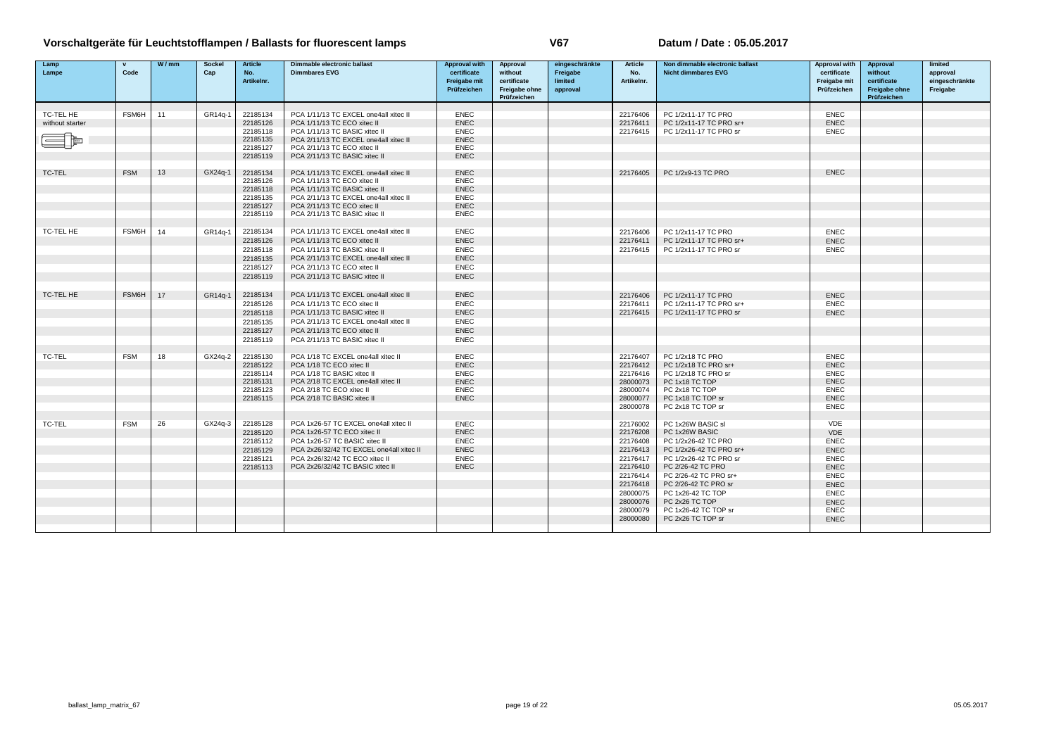| Lamp<br>Lampe                | $\mathbf{v}$<br>Code | W/mm | <b>Sockel</b><br>Cap | <b>Article</b><br>No.<br>Artikelnr. | Dimmable electronic ballast<br><b>Dimmbares EVG</b>                  | <b>Approval with</b><br>certificate<br>Freigabe mit | Approval<br>without<br>certificate | eingeschränkte<br>Freigabe<br>limited | <b>Article</b><br>No.<br>Artikelnr. | Non dimmable electronic ballast<br><b>Nicht dimmbares EVG</b> | <b>Approval with</b><br>certificate<br>Freigabe mit | Approval<br>without<br>certificate  | limited<br>approval<br>eingeschränkte |
|------------------------------|----------------------|------|----------------------|-------------------------------------|----------------------------------------------------------------------|-----------------------------------------------------|------------------------------------|---------------------------------------|-------------------------------------|---------------------------------------------------------------|-----------------------------------------------------|-------------------------------------|---------------------------------------|
|                              |                      |      |                      |                                     |                                                                      | Prüfzeichen                                         | Freigabe ohne<br>Prüfzeichen       | approval                              |                                     |                                                               | Prüfzeichen                                         | <b>Freigabe ohne</b><br>Prüfzeichen | Freigabe                              |
|                              |                      |      |                      |                                     |                                                                      |                                                     |                                    |                                       |                                     |                                                               |                                                     |                                     |                                       |
| TC-TEL HE<br>without starter | <b>FSM6H</b>         | 11   | GR14a-1              | 22185134<br>22185126                | PCA 1/11/13 TC EXCEL one4all xitec II<br>PCA 1/11/13 TC ECO xitec II | <b>ENEC</b><br><b>ENEC</b>                          |                                    |                                       | 22176406<br>22176411                | PC 1/2x11-17 TC PRO<br>PC 1/2x11-17 TC PRO sr+                | <b>ENEC</b><br><b>ENEC</b>                          |                                     |                                       |
|                              |                      |      |                      | 22185118                            | PCA 1/11/13 TC BASIC xitec II                                        | <b>ENEC</b>                                         |                                    |                                       | 22176415                            | PC 1/2x11-17 TC PRO sr                                        | <b>ENEC</b>                                         |                                     |                                       |
|                              |                      |      |                      | 22185135                            | PCA 2/11/13 TC EXCEL one4all xitec II                                | <b>ENEC</b>                                         |                                    |                                       |                                     |                                                               |                                                     |                                     |                                       |
|                              |                      |      |                      | 22185127                            | PCA 2/11/13 TC ECO xitec II                                          | <b>ENEC</b>                                         |                                    |                                       |                                     |                                                               |                                                     |                                     |                                       |
|                              |                      |      |                      | 22185119                            | PCA 2/11/13 TC BASIC xitec II                                        | <b>ENEC</b>                                         |                                    |                                       |                                     |                                                               |                                                     |                                     |                                       |
| <b>TC-TEL</b>                | <b>FSM</b>           | 13   | GX24a-1              | 22185134                            | PCA 1/11/13 TC EXCEL one4all xitec II                                | <b>ENEC</b>                                         |                                    |                                       | 22176405                            | PC 1/2x9-13 TC PRO                                            | <b>ENEC</b>                                         |                                     |                                       |
|                              |                      |      |                      | 22185126                            | PCA 1/11/13 TC ECO xitec II                                          | <b>ENEC</b>                                         |                                    |                                       |                                     |                                                               |                                                     |                                     |                                       |
|                              |                      |      |                      | 22185118                            | PCA 1/11/13 TC BASIC xitec II                                        | <b>ENEC</b>                                         |                                    |                                       |                                     |                                                               |                                                     |                                     |                                       |
|                              |                      |      |                      | 22185135                            | PCA 2/11/13 TC EXCEL one4all xitec II                                | <b>ENEC</b>                                         |                                    |                                       |                                     |                                                               |                                                     |                                     |                                       |
|                              |                      |      |                      | 22185127                            | PCA 2/11/13 TC ECO xitec II                                          | <b>ENEC</b>                                         |                                    |                                       |                                     |                                                               |                                                     |                                     |                                       |
|                              |                      |      |                      | 22185119                            | PCA 2/11/13 TC BASIC xitec II                                        | <b>ENEC</b>                                         |                                    |                                       |                                     |                                                               |                                                     |                                     |                                       |
| TC-TEL HE                    | FSM6H                | 14   | GR14q-1              | 22185134                            | PCA 1/11/13 TC EXCEL one4all xitec II                                | <b>ENEC</b>                                         |                                    |                                       | 22176406                            | PC 1/2x11-17 TC PRO                                           | <b>ENEC</b>                                         |                                     |                                       |
|                              |                      |      |                      | 22185126                            | PCA 1/11/13 TC ECO xitec II                                          | <b>ENEC</b>                                         |                                    |                                       | 22176411                            | PC 1/2x11-17 TC PRO sr+                                       | <b>ENEC</b>                                         |                                     |                                       |
|                              |                      |      |                      | 22185118                            | PCA 1/11/13 TC BASIC xitec II                                        | <b>ENEC</b>                                         |                                    |                                       | 22176415                            | PC 1/2x11-17 TC PRO sr                                        | <b>ENEC</b>                                         |                                     |                                       |
|                              |                      |      |                      | 22185135                            | PCA 2/11/13 TC EXCEL one4all xitec II                                | <b>ENEC</b>                                         |                                    |                                       |                                     |                                                               |                                                     |                                     |                                       |
|                              |                      |      |                      | 22185127                            | PCA 2/11/13 TC ECO xitec II                                          | <b>ENEC</b>                                         |                                    |                                       |                                     |                                                               |                                                     |                                     |                                       |
|                              |                      |      |                      | 22185119                            | PCA 2/11/13 TC BASIC xitec II                                        | <b>ENEC</b>                                         |                                    |                                       |                                     |                                                               |                                                     |                                     |                                       |
| TC-TEL HE                    | FSM6H                | 17   | GR14q-1              | 22185134                            | PCA 1/11/13 TC EXCEL one4all xitec II                                | <b>ENEC</b>                                         |                                    |                                       | 22176406                            | PC 1/2x11-17 TC PRO                                           | <b>ENEC</b>                                         |                                     |                                       |
|                              |                      |      |                      | 22185126                            | PCA 1/11/13 TC ECO xitec II                                          | <b>ENEC</b>                                         |                                    |                                       | 22176411                            | PC 1/2x11-17 TC PRO sr+                                       | <b>ENEC</b>                                         |                                     |                                       |
|                              |                      |      |                      |                                     | PCA 1/11/13 TC BASIC xitec II                                        | <b>ENEC</b>                                         |                                    |                                       | 22176415                            | PC 1/2x11-17 TC PRO sr                                        | <b>ENEC</b>                                         |                                     |                                       |
|                              |                      |      |                      | 22185118<br>22185135                | PCA 2/11/13 TC EXCEL one4all xitec II                                | <b>ENEC</b>                                         |                                    |                                       |                                     |                                                               |                                                     |                                     |                                       |
|                              |                      |      |                      | 22185127                            | PCA 2/11/13 TC ECO xitec II                                          | <b>ENEC</b>                                         |                                    |                                       |                                     |                                                               |                                                     |                                     |                                       |
|                              |                      |      |                      | 22185119                            | PCA 2/11/13 TC BASIC xitec II                                        | <b>ENEC</b>                                         |                                    |                                       |                                     |                                                               |                                                     |                                     |                                       |
|                              |                      |      |                      |                                     |                                                                      |                                                     |                                    |                                       |                                     |                                                               |                                                     |                                     |                                       |
| TC-TEL                       | <b>FSM</b>           | 18   | GX24q-2              | 22185130                            | PCA 1/18 TC EXCEL one4all xitec II                                   | <b>ENEC</b>                                         |                                    |                                       | 22176407                            | PC 1/2x18 TC PRO                                              | <b>ENEC</b>                                         |                                     |                                       |
|                              |                      |      |                      | 22185122                            | PCA 1/18 TC ECO xitec II                                             | <b>ENEC</b>                                         |                                    |                                       | 22176412                            | PC 1/2x18 TC PRO sr+                                          | <b>ENEC</b>                                         |                                     |                                       |
|                              |                      |      |                      | 22185114                            | PCA 1/18 TC BASIC xitec II                                           | <b>ENEC</b>                                         |                                    |                                       | 22176416                            | PC 1/2x18 TC PRO sr                                           | <b>ENEC</b>                                         |                                     |                                       |
|                              |                      |      |                      | 22185131                            | PCA 2/18 TC EXCEL one4all xitec II                                   | <b>ENEC</b>                                         |                                    |                                       | 28000073                            | PC 1x18 TC TOP                                                | <b>ENEC</b>                                         |                                     |                                       |
|                              |                      |      |                      | 22185123                            | PCA 2/18 TC ECO xitec II                                             | <b>ENEC</b>                                         |                                    |                                       | 28000074                            | PC 2x18 TC TOP                                                | <b>ENEC</b>                                         |                                     |                                       |
|                              |                      |      |                      | 22185115                            | PCA 2/18 TC BASIC xitec II                                           | <b>ENEC</b>                                         |                                    |                                       | 28000077                            | PC 1x18 TC TOP sr                                             | <b>ENEC</b>                                         |                                     |                                       |
|                              |                      |      |                      |                                     |                                                                      |                                                     |                                    |                                       | 28000078                            | PC 2x18 TC TOP sr                                             | <b>ENEC</b>                                         |                                     |                                       |
| <b>TC-TEL</b>                | <b>FSM</b>           | 26   | GX24q-3              | 22185128                            | PCA 1x26-57 TC EXCEL one4all xitec II                                | <b>ENEC</b>                                         |                                    |                                       | 22176002                            | PC 1x26W BASIC sl                                             | <b>VDE</b>                                          |                                     |                                       |
|                              |                      |      |                      | 22185120                            | PCA 1x26-57 TC ECO xitec II                                          | <b>ENEC</b>                                         |                                    |                                       | 22176208                            | PC 1x26W BASIC                                                | <b>VDE</b>                                          |                                     |                                       |
|                              |                      |      |                      | 22185112                            | PCA 1x26-57 TC BASIC xitec II                                        | <b>ENEC</b>                                         |                                    |                                       | 22176408                            | PC 1/2x26-42 TC PRO                                           | <b>ENEC</b>                                         |                                     |                                       |
|                              |                      |      |                      | 22185129                            | PCA 2x26/32/42 TC EXCEL one4all xitec II                             | <b>ENEC</b>                                         |                                    |                                       | 22176413                            | PC 1/2x26-42 TC PRO sr+                                       | <b>ENEC</b>                                         |                                     |                                       |
|                              |                      |      |                      | 22185121                            | PCA 2x26/32/42 TC ECO xitec II                                       | <b>ENEC</b>                                         |                                    |                                       | 22176417                            | PC 1/2x26-42 TC PRO sr                                        | <b>ENEC</b>                                         |                                     |                                       |
|                              |                      |      |                      | 22185113                            | PCA 2x26/32/42 TC BASIC xitec II                                     | <b>ENEC</b>                                         |                                    |                                       | 22176410                            | PC 2/26-42 TC PRO                                             | <b>ENEC</b>                                         |                                     |                                       |
|                              |                      |      |                      |                                     |                                                                      |                                                     |                                    |                                       | 22176414                            | PC 2/26-42 TC PRO sr+                                         | <b>ENEC</b>                                         |                                     |                                       |
|                              |                      |      |                      |                                     |                                                                      |                                                     |                                    |                                       | 22176418                            | PC 2/26-42 TC PRO sr                                          | <b>ENEC</b>                                         |                                     |                                       |
|                              |                      |      |                      |                                     |                                                                      |                                                     |                                    |                                       | 28000075                            | PC 1x26-42 TC TOP                                             | <b>ENEC</b>                                         |                                     |                                       |
|                              |                      |      |                      |                                     |                                                                      |                                                     |                                    |                                       | 28000076                            | PC 2x26 TC TOP                                                | <b>ENEC</b>                                         |                                     |                                       |
|                              |                      |      |                      |                                     |                                                                      |                                                     |                                    |                                       | 28000079                            | PC 1x26-42 TC TOP sr                                          | <b>ENEC</b>                                         |                                     |                                       |
|                              |                      |      |                      |                                     |                                                                      |                                                     |                                    |                                       | 28000080                            | PC 2x26 TC TOP sr                                             | <b>ENEC</b>                                         |                                     |                                       |
|                              |                      |      |                      |                                     |                                                                      |                                                     |                                    |                                       |                                     |                                                               |                                                     |                                     |                                       |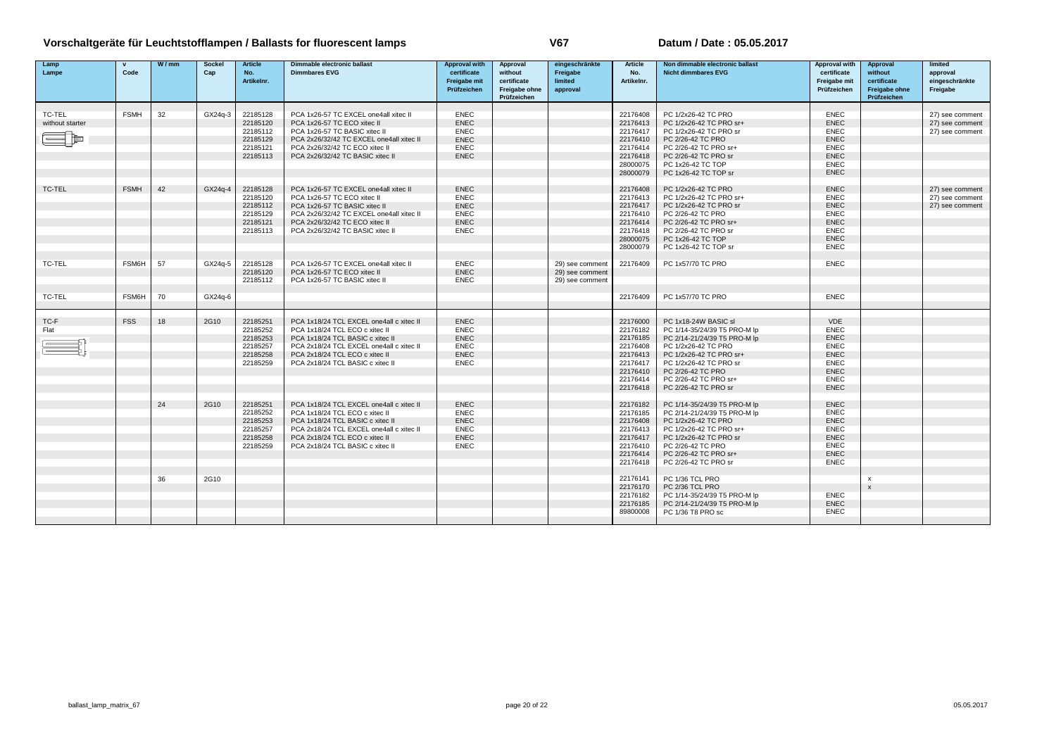| Lamp<br>Lampe   | $\mathbf{v}$<br>Code | W/mm | Sockel<br>Cap | <b>Article</b><br>No. | Dimmable electronic ballast<br><b>Dimmbares EVG</b>                        | <b>Approval with</b><br>certificate | Approval<br>without                         | eingeschränkte<br>Freigabe<br>limited | <b>Article</b><br>No. | Non dimmable electronic ballast<br><b>Nicht dimmbares EVG</b> | <b>Approval with</b><br>certificate | Approval<br>without                         | limited<br>approval        |
|-----------------|----------------------|------|---------------|-----------------------|----------------------------------------------------------------------------|-------------------------------------|---------------------------------------------|---------------------------------------|-----------------------|---------------------------------------------------------------|-------------------------------------|---------------------------------------------|----------------------------|
|                 |                      |      |               | Artikelnr.            |                                                                            | Freigabe mit<br>Prüfzeichen         | certificate<br>Freigabe ohne<br>Prüfzeichen | approval                              | Artikelnr.            |                                                               | Freigabe mit<br>Prüfzeichen         | certificate<br>Freigabe ohne<br>Prüfzeichen | eingeschränkte<br>Freigabe |
|                 |                      |      |               |                       |                                                                            |                                     |                                             |                                       |                       |                                                               |                                     |                                             |                            |
| TC-TEL          | <b>FSMH</b>          | 32   | GX24q-3       | 22185128              | PCA 1x26-57 TC EXCEL one4all xitec II                                      | <b>ENEC</b>                         |                                             |                                       | 22176408              | PC 1/2x26-42 TC PRO                                           | ENEC                                |                                             | 27) see comment            |
| without starter |                      |      |               | 22185120              | PCA 1x26-57 TC ECO xitec II                                                | <b>ENEC</b>                         |                                             |                                       | 22176413              | PC 1/2x26-42 TC PRO sr+                                       | <b>ENEC</b>                         |                                             | 27) see comment            |
|                 |                      |      |               | 22185112              | PCA 1x26-57 TC BASIC xitec II                                              | <b>ENEC</b>                         |                                             |                                       | 22176417              | PC 1/2x26-42 TC PRO sr                                        | <b>ENEC</b>                         |                                             | 27) see comment            |
|                 |                      |      |               | 22185129              | PCA 2x26/32/42 TC EXCEL one4all xitec II                                   | <b>ENEC</b>                         |                                             |                                       | 22176410              | PC 2/26-42 TC PRO                                             | <b>ENEC</b>                         |                                             |                            |
|                 |                      |      |               | 22185121              | PCA 2x26/32/42 TC ECO xitec II<br>PCA 2x26/32/42 TC BASIC xitec II         | <b>ENEC</b>                         |                                             |                                       | 22176414              | PC 2/26-42 TC PRO sr+                                         | <b>ENEC</b><br><b>ENEC</b>          |                                             |                            |
|                 |                      |      |               | 22185113              |                                                                            | <b>ENEC</b>                         |                                             |                                       | 22176418<br>28000075  | PC 2/26-42 TC PRO sr<br>PC 1x26-42 TC TOP                     | <b>ENEC</b>                         |                                             |                            |
|                 |                      |      |               |                       |                                                                            |                                     |                                             |                                       | 28000079              | PC 1x26-42 TC TOP sr                                          | <b>ENEC</b>                         |                                             |                            |
|                 |                      |      |               |                       |                                                                            |                                     |                                             |                                       |                       |                                                               |                                     |                                             |                            |
| TC-TEL          | <b>FSMH</b>          | 42   | GX24g-4       | 22185128              | PCA 1x26-57 TC EXCEL one4all xitec II                                      | <b>ENEC</b>                         |                                             |                                       | 22176408              | PC 1/2x26-42 TC PRO                                           | <b>ENEC</b>                         |                                             | 27) see comment            |
|                 |                      |      |               | 22185120              | PCA 1x26-57 TC ECO xitec II                                                | <b>ENEC</b>                         |                                             |                                       | 22176413              | PC 1/2x26-42 TC PRO sr+                                       | <b>ENEC</b>                         |                                             | 27) see comment            |
|                 |                      |      |               | 22185112              | PCA 1x26-57 TC BASIC xitec II                                              | <b>ENEC</b>                         |                                             |                                       | 22176417              | PC 1/2x26-42 TC PRO sr                                        | <b>ENEC</b>                         |                                             | 27) see comment            |
|                 |                      |      |               | 22185129              | PCA 2x26/32/42 TC EXCEL one4all xitec II                                   | <b>ENEC</b>                         |                                             |                                       | 22176410              | PC 2/26-42 TC PRO                                             | <b>ENEC</b>                         |                                             |                            |
|                 |                      |      |               | 22185121              | PCA 2x26/32/42 TC ECO xitec II                                             | <b>ENEC</b>                         |                                             |                                       | 22176414              | PC 2/26-42 TC PRO sr+                                         | <b>ENEC</b>                         |                                             |                            |
|                 |                      |      |               | 22185113              | PCA 2x26/32/42 TC BASIC xitec II                                           | <b>ENEC</b>                         |                                             |                                       | 22176418              | PC 2/26-42 TC PRO sr                                          | <b>ENEC</b>                         |                                             |                            |
|                 |                      |      |               |                       |                                                                            |                                     |                                             |                                       | 28000075              | PC 1x26-42 TC TOP                                             | <b>ENEC</b>                         |                                             |                            |
|                 |                      |      |               |                       |                                                                            |                                     |                                             |                                       | 28000079              | PC 1x26-42 TC TOP sr                                          | <b>ENEC</b>                         |                                             |                            |
|                 |                      | 57   | GX24q-5       |                       |                                                                            |                                     |                                             |                                       |                       |                                                               | <b>ENEC</b>                         |                                             |                            |
| TC-TEL          | FSM6H                |      |               | 22185128<br>22185120  | PCA 1x26-57 TC EXCEL one4all xitec II<br>PCA 1x26-57 TC ECO xitec II       | <b>ENEC</b><br><b>ENEC</b>          |                                             | 29) see comment<br>29) see comment    | 22176409              | PC 1x57/70 TC PRO                                             |                                     |                                             |                            |
|                 |                      |      |               | 22185112              | PCA 1x26-57 TC BASIC xitec II                                              | <b>ENEC</b>                         |                                             | 29) see comment                       |                       |                                                               |                                     |                                             |                            |
|                 |                      |      |               |                       |                                                                            |                                     |                                             |                                       |                       |                                                               |                                     |                                             |                            |
| TC-TEL          | FSM6H                | 70   | GX24q-6       |                       |                                                                            |                                     |                                             |                                       | 22176409              | PC 1x57/70 TC PRO                                             | ENEC                                |                                             |                            |
|                 |                      |      |               |                       |                                                                            |                                     |                                             |                                       |                       |                                                               |                                     |                                             |                            |
| TC-F            | <b>FSS</b>           | 18   | 2G10          | 22185251              | PCA 1x18/24 TCL EXCEL one4all c xitec II                                   | <b>ENEC</b>                         |                                             |                                       | 22176000              | PC 1x18-24W BASIC sl                                          | <b>VDE</b>                          |                                             |                            |
| Flat            |                      |      |               | 22185252              | PCA 1x18/24 TCL ECO c xitec II                                             | <b>ENEC</b>                         |                                             |                                       | 22176182              | PC 1/14-35/24/39 T5 PRO-M lp                                  | <b>ENEC</b>                         |                                             |                            |
|                 |                      |      |               | 22185253              | PCA 1x18/24 TCL BASIC c xitec II                                           | <b>ENEC</b>                         |                                             |                                       | 22176185              | PC 2/14-21/24/39 T5 PRO-M lp                                  | <b>ENEC</b>                         |                                             |                            |
|                 |                      |      |               | 22185257              | PCA 2x18/24 TCL EXCEL one4all c xitec II                                   | <b>ENEC</b>                         |                                             |                                       | 22176408              | PC 1/2x26-42 TC PRO                                           | <b>ENEC</b>                         |                                             |                            |
|                 |                      |      |               | 22185258              | PCA 2x18/24 TCL ECO c xitec II                                             | <b>ENEC</b>                         |                                             |                                       | 22176413              | PC 1/2x26-42 TC PRO sr+                                       | <b>ENEC</b>                         |                                             |                            |
|                 |                      |      |               | 22185259              | PCA 2x18/24 TCL BASIC c xitec II                                           | <b>ENEC</b>                         |                                             |                                       | 22176417              | PC 1/2x26-42 TC PRO sr                                        | <b>ENEC</b>                         |                                             |                            |
|                 |                      |      |               |                       |                                                                            |                                     |                                             |                                       | 22176410              | PC 2/26-42 TC PRO                                             | <b>ENEC</b>                         |                                             |                            |
|                 |                      |      |               |                       |                                                                            |                                     |                                             |                                       | 22176414              | PC 2/26-42 TC PRO sr+                                         | <b>ENEC</b>                         |                                             |                            |
|                 |                      |      |               |                       |                                                                            |                                     |                                             |                                       | 22176418              | PC 2/26-42 TC PRO sr                                          | <b>ENEC</b>                         |                                             |                            |
|                 |                      | 24   |               |                       |                                                                            |                                     |                                             |                                       |                       |                                                               | ENEC                                |                                             |                            |
|                 |                      |      | 2G10          | 22185251<br>22185252  | PCA 1x18/24 TCL EXCEL one4all c xitec II<br>PCA 1x18/24 TCL ECO c xitec II | <b>ENEC</b><br><b>ENEC</b>          |                                             |                                       | 22176182<br>22176185  | PC 1/14-35/24/39 T5 PRO-M lp<br>PC 2/14-21/24/39 T5 PRO-M lp  | <b>ENEC</b>                         |                                             |                            |
|                 |                      |      |               | 22185253              | PCA 1x18/24 TCL BASIC c xitec II                                           | <b>ENEC</b>                         |                                             |                                       | 22176408              | PC 1/2x26-42 TC PRO                                           | <b>ENEC</b>                         |                                             |                            |
|                 |                      |      |               | 22185257              | PCA 2x18/24 TCL EXCEL one4all c xitec II                                   | <b>ENEC</b>                         |                                             |                                       | 22176413              | PC 1/2x26-42 TC PRO sr+                                       | <b>ENEC</b>                         |                                             |                            |
|                 |                      |      |               | 22185258              | PCA 2x18/24 TCL ECO c xitec II                                             | <b>ENEC</b>                         |                                             |                                       | 22176417              | PC 1/2x26-42 TC PRO sr                                        | <b>ENEC</b>                         |                                             |                            |
|                 |                      |      |               | 22185259              | PCA 2x18/24 TCL BASIC c xitec II                                           | <b>ENEC</b>                         |                                             |                                       | 22176410              | PC 2/26-42 TC PRO                                             | <b>ENEC</b>                         |                                             |                            |
|                 |                      |      |               |                       |                                                                            |                                     |                                             |                                       | 22176414              | PC 2/26-42 TC PRO sr+                                         | <b>ENEC</b>                         |                                             |                            |
|                 |                      |      |               |                       |                                                                            |                                     |                                             |                                       | 22176418              | PC 2/26-42 TC PRO sr                                          | <b>ENEC</b>                         |                                             |                            |
|                 |                      |      |               |                       |                                                                            |                                     |                                             |                                       |                       |                                                               |                                     |                                             |                            |
|                 |                      | 36   | 2G10          |                       |                                                                            |                                     |                                             |                                       | 22176141              | PC 1/36 TCL PRO                                               |                                     | $\mathsf{x}$                                |                            |
|                 |                      |      |               |                       |                                                                            |                                     |                                             |                                       | 22176170              | PC 2/36 TCL PRO                                               |                                     | $\mathbf{x}$                                |                            |
|                 |                      |      |               |                       |                                                                            |                                     |                                             |                                       | 22176182              | PC 1/14-35/24/39 T5 PRO-M lp                                  | <b>ENEC</b>                         |                                             |                            |
|                 |                      |      |               |                       |                                                                            |                                     |                                             |                                       | 22176185              | PC 2/14-21/24/39 T5 PRO-M lp                                  | <b>ENEC</b>                         |                                             |                            |
|                 |                      |      |               |                       |                                                                            |                                     |                                             |                                       | 89800008              | PC 1/36 T8 PRO sc                                             | <b>ENEC</b>                         |                                             |                            |
|                 |                      |      |               |                       |                                                                            |                                     |                                             |                                       |                       |                                                               |                                     |                                             |                            |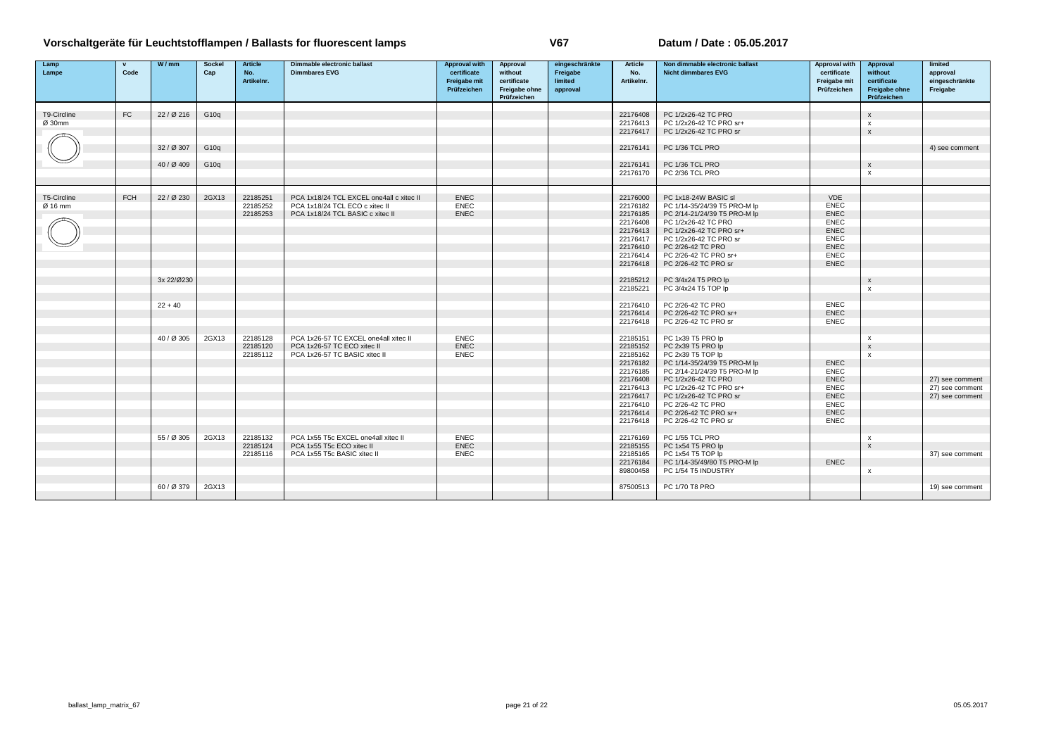| Lamp        | $\mathbf{v}$ | W/mm       | <b>Sockel</b> | <b>Article</b> | <b>Dimmable electronic ballast</b>       | <b>Approval with</b>       | Approval                     | eingeschränkte | <b>Article</b>       | Non dimmable electronic ballast                   | Approval with              | Approval                     | limited                            |
|-------------|--------------|------------|---------------|----------------|------------------------------------------|----------------------------|------------------------------|----------------|----------------------|---------------------------------------------------|----------------------------|------------------------------|------------------------------------|
| Lampe       | Code         |            | Cap           | No.            | <b>Dimmbares EVG</b>                     | certificate                | without                      | Freigabe       | No.                  | <b>Nicht dimmbares EVG</b>                        | certificate                | without                      | approval                           |
|             |              |            |               | Artikelnr.     |                                          | Freigabe mit               | certificate                  | limited        | Artikelnr.           |                                                   | Freigabe mit               | certificate                  | eingeschränkte                     |
|             |              |            |               |                |                                          | Prüfzeichen                | Freigabe ohne<br>Prüfzeichen | approval       |                      |                                                   | Prüfzeichen                | Freigabe ohne<br>Prüfzeichen | Freigabe                           |
|             |              |            |               |                |                                          |                            |                              |                |                      |                                                   |                            |                              |                                    |
| T9-Circline | FC           | 22/0216    | G10q          |                |                                          |                            |                              |                | 22176408             | PC 1/2x26-42 TC PRO                               |                            | $\boldsymbol{\mathsf{x}}$    |                                    |
| Ø 30mm      |              |            |               |                |                                          |                            |                              |                | 22176413             | PC 1/2x26-42 TC PRO sr+                           |                            | $\boldsymbol{\mathsf{x}}$    |                                    |
|             |              |            |               |                |                                          |                            |                              |                | 22176417             | PC 1/2x26-42 TC PRO sr                            |                            | $\mathsf{x}$                 |                                    |
|             |              |            |               |                |                                          |                            |                              |                |                      |                                                   |                            |                              |                                    |
|             |              | 32 / Ø 307 | G10q          |                |                                          |                            |                              |                | 22176141             | PC 1/36 TCL PRO                                   |                            |                              | 4) see comment                     |
|             |              |            |               |                |                                          |                            |                              |                |                      |                                                   |                            |                              |                                    |
|             |              | 40 / Ø 409 | G10q          |                |                                          |                            |                              |                | 22176141             | PC 1/36 TCL PRO                                   |                            | $\boldsymbol{\mathsf{x}}$    |                                    |
|             |              |            |               |                |                                          |                            |                              |                | 22176170             | PC 2/36 TCL PRO                                   |                            | $\boldsymbol{\mathsf{x}}$    |                                    |
|             |              |            |               |                |                                          |                            |                              |                |                      |                                                   |                            |                              |                                    |
|             |              |            |               |                |                                          |                            |                              |                |                      |                                                   |                            |                              |                                    |
| T5-Circline | <b>FCH</b>   | 22 / Ø 230 | 2GX13         | 22185251       | PCA 1x18/24 TCL EXCEL one4all c xitec II | <b>ENEC</b><br><b>ENEC</b> |                              |                | 22176000             | PC 1x18-24W BASIC sl                              | <b>VDE</b>                 |                              |                                    |
| Ø 16 mm     |              |            |               | 22185252       | PCA 1x18/24 TCL ECO c xitec II           | <b>ENEC</b>                |                              |                | 22176182             | PC 1/14-35/24/39 T5 PRO-M lp                      | <b>ENEC</b><br>ENEC        |                              |                                    |
|             |              |            |               | 22185253       | PCA 1x18/24 TCL BASIC c xitec II         |                            |                              |                | 22176185             | PC 2/14-21/24/39 T5 PRO-M lp                      | <b>ENEC</b>                |                              |                                    |
|             |              |            |               |                |                                          |                            |                              |                | 22176408<br>22176413 | PC 1/2x26-42 TC PRO<br>PC 1/2x26-42 TC PRO sr+    | <b>ENEC</b>                |                              |                                    |
|             |              |            |               |                |                                          |                            |                              |                | 22176417             | PC 1/2x26-42 TC PRO sr                            | <b>ENEC</b>                |                              |                                    |
|             |              |            |               |                |                                          |                            |                              |                | 22176410             | PC 2/26-42 TC PRO                                 | <b>ENEC</b>                |                              |                                    |
|             |              |            |               |                |                                          |                            |                              |                | 22176414             | PC 2/26-42 TC PRO sr+                             | <b>ENEC</b>                |                              |                                    |
|             |              |            |               |                |                                          |                            |                              |                | 22176418             | PC 2/26-42 TC PRO sr                              | <b>ENEC</b>                |                              |                                    |
|             |              |            |               |                |                                          |                            |                              |                |                      |                                                   |                            |                              |                                    |
|             |              | 3x 22/Ø230 |               |                |                                          |                            |                              |                | 22185212             | PC 3/4x24 T5 PRO lp                               |                            | $\mathsf{x}$                 |                                    |
|             |              |            |               |                |                                          |                            |                              |                | 22185221             | PC 3/4x24 T5 TOP lp                               |                            | $\mathbf{x}$                 |                                    |
|             |              |            |               |                |                                          |                            |                              |                |                      |                                                   |                            |                              |                                    |
|             |              | $22 + 40$  |               |                |                                          |                            |                              |                | 22176410             | PC 2/26-42 TC PRO                                 | <b>ENEC</b>                |                              |                                    |
|             |              |            |               |                |                                          |                            |                              |                | 22176414             | PC 2/26-42 TC PRO sr+                             | <b>ENEC</b>                |                              |                                    |
|             |              |            |               |                |                                          |                            |                              |                | 22176418             | PC 2/26-42 TC PRO sr                              | <b>ENEC</b>                |                              |                                    |
|             |              |            |               |                |                                          |                            |                              |                |                      |                                                   |                            |                              |                                    |
|             |              | 40 / Ø 305 | 2GX13         | 22185128       | PCA 1x26-57 TC EXCEL one4all xitec II    | <b>ENEC</b>                |                              |                | 22185151             | PC 1x39 T5 PRO lp                                 |                            | $\boldsymbol{\mathsf{x}}$    |                                    |
|             |              |            |               | 22185120       | PCA 1x26-57 TC ECO xitec II              | ENEC                       |                              |                | 22185152             | PC 2x39 T5 PRO lp                                 |                            | $\mathsf{x}$                 |                                    |
|             |              |            |               | 22185112       | PCA 1x26-57 TC BASIC xitec II            | <b>ENEC</b>                |                              |                | 22185162             | PC 2x39 T5 TOP Ip                                 |                            | $\mathbf{x}$                 |                                    |
|             |              |            |               |                |                                          |                            |                              |                | 22176182             | PC 1/14-35/24/39 T5 PRO-M lp                      | <b>ENEC</b>                |                              |                                    |
|             |              |            |               |                |                                          |                            |                              |                | 22176185             | PC 2/14-21/24/39 T5 PRO-M lp                      | <b>ENEC</b>                |                              |                                    |
|             |              |            |               |                |                                          |                            |                              |                | 22176408             | PC 1/2x26-42 TC PRO                               | <b>ENEC</b><br><b>ENEC</b> |                              | 27) see comment<br>27) see comment |
|             |              |            |               |                |                                          |                            |                              |                | 22176413<br>22176417 | PC 1/2x26-42 TC PRO sr+<br>PC 1/2x26-42 TC PRO sr | <b>ENEC</b>                |                              | 27) see comment                    |
|             |              |            |               |                |                                          |                            |                              |                | 22176410             | PC 2/26-42 TC PRO                                 | <b>ENEC</b>                |                              |                                    |
|             |              |            |               |                |                                          |                            |                              |                | 22176414             | PC 2/26-42 TC PRO sr+                             | <b>ENEC</b>                |                              |                                    |
|             |              |            |               |                |                                          |                            |                              |                | 22176418             | PC 2/26-42 TC PRO sr                              | <b>ENEC</b>                |                              |                                    |
|             |              |            |               |                |                                          |                            |                              |                |                      |                                                   |                            |                              |                                    |
|             |              | 55 / Ø 305 | 2GX13         | 22185132       | PCA 1x55 T5c EXCEL one4all xitec II      | <b>ENEC</b>                |                              |                | 22176169             | PC 1/55 TCL PRO                                   |                            | $\boldsymbol{\mathsf{x}}$    |                                    |
|             |              |            |               | 22185124       | PCA 1x55 T5c ECO xitec II                | ENEC                       |                              |                | 22185155             | PC 1x54 T5 PRO lp                                 |                            | $\pmb{\chi}$                 |                                    |
|             |              |            |               | 22185116       | PCA 1x55 T5c BASIC xitec II              | <b>ENEC</b>                |                              |                | 22185165             | PC 1x54 T5 TOP lp                                 |                            |                              | 37) see comment                    |
|             |              |            |               |                |                                          |                            |                              |                | 22176184             | PC 1/14-35/49/80 T5 PRO-M lp                      | <b>ENEC</b>                |                              |                                    |
|             |              |            |               |                |                                          |                            |                              |                | 89800458             | PC 1/54 T5 INDUSTRY                               |                            | $\boldsymbol{\mathsf{x}}$    |                                    |
|             |              |            |               |                |                                          |                            |                              |                |                      |                                                   |                            |                              |                                    |
|             |              | 60 / Ø 379 | 2GX13         |                |                                          |                            |                              |                | 87500513             | PC 1/70 T8 PRO                                    |                            |                              | 19) see comment                    |
|             |              |            |               |                |                                          |                            |                              |                |                      |                                                   |                            |                              |                                    |